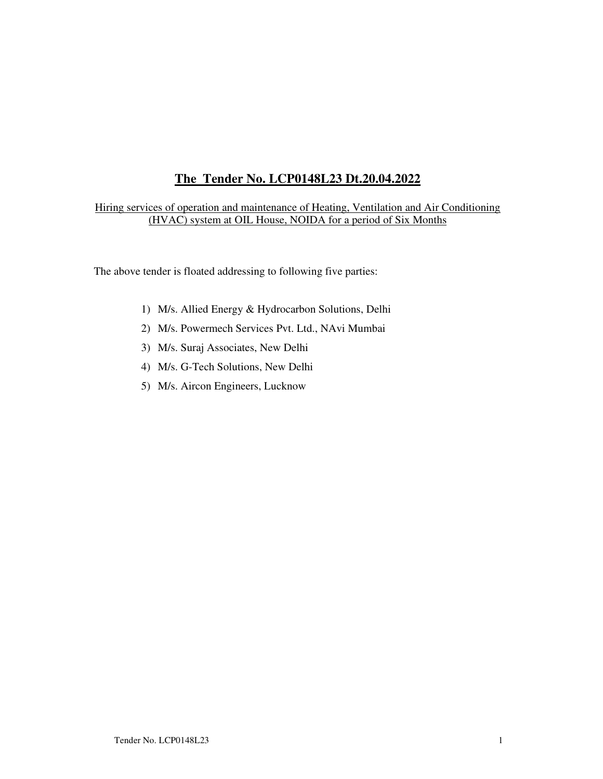# **The Tender No. LCP0148L23 Dt.20.04.2022**

Hiring services of operation and maintenance of Heating, Ventilation and Air Conditioning (HVAC) system at OIL House, NOIDA for a period of Six Months

The above tender is floated addressing to following five parties:

- 1) M/s. Allied Energy & Hydrocarbon Solutions, Delhi
- 2) M/s. Powermech Services Pvt. Ltd., NAvi Mumbai
- 3) M/s. Suraj Associates, New Delhi
- 4) M/s. G-Tech Solutions, New Delhi
- 5) M/s. Aircon Engineers, Lucknow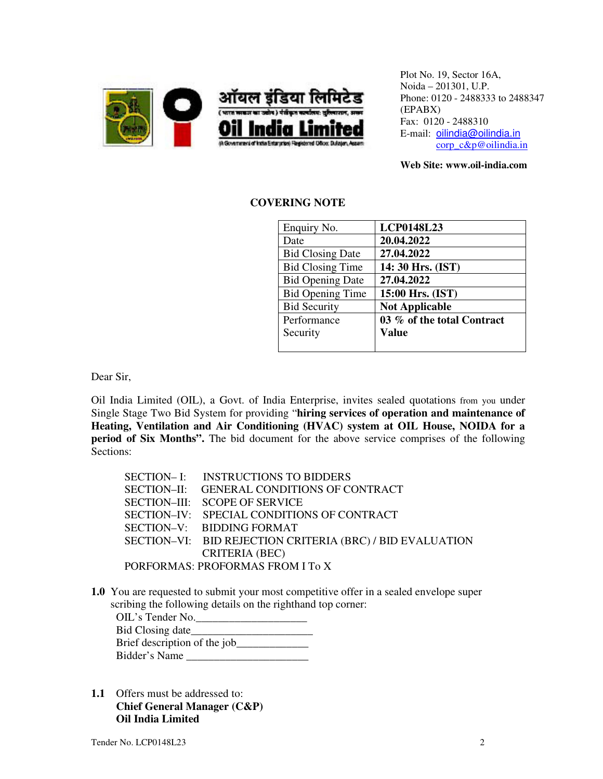

Plot No. 19, Sector 16A, Noida – 201301, U.P. Phone: 0120 - 2488333 to 2488347 (EPABX) Fax: 0120 - 2488310 E-mail: oilindia@oilindia.in corp\_c&p@oilindia.in

**Web Site: www.oil-india.com**

# **COVERING NOTE**

| Enquiry No.             | <b>LCP0148L23</b>          |
|-------------------------|----------------------------|
| Date                    | 20.04.2022                 |
| <b>Bid Closing Date</b> | 27.04.2022                 |
| <b>Bid Closing Time</b> | 14: 30 Hrs. (IST)          |
| <b>Bid Opening Date</b> | 27.04.2022                 |
| <b>Bid Opening Time</b> | 15:00 Hrs. (IST)           |
| <b>Bid Security</b>     | <b>Not Applicable</b>      |
| Performance             | 03 % of the total Contract |
| Security                | Value                      |
|                         |                            |

Dear Sir,

Oil India Limited (OIL), a Govt. of India Enterprise, invites sealed quotations from you under Single Stage Two Bid System for providing "**hiring services of operation and maintenance of Heating, Ventilation and Air Conditioning (HVAC) system at OIL House, NOIDA for a period of Six Months".** The bid document for the above service comprises of the following Sections:

| SECTION-I: INSTRUCTIONS TO BIDDERS                        |
|-----------------------------------------------------------|
| SECTION-II: GENERAL CONDITIONS OF CONTRACT                |
| SECTION-III: SCOPE OF SERVICE                             |
| SECTION-IV: SPECIAL CONDITIONS OF CONTRACT                |
| SECTION-V: BIDDING FORMAT                                 |
| SECTION-VI: BID REJECTION CRITERIA (BRC) / BID EVALUATION |
| <b>CRITERIA (BEC)</b>                                     |
| PORFORMAS: PROFORMAS FROM I To X                          |

**1.0** You are requested to submit your most competitive offer in a sealed envelope super scribing the following details on the righthand top corner:

| OIL's Tender No.             |
|------------------------------|
| Bid Closing date             |
| Brief description of the job |
| Bidder's Name                |

**1.1** Offers must be addressed to: **Chief General Manager (C&P) Oil India Limited**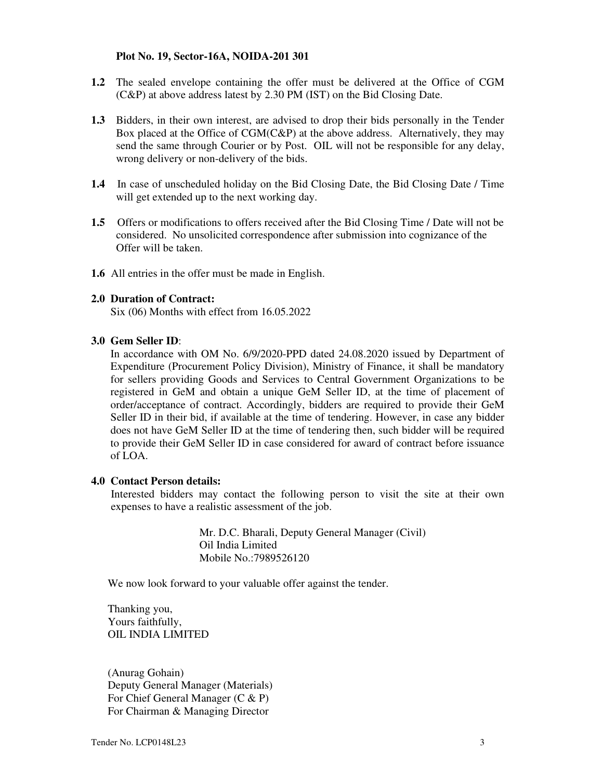### **Plot No. 19, Sector-16A, NOIDA-201 301**

- **1.2** The sealed envelope containing the offer must be delivered at the Office of CGM (C&P) at above address latest by 2.30 PM (IST) on the Bid Closing Date.
- **1.3** Bidders, in their own interest, are advised to drop their bids personally in the Tender Box placed at the Office of CGM(C&P) at the above address. Alternatively, they may send the same through Courier or by Post. OIL will not be responsible for any delay, wrong delivery or non-delivery of the bids.
- **1.4** In case of unscheduled holiday on the Bid Closing Date, the Bid Closing Date / Time will get extended up to the next working day.
- **1.5** Offers or modifications to offers received after the Bid Closing Time / Date will not be considered. No unsolicited correspondence after submission into cognizance of the Offer will be taken.
- **1.6** All entries in the offer must be made in English.

#### **2.0 Duration of Contract:**

Six (06) Months with effect from 16.05.2022

#### **3.0 Gem Seller ID**:

In accordance with OM No. 6/9/2020-PPD dated 24.08.2020 issued by Department of Expenditure (Procurement Policy Division), Ministry of Finance, it shall be mandatory for sellers providing Goods and Services to Central Government Organizations to be registered in GeM and obtain a unique GeM Seller ID, at the time of placement of order/acceptance of contract. Accordingly, bidders are required to provide their GeM Seller ID in their bid, if available at the time of tendering. However, in case any bidder does not have GeM Seller ID at the time of tendering then, such bidder will be required to provide their GeM Seller ID in case considered for award of contract before issuance of LOA.

### **4.0 Contact Person details:**

 Interested bidders may contact the following person to visit the site at their own expenses to have a realistic assessment of the job.

> Mr. D.C. Bharali, Deputy General Manager (Civil) Oil India Limited Mobile No.:7989526120

We now look forward to your valuable offer against the tender.

 Thanking you, Yours faithfully, OIL INDIA LIMITED

 (Anurag Gohain) Deputy General Manager (Materials) For Chief General Manager (C & P) For Chairman & Managing Director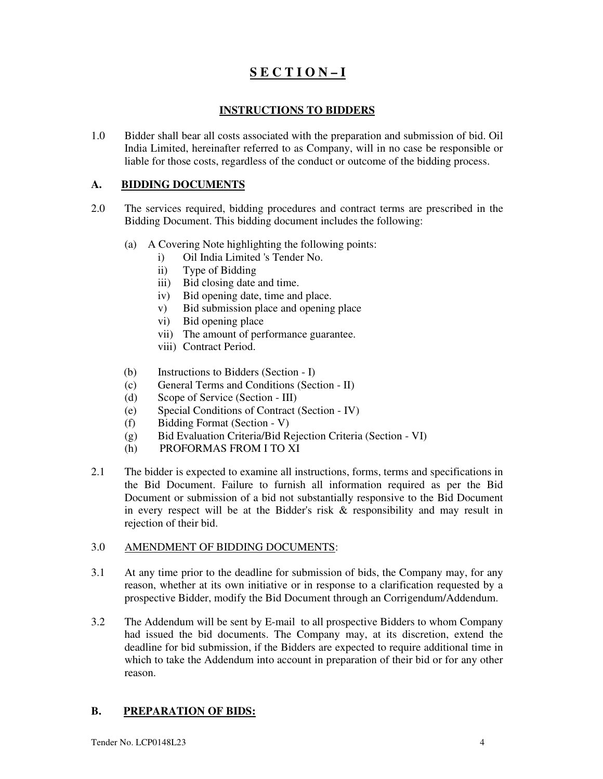# **S E C T I O N – I**

# **INSTRUCTIONS TO BIDDERS**

1.0 Bidder shall bear all costs associated with the preparation and submission of bid. Oil India Limited, hereinafter referred to as Company, will in no case be responsible or liable for those costs, regardless of the conduct or outcome of the bidding process.

# **A. BIDDING DOCUMENTS**

- 2.0 The services required, bidding procedures and contract terms are prescribed in the Bidding Document. This bidding document includes the following:
	- (a) A Covering Note highlighting the following points:
		- i) Oil India Limited 's Tender No.
		- ii) Type of Bidding
		- iii) Bid closing date and time.
		- iv) Bid opening date, time and place.
		- v) Bid submission place and opening place
		- vi) Bid opening place
		- vii) The amount of performance guarantee.
		- viii) Contract Period.
	- (b) Instructions to Bidders (Section I)
	- (c) General Terms and Conditions (Section II)
	- (d) Scope of Service (Section III)
	- (e) Special Conditions of Contract (Section IV)
	- (f) Bidding Format (Section V)
	- (g) Bid Evaluation Criteria/Bid Rejection Criteria (Section VI)
	- (h) PROFORMAS FROM I TO XI
- 2.1 The bidder is expected to examine all instructions, forms, terms and specifications in the Bid Document. Failure to furnish all information required as per the Bid Document or submission of a bid not substantially responsive to the Bid Document in every respect will be at the Bidder's risk  $\&$  responsibility and may result in rejection of their bid.

# 3.0 AMENDMENT OF BIDDING DOCUMENTS:

- 3.1 At any time prior to the deadline for submission of bids, the Company may, for any reason, whether at its own initiative or in response to a clarification requested by a prospective Bidder, modify the Bid Document through an Corrigendum/Addendum.
- 3.2 The Addendum will be sent by E-mail to all prospective Bidders to whom Company had issued the bid documents. The Company may, at its discretion, extend the deadline for bid submission, if the Bidders are expected to require additional time in which to take the Addendum into account in preparation of their bid or for any other reason.

# **B. PREPARATION OF BIDS:**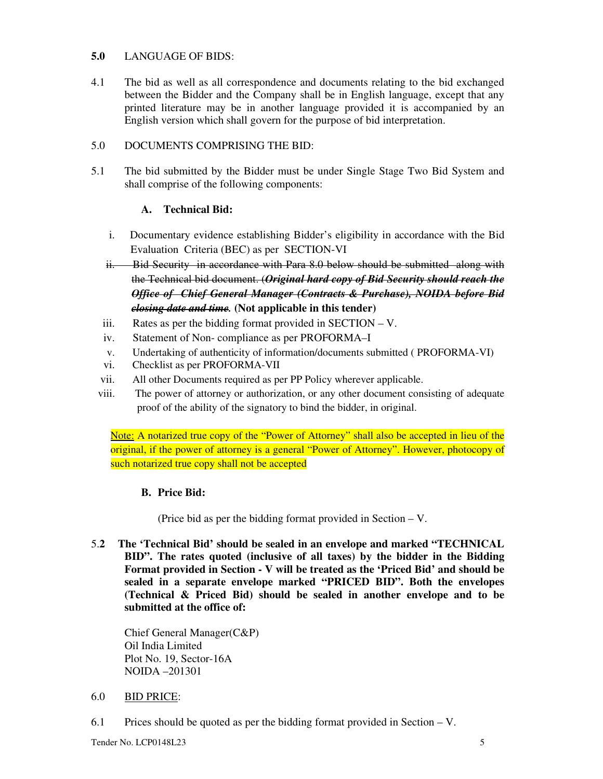# **5.0** LANGUAGE OF BIDS:

4.1 The bid as well as all correspondence and documents relating to the bid exchanged between the Bidder and the Company shall be in English language, except that any printed literature may be in another language provided it is accompanied by an English version which shall govern for the purpose of bid interpretation.

# 5.0 DOCUMENTS COMPRISING THE BID:

5.1 The bid submitted by the Bidder must be under Single Stage Two Bid System and shall comprise of the following components:

# **A. Technical Bid:**

- i. Documentary evidence establishing Bidder's eligibility in accordance with the Bid Evaluation Criteria (BEC) as per SECTION-VI
- ii. Bid Security in accordance with Para 8.0 below should be submitted along with the Technical bid document. (*Original hard copy of Bid Security should reach the Office of Chief General Manager (Contracts & Purchase), NOIDA before Bid closing date and time.* **(Not applicable in this tender)**
- iii. Rates as per the bidding format provided in SECTION V.
- iv. Statement of Non- compliance as per PROFORMA–I
- v. Undertaking of authenticity of information/documents submitted ( PROFORMA-VI)
- vi. Checklist as per PROFORMA-VII
- vii. All other Documents required as per PP Policy wherever applicable.
- viii. The power of attorney or authorization, or any other document consisting of adequate proof of the ability of the signatory to bind the bidder, in original.

Note: A notarized true copy of the "Power of Attorney" shall also be accepted in lieu of the original, if the power of attorney is a general "Power of Attorney". However, photocopy of such notarized true copy shall not be accepted

# **B. Price Bid:**

(Price bid as per the bidding format provided in Section – V.

5.**2 The 'Technical Bid' should be sealed in an envelope and marked "TECHNICAL BID". The rates quoted (inclusive of all taxes) by the bidder in the Bidding Format provided in Section - V will be treated as the 'Priced Bid' and should be sealed in a separate envelope marked "PRICED BID". Both the envelopes (Technical & Priced Bid) should be sealed in another envelope and to be submitted at the office of:** 

Chief General Manager(C&P) Oil India Limited Plot No. 19, Sector-16A NOIDA –201301

# 6.0 BID PRICE:

6.1 Prices should be quoted as per the bidding format provided in Section – V.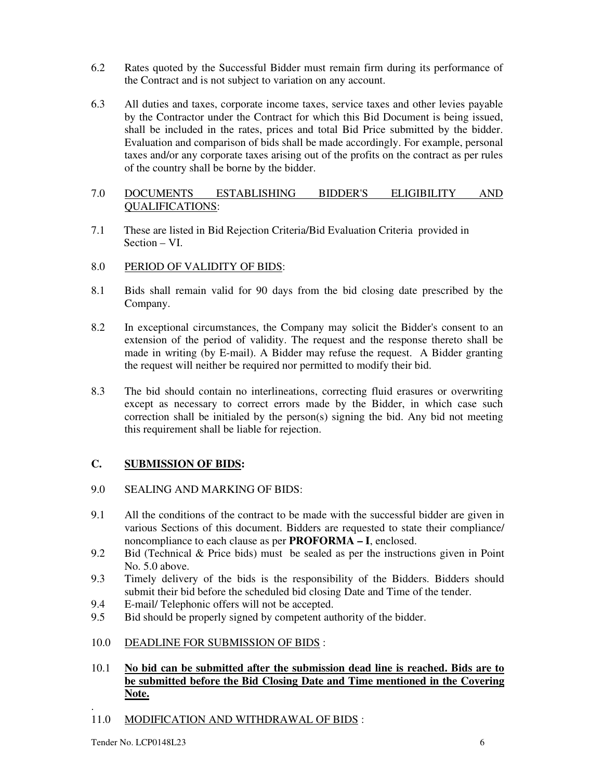- 6.2 Rates quoted by the Successful Bidder must remain firm during its performance of the Contract and is not subject to variation on any account.
- 6.3 All duties and taxes, corporate income taxes, service taxes and other levies payable by the Contractor under the Contract for which this Bid Document is being issued, shall be included in the rates, prices and total Bid Price submitted by the bidder. Evaluation and comparison of bids shall be made accordingly. For example, personal taxes and/or any corporate taxes arising out of the profits on the contract as per rules of the country shall be borne by the bidder.

# 7.0 DOCUMENTS ESTABLISHING BIDDER'S ELIGIBILITY AND QUALIFICATIONS:

7.1 These are listed in Bid Rejection Criteria/Bid Evaluation Criteria provided in Section – VI.

# 8.0 PERIOD OF VALIDITY OF BIDS:

- 8.1 Bids shall remain valid for 90 days from the bid closing date prescribed by the Company.
- 8.2 In exceptional circumstances, the Company may solicit the Bidder's consent to an extension of the period of validity. The request and the response thereto shall be made in writing (by E-mail). A Bidder may refuse the request. A Bidder granting the request will neither be required nor permitted to modify their bid.
- 8.3 The bid should contain no interlineations, correcting fluid erasures or overwriting except as necessary to correct errors made by the Bidder, in which case such correction shall be initialed by the person(s) signing the bid. Any bid not meeting this requirement shall be liable for rejection.

# **C. SUBMISSION OF BIDS:**

# 9.0 SEALING AND MARKING OF BIDS:

- 9.1 All the conditions of the contract to be made with the successful bidder are given in various Sections of this document. Bidders are requested to state their compliance/ noncompliance to each clause as per **PROFORMA – I**, enclosed.
- 9.2 Bid (Technical & Price bids) must be sealed as per the instructions given in Point No. 5.0 above.
- 9.3 Timely delivery of the bids is the responsibility of the Bidders. Bidders should submit their bid before the scheduled bid closing Date and Time of the tender.
- 9.4 E-mail/ Telephonic offers will not be accepted.
- 9.5 Bid should be properly signed by competent authority of the bidder.
- 10.0 DEADLINE FOR SUBMISSION OF BIDS :
- 10.1 **No bid can be submitted after the submission dead line is reached. Bids are to be submitted before the Bid Closing Date and Time mentioned in the Covering Note.**
- . 11.0 MODIFICATION AND WITHDRAWAL OF BIDS :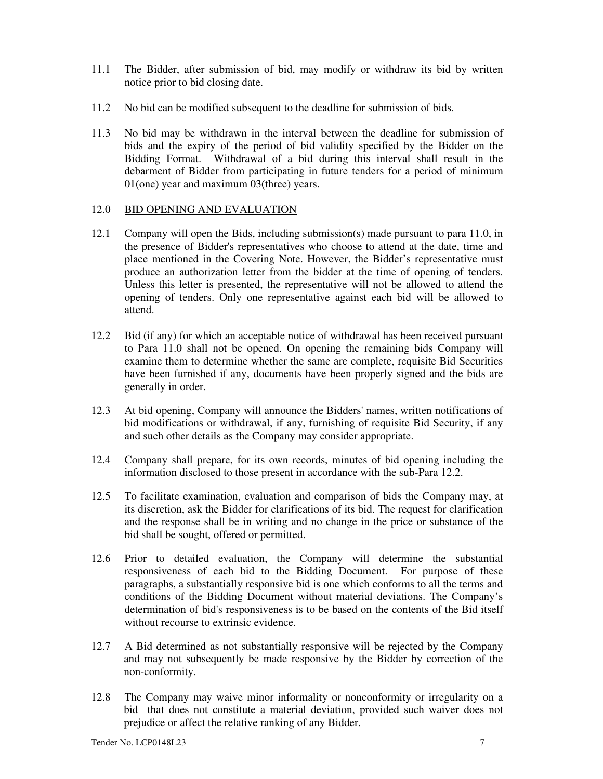- 11.1 The Bidder, after submission of bid, may modify or withdraw its bid by written notice prior to bid closing date.
- 11.2 No bid can be modified subsequent to the deadline for submission of bids.
- 11.3 No bid may be withdrawn in the interval between the deadline for submission of bids and the expiry of the period of bid validity specified by the Bidder on the Bidding Format. Withdrawal of a bid during this interval shall result in the debarment of Bidder from participating in future tenders for a period of minimum 01(one) year and maximum 03(three) years.

# 12.0 BID OPENING AND EVALUATION

- 12.1 Company will open the Bids, including submission(s) made pursuant to para 11.0, in the presence of Bidder's representatives who choose to attend at the date, time and place mentioned in the Covering Note. However, the Bidder's representative must produce an authorization letter from the bidder at the time of opening of tenders. Unless this letter is presented, the representative will not be allowed to attend the opening of tenders. Only one representative against each bid will be allowed to attend.
- 12.2 Bid (if any) for which an acceptable notice of withdrawal has been received pursuant to Para 11.0 shall not be opened. On opening the remaining bids Company will examine them to determine whether the same are complete, requisite Bid Securities have been furnished if any, documents have been properly signed and the bids are generally in order.
- 12.3 At bid opening, Company will announce the Bidders' names, written notifications of bid modifications or withdrawal, if any, furnishing of requisite Bid Security, if any and such other details as the Company may consider appropriate.
- 12.4 Company shall prepare, for its own records, minutes of bid opening including the information disclosed to those present in accordance with the sub-Para 12.2.
- 12.5 To facilitate examination, evaluation and comparison of bids the Company may, at its discretion, ask the Bidder for clarifications of its bid. The request for clarification and the response shall be in writing and no change in the price or substance of the bid shall be sought, offered or permitted.
- 12.6 Prior to detailed evaluation, the Company will determine the substantial responsiveness of each bid to the Bidding Document. For purpose of these paragraphs, a substantially responsive bid is one which conforms to all the terms and conditions of the Bidding Document without material deviations. The Company's determination of bid's responsiveness is to be based on the contents of the Bid itself without recourse to extrinsic evidence.
- 12.7 A Bid determined as not substantially responsive will be rejected by the Company and may not subsequently be made responsive by the Bidder by correction of the non-conformity.
- 12.8 The Company may waive minor informality or nonconformity or irregularity on a bid that does not constitute a material deviation, provided such waiver does not prejudice or affect the relative ranking of any Bidder.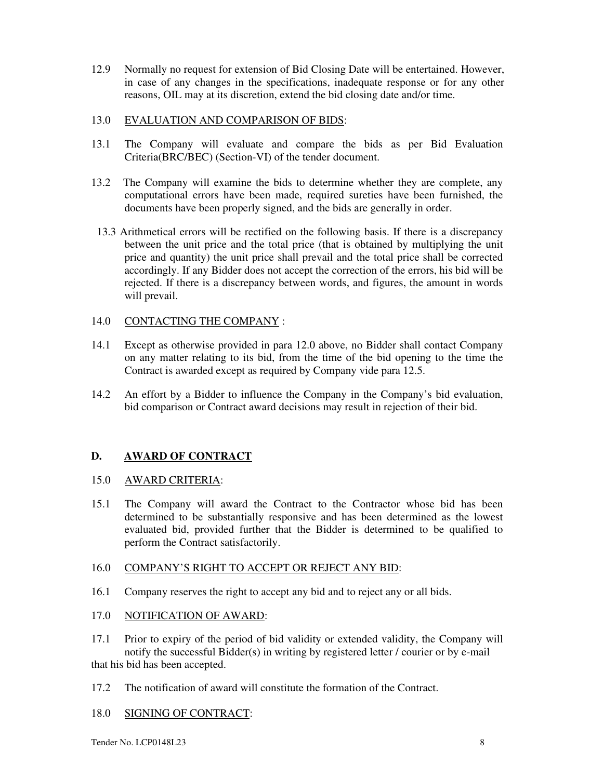12.9 Normally no request for extension of Bid Closing Date will be entertained. However, in case of any changes in the specifications, inadequate response or for any other reasons, OIL may at its discretion, extend the bid closing date and/or time.

### 13.0 EVALUATION AND COMPARISON OF BIDS:

- 13.1 The Company will evaluate and compare the bids as per Bid Evaluation Criteria(BRC/BEC) (Section-VI) of the tender document.
- 13.2 The Company will examine the bids to determine whether they are complete, any computational errors have been made, required sureties have been furnished, the documents have been properly signed, and the bids are generally in order.
- 13.3 Arithmetical errors will be rectified on the following basis. If there is a discrepancy between the unit price and the total price (that is obtained by multiplying the unit price and quantity) the unit price shall prevail and the total price shall be corrected accordingly. If any Bidder does not accept the correction of the errors, his bid will be rejected. If there is a discrepancy between words, and figures, the amount in words will prevail.

# 14.0 CONTACTING THE COMPANY :

- 14.1 Except as otherwise provided in para 12.0 above, no Bidder shall contact Company on any matter relating to its bid, from the time of the bid opening to the time the Contract is awarded except as required by Company vide para 12.5.
- 14.2 An effort by a Bidder to influence the Company in the Company's bid evaluation, bid comparison or Contract award decisions may result in rejection of their bid.

# **D. AWARD OF CONTRACT**

# 15.0 AWARD CRITERIA:

15.1 The Company will award the Contract to the Contractor whose bid has been determined to be substantially responsive and has been determined as the lowest evaluated bid, provided further that the Bidder is determined to be qualified to perform the Contract satisfactorily.

# 16.0 COMPANY'S RIGHT TO ACCEPT OR REJECT ANY BID:

16.1 Company reserves the right to accept any bid and to reject any or all bids.

# 17.0 NOTIFICATION OF AWARD:

17.1 Prior to expiry of the period of bid validity or extended validity, the Company will notify the successful Bidder(s) in writing by registered letter / courier or by e-mail

that his bid has been accepted.

- 17.2 The notification of award will constitute the formation of the Contract.
- 18.0 SIGNING OF CONTRACT: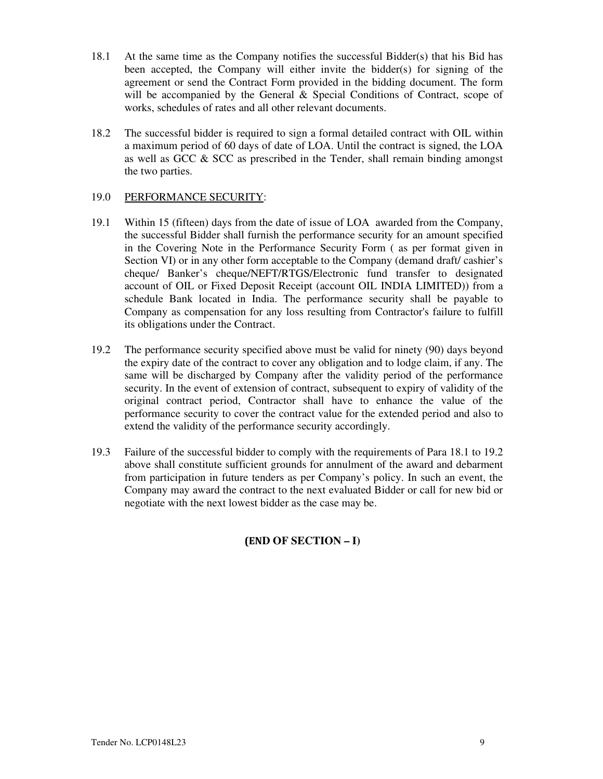- 18.1 At the same time as the Company notifies the successful Bidder(s) that his Bid has been accepted, the Company will either invite the bidder(s) for signing of the agreement or send the Contract Form provided in the bidding document. The form will be accompanied by the General & Special Conditions of Contract, scope of works, schedules of rates and all other relevant documents.
- 18.2 The successful bidder is required to sign a formal detailed contract with OIL within a maximum period of 60 days of date of LOA. Until the contract is signed, the LOA as well as GCC  $\&$  SCC as prescribed in the Tender, shall remain binding amongst the two parties.

# 19.0 PERFORMANCE SECURITY:

- 19.1 Within 15 (fifteen) days from the date of issue of LOA awarded from the Company, the successful Bidder shall furnish the performance security for an amount specified in the Covering Note in the Performance Security Form ( as per format given in Section VI) or in any other form acceptable to the Company (demand draft/ cashier's cheque/ Banker's cheque/NEFT/RTGS/Electronic fund transfer to designated account of OIL or Fixed Deposit Receipt (account OIL INDIA LIMITED)) from a schedule Bank located in India. The performance security shall be payable to Company as compensation for any loss resulting from Contractor's failure to fulfill its obligations under the Contract.
- 19.2 The performance security specified above must be valid for ninety (90) days beyond the expiry date of the contract to cover any obligation and to lodge claim, if any. The same will be discharged by Company after the validity period of the performance security. In the event of extension of contract, subsequent to expiry of validity of the original contract period, Contractor shall have to enhance the value of the performance security to cover the contract value for the extended period and also to extend the validity of the performance security accordingly.
- 19.3 Failure of the successful bidder to comply with the requirements of Para 18.1 to 19.2 above shall constitute sufficient grounds for annulment of the award and debarment from participation in future tenders as per Company's policy. In such an event, the Company may award the contract to the next evaluated Bidder or call for new bid or negotiate with the next lowest bidder as the case may be.

# **(END OF SECTION – I)**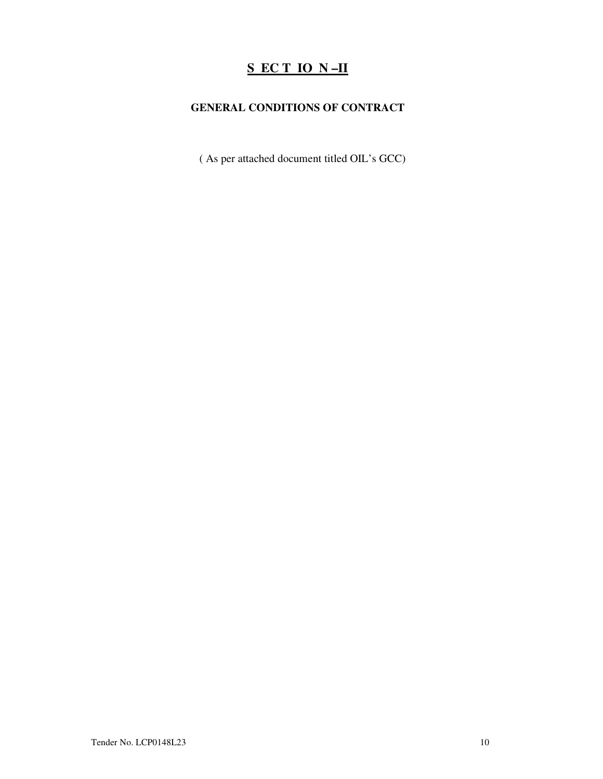# **S EC T IO N –II**

# **GENERAL CONDITIONS OF CONTRACT**

( As per attached document titled OIL's GCC)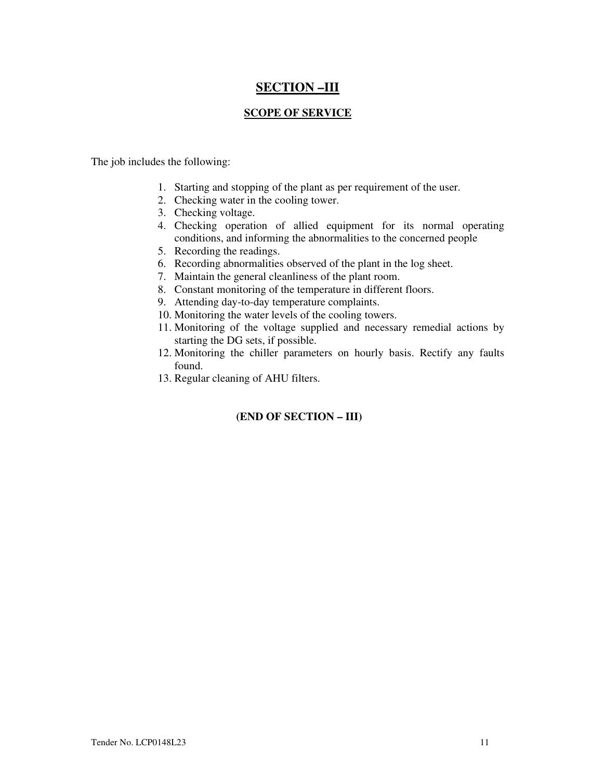# **SECTION –III**

# **SCOPE OF SERVICE**

The job includes the following:

- 1. Starting and stopping of the plant as per requirement of the user.
- 2. Checking water in the cooling tower.
- 3. Checking voltage.
- 4. Checking operation of allied equipment for its normal operating conditions, and informing the abnormalities to the concerned people
- 5. Recording the readings.
- 6. Recording abnormalities observed of the plant in the log sheet.
- 7. Maintain the general cleanliness of the plant room.
- 8. Constant monitoring of the temperature in different floors.
- 9. Attending day-to-day temperature complaints.
- 10. Monitoring the water levels of the cooling towers.
- 11. Monitoring of the voltage supplied and necessary remedial actions by starting the DG sets, if possible.
- 12. Monitoring the chiller parameters on hourly basis. Rectify any faults found.
- 13. Regular cleaning of AHU filters.

# **(END OF SECTION – III)**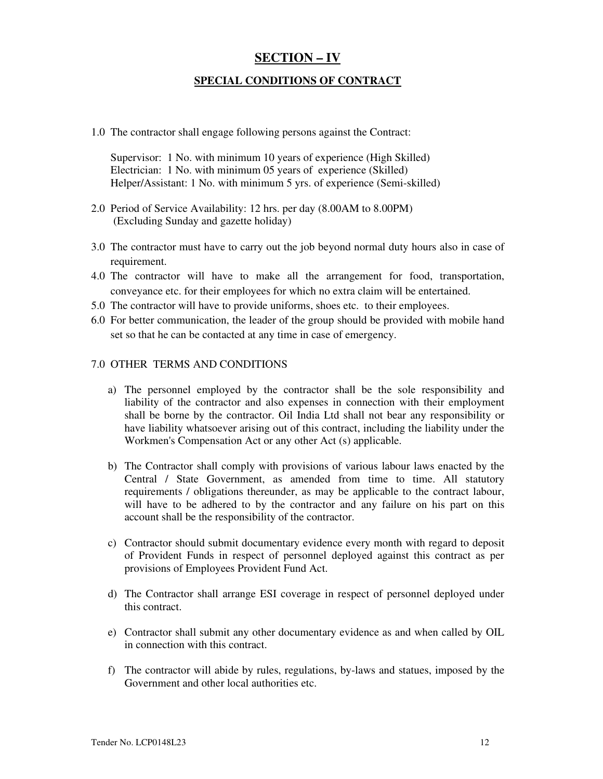# **SECTION – IV**

# **SPECIAL CONDITIONS OF CONTRACT**

1.0 The contractor shall engage following persons against the Contract:

Supervisor: 1 No. with minimum 10 years of experience (High Skilled) Electrician: 1 No. with minimum 05 years of experience (Skilled) Helper/Assistant: 1 No. with minimum 5 yrs. of experience (Semi-skilled)

- 2.0 Period of Service Availability: 12 hrs. per day (8.00AM to 8.00PM) (Excluding Sunday and gazette holiday)
- 3.0 The contractor must have to carry out the job beyond normal duty hours also in case of requirement.
- 4.0 The contractor will have to make all the arrangement for food, transportation, conveyance etc. for their employees for which no extra claim will be entertained.
- 5.0 The contractor will have to provide uniforms, shoes etc. to their employees.
- 6.0 For better communication, the leader of the group should be provided with mobile hand set so that he can be contacted at any time in case of emergency.

### 7.0 OTHER TERMS AND CONDITIONS

- a) The personnel employed by the contractor shall be the sole responsibility and liability of the contractor and also expenses in connection with their employment shall be borne by the contractor. Oil India Ltd shall not bear any responsibility or have liability whatsoever arising out of this contract, including the liability under the Workmen's Compensation Act or any other Act (s) applicable.
- b) The Contractor shall comply with provisions of various labour laws enacted by the Central / State Government, as amended from time to time. All statutory requirements / obligations thereunder, as may be applicable to the contract labour, will have to be adhered to by the contractor and any failure on his part on this account shall be the responsibility of the contractor.
- c) Contractor should submit documentary evidence every month with regard to deposit of Provident Funds in respect of personnel deployed against this contract as per provisions of Employees Provident Fund Act.
- d) The Contractor shall arrange ESI coverage in respect of personnel deployed under this contract.
- e) Contractor shall submit any other documentary evidence as and when called by OIL in connection with this contract.
- f) The contractor will abide by rules, regulations, by-laws and statues, imposed by the Government and other local authorities etc.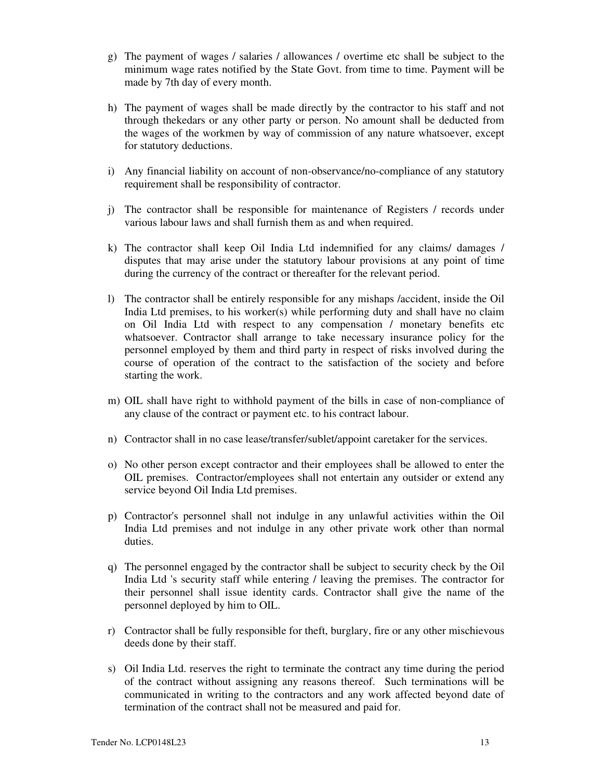- g) The payment of wages / salaries / allowances / overtime etc shall be subject to the minimum wage rates notified by the State Govt. from time to time. Payment will be made by 7th day of every month.
- h) The payment of wages shall be made directly by the contractor to his staff and not through thekedars or any other party or person. No amount shall be deducted from the wages of the workmen by way of commission of any nature whatsoever, except for statutory deductions.
- i) Any financial liability on account of non-observance/no-compliance of any statutory requirement shall be responsibility of contractor.
- j) The contractor shall be responsible for maintenance of Registers / records under various labour laws and shall furnish them as and when required.
- k) The contractor shall keep Oil India Ltd indemnified for any claims/ damages / disputes that may arise under the statutory labour provisions at any point of time during the currency of the contract or thereafter for the relevant period.
- l) The contractor shall be entirely responsible for any mishaps /accident, inside the Oil India Ltd premises, to his worker(s) while performing duty and shall have no claim on Oil India Ltd with respect to any compensation / monetary benefits etc whatsoever. Contractor shall arrange to take necessary insurance policy for the personnel employed by them and third party in respect of risks involved during the course of operation of the contract to the satisfaction of the society and before starting the work.
- m) OIL shall have right to withhold payment of the bills in case of non-compliance of any clause of the contract or payment etc. to his contract labour.
- n) Contractor shall in no case lease/transfer/sublet/appoint caretaker for the services.
- o) No other person except contractor and their employees shall be allowed to enter the OIL premises. Contractor/employees shall not entertain any outsider or extend any service beyond Oil India Ltd premises.
- p) Contractor's personnel shall not indulge in any unlawful activities within the Oil India Ltd premises and not indulge in any other private work other than normal duties.
- q) The personnel engaged by the contractor shall be subject to security check by the Oil India Ltd 's security staff while entering / leaving the premises. The contractor for their personnel shall issue identity cards. Contractor shall give the name of the personnel deployed by him to OIL.
- r) Contractor shall be fully responsible for theft, burglary, fire or any other mischievous deeds done by their staff.
- s) Oil India Ltd. reserves the right to terminate the contract any time during the period of the contract without assigning any reasons thereof. Such terminations will be communicated in writing to the contractors and any work affected beyond date of termination of the contract shall not be measured and paid for.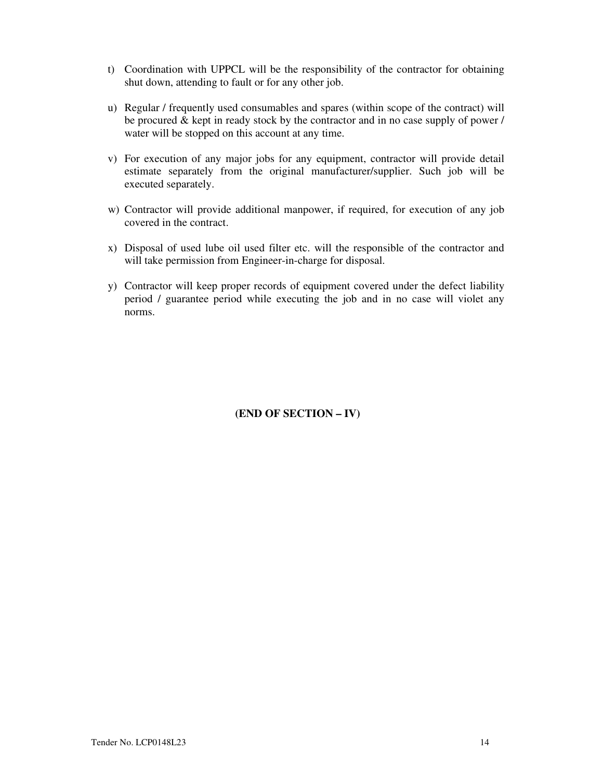- t) Coordination with UPPCL will be the responsibility of the contractor for obtaining shut down, attending to fault or for any other job.
- u) Regular / frequently used consumables and spares (within scope of the contract) will be procured & kept in ready stock by the contractor and in no case supply of power / water will be stopped on this account at any time.
- v) For execution of any major jobs for any equipment, contractor will provide detail estimate separately from the original manufacturer/supplier. Such job will be executed separately.
- w) Contractor will provide additional manpower, if required, for execution of any job covered in the contract.
- x) Disposal of used lube oil used filter etc. will the responsible of the contractor and will take permission from Engineer-in-charge for disposal.
- y) Contractor will keep proper records of equipment covered under the defect liability period / guarantee period while executing the job and in no case will violet any norms.

**(END OF SECTION – IV)**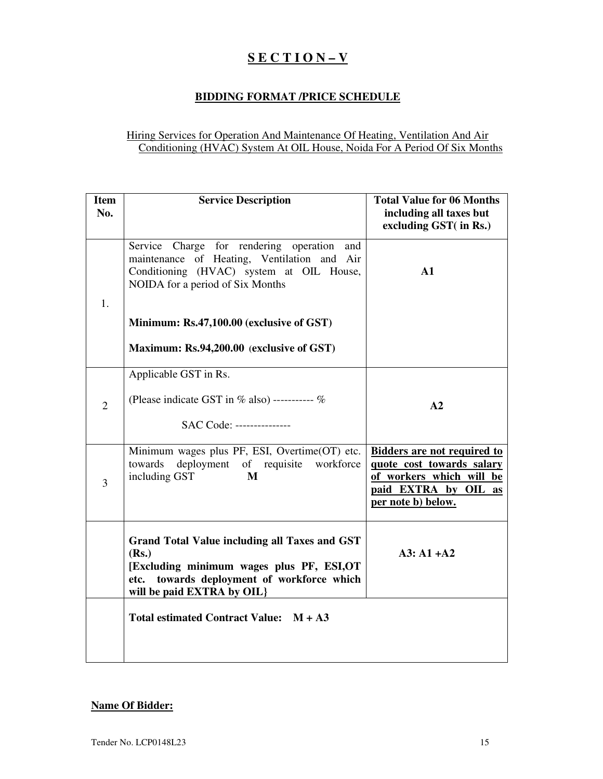# **S E C T I O N – V**

# **BIDDING FORMAT /PRICE SCHEDULE**

# Hiring Services for Operation And Maintenance Of Heating, Ventilation And Air Conditioning (HVAC) System At OIL House, Noida For A Period Of Six Months

| <b>Item</b><br>No. | <b>Service Description</b>                                                                                                                                                               | <b>Total Value for 06 Months</b><br>including all taxes but<br>excluding GST( in Rs.)                                                        |
|--------------------|------------------------------------------------------------------------------------------------------------------------------------------------------------------------------------------|----------------------------------------------------------------------------------------------------------------------------------------------|
| 1.                 | Service Charge for rendering operation<br>and<br>maintenance of Heating, Ventilation and<br>Air<br>Conditioning (HVAC) system at OIL House,<br>NOIDA for a period of Six Months          | $\mathbf{A1}$                                                                                                                                |
|                    | Minimum: Rs.47,100.00 (exclusive of GST)<br>Maximum: Rs.94,200.00 (exclusive of GST)                                                                                                     |                                                                                                                                              |
| $\overline{2}$     | Applicable GST in Rs.<br>(Please indicate GST in $%$ also) ---------- $%$<br>SAC Code: ---------------                                                                                   | A2                                                                                                                                           |
| 3                  | Minimum wages plus PF, ESI, Overtime(OT) etc.<br>deployment of requisite<br>towards<br>workforce<br>including GST<br>M                                                                   | <b>Bidders are not required to</b><br>quote cost towards salary<br>of workers which will<br>be<br>paid EXTRA by OIL as<br>per note b) below. |
|                    | <b>Grand Total Value including all Taxes and GST</b><br>(Rs.)<br>[Excluding minimum wages plus PF, ESI,OT<br>towards deployment of workforce which<br>etc.<br>will be paid EXTRA by OIL} | $A3: A1+A2$                                                                                                                                  |
|                    | Total estimated Contract Value: M + A3                                                                                                                                                   |                                                                                                                                              |

# **Name Of Bidder:**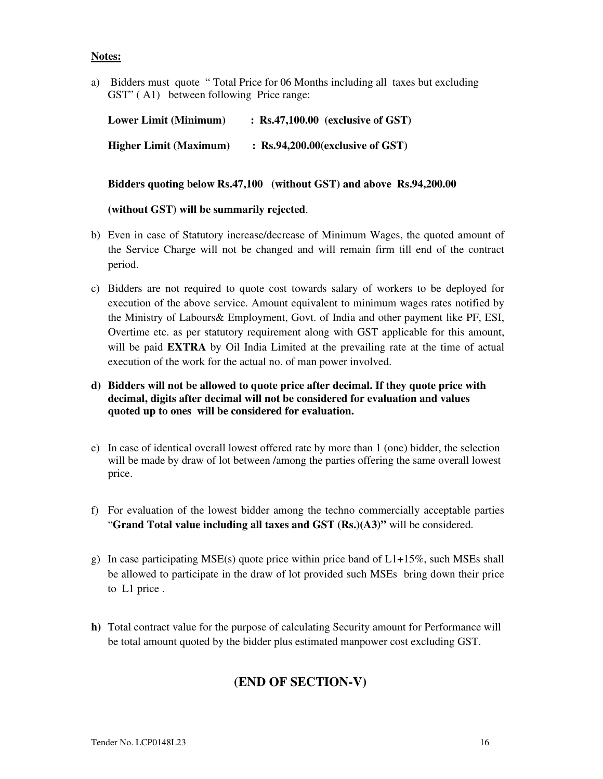# **Notes:**

a) Bidders must quote " Total Price for 06 Months including all taxes but excluding GST" ( A1) between following Price range:

| <b>Lower Limit (Minimum)</b>  | $\therefore$ Rs.47,100.00 (exclusive of GST) |
|-------------------------------|----------------------------------------------|
| <b>Higher Limit (Maximum)</b> | $\therefore$ Rs.94,200.00(exclusive of GST)  |

**Bidders quoting below Rs.47,100 (without GST) and above Rs.94,200.00** 

### **(without GST) will be summarily rejected**.

- b) Even in case of Statutory increase/decrease of Minimum Wages, the quoted amount of the Service Charge will not be changed and will remain firm till end of the contract period.
- c) Bidders are not required to quote cost towards salary of workers to be deployed for execution of the above service. Amount equivalent to minimum wages rates notified by the Ministry of Labours& Employment, Govt. of India and other payment like PF, ESI, Overtime etc. as per statutory requirement along with GST applicable for this amount, will be paid **EXTRA** by Oil India Limited at the prevailing rate at the time of actual execution of the work for the actual no. of man power involved.
- **d) Bidders will not be allowed to quote price after decimal. If they quote price with decimal, digits after decimal will not be considered for evaluation and values quoted up to ones will be considered for evaluation.**
- e) In case of identical overall lowest offered rate by more than 1 (one) bidder, the selection will be made by draw of lot between /among the parties offering the same overall lowest price.
- f) For evaluation of the lowest bidder among the techno commercially acceptable parties "**Grand Total value including all taxes and GST (Rs.)(A3)"** will be considered.
- g) In case participating MSE(s) quote price within price band of  $L1+15\%$ , such MSEs shall be allowed to participate in the draw of lot provided such MSEs bring down their price to L1 price .
- **h)** Total contract value for the purpose of calculating Security amount for Performance will be total amount quoted by the bidder plus estimated manpower cost excluding GST.

# **(END OF SECTION-V)**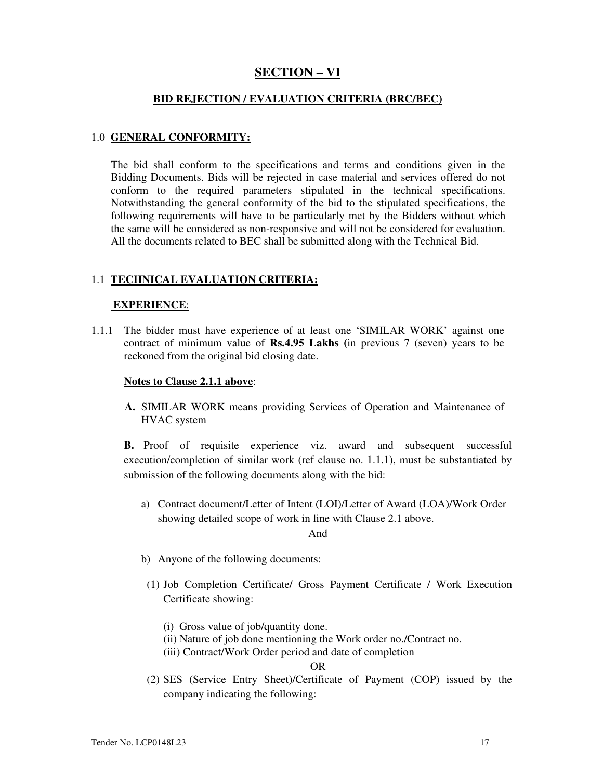# **SECTION – VI**

#### **BID REJECTION / EVALUATION CRITERIA (BRC/BEC)**

#### 1.0 **GENERAL CONFORMITY:**

The bid shall conform to the specifications and terms and conditions given in the Bidding Documents. Bids will be rejected in case material and services offered do not conform to the required parameters stipulated in the technical specifications. Notwithstanding the general conformity of the bid to the stipulated specifications, the following requirements will have to be particularly met by the Bidders without which the same will be considered as non-responsive and will not be considered for evaluation. All the documents related to BEC shall be submitted along with the Technical Bid.

#### 1.1 **TECHNICAL EVALUATION CRITERIA:**

#### **EXPERIENCE**:

1.1.1 The bidder must have experience of at least one 'SIMILAR WORK' against one contract of minimum value of **Rs.4.95 Lakhs (**in previous 7 (seven) years to be reckoned from the original bid closing date.

#### **Notes to Clause 2.1.1 above**:

**A.** SIMILAR WORK means providing Services of Operation and Maintenance of HVAC system

**B.** Proof of requisite experience viz. award and subsequent successful execution/completion of similar work (ref clause no. 1.1.1), must be substantiated by submission of the following documents along with the bid:

a) Contract document/Letter of Intent (LOI)/Letter of Award (LOA)/Work Order showing detailed scope of work in line with Clause 2.1 above.

And

- b) Anyone of the following documents:
- (1) Job Completion Certificate/ Gross Payment Certificate / Work Execution Certificate showing:
	- (i) Gross value of job/quantity done.
	- (ii) Nature of job done mentioning the Work order no./Contract no.
	- (iii) Contract/Work Order period and date of completion

OR

(2) SES (Service Entry Sheet)/Certificate of Payment (COP) issued by the company indicating the following: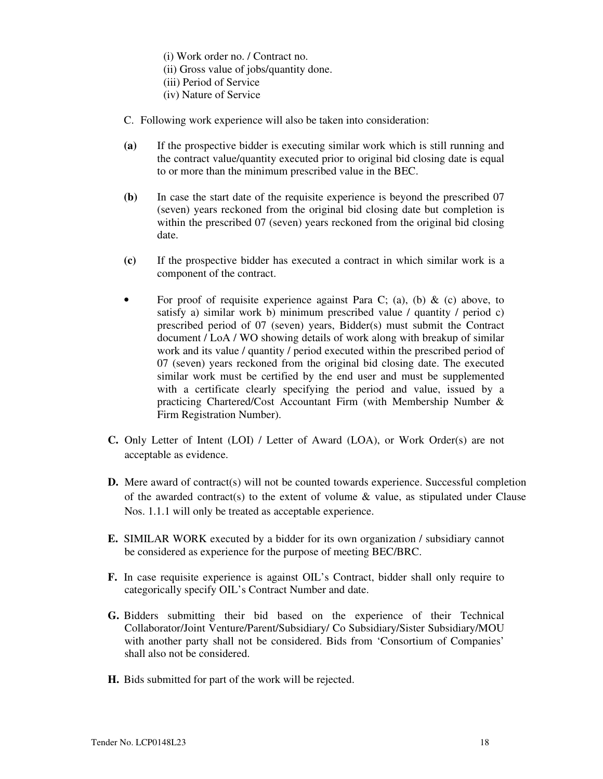- (i) Work order no. / Contract no.
- (ii) Gross value of jobs/quantity done.
- (iii) Period of Service
- (iv) Nature of Service
- C. Following work experience will also be taken into consideration:
- **(a)** If the prospective bidder is executing similar work which is still running and the contract value/quantity executed prior to original bid closing date is equal to or more than the minimum prescribed value in the BEC.
- **(b)** In case the start date of the requisite experience is beyond the prescribed 07 (seven) years reckoned from the original bid closing date but completion is within the prescribed 07 (seven) years reckoned from the original bid closing date.
- **(c)** If the prospective bidder has executed a contract in which similar work is a component of the contract.
- For proof of requisite experience against Para C; (a), (b) & (c) above, to satisfy a) similar work b) minimum prescribed value / quantity / period c) prescribed period of 07 (seven) years, Bidder(s) must submit the Contract document / LoA / WO showing details of work along with breakup of similar work and its value / quantity / period executed within the prescribed period of 07 (seven) years reckoned from the original bid closing date. The executed similar work must be certified by the end user and must be supplemented with a certificate clearly specifying the period and value, issued by a practicing Chartered/Cost Accountant Firm (with Membership Number & Firm Registration Number).
- **C.** Only Letter of Intent (LOI) / Letter of Award (LOA), or Work Order(s) are not acceptable as evidence.
- **D.** Mere award of contract(s) will not be counted towards experience. Successful completion of the awarded contract(s) to the extent of volume  $\&$  value, as stipulated under Clause Nos. 1.1.1 will only be treated as acceptable experience.
- **E.** SIMILAR WORK executed by a bidder for its own organization / subsidiary cannot be considered as experience for the purpose of meeting BEC/BRC.
- **F.** In case requisite experience is against OIL's Contract, bidder shall only require to categorically specify OIL's Contract Number and date.
- **G.** Bidders submitting their bid based on the experience of their Technical Collaborator/Joint Venture/Parent/Subsidiary/ Co Subsidiary/Sister Subsidiary/MOU with another party shall not be considered. Bids from 'Consortium of Companies' shall also not be considered.
- **H.** Bids submitted for part of the work will be rejected.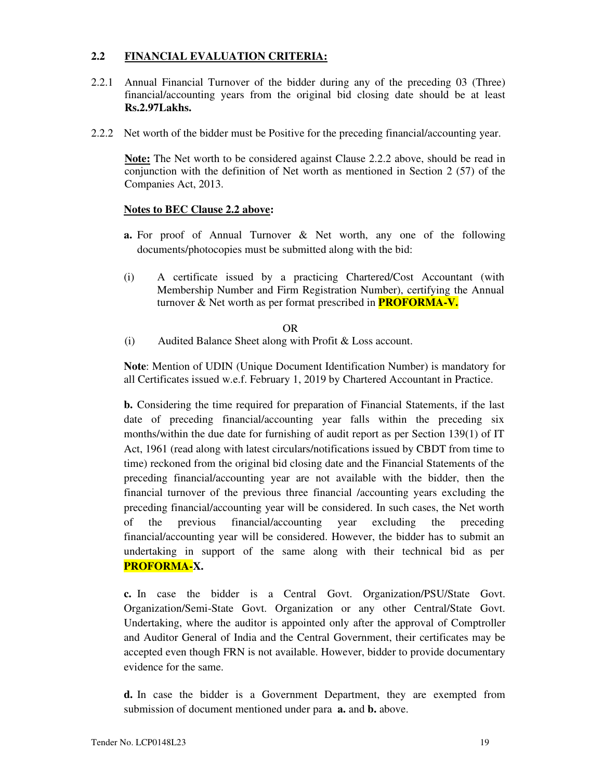# **2.2 FINANCIAL EVALUATION CRITERIA:**

- 2.2.1 Annual Financial Turnover of the bidder during any of the preceding 03 (Three) financial/accounting years from the original bid closing date should be at least **Rs.2.97Lakhs.**
- 2.2.2 Net worth of the bidder must be Positive for the preceding financial/accounting year.

**Note:** The Net worth to be considered against Clause 2.2.2 above, should be read in conjunction with the definition of Net worth as mentioned in Section 2 (57) of the Companies Act, 2013.

# **Notes to BEC Clause 2.2 above:**

- **a.** For proof of Annual Turnover & Net worth, any one of the following documents/photocopies must be submitted along with the bid:
- (i) A certificate issued by a practicing Chartered/Cost Accountant (with Membership Number and Firm Registration Number), certifying the Annual turnover & Net worth as per format prescribed in **PROFORMA-V.**

OR

(i) Audited Balance Sheet along with Profit & Loss account.

**Note**: Mention of UDIN (Unique Document Identification Number) is mandatory for all Certificates issued w.e.f. February 1, 2019 by Chartered Accountant in Practice.

**b.** Considering the time required for preparation of Financial Statements, if the last date of preceding financial/accounting year falls within the preceding six months/within the due date for furnishing of audit report as per Section 139(1) of IT Act, 1961 (read along with latest circulars/notifications issued by CBDT from time to time) reckoned from the original bid closing date and the Financial Statements of the preceding financial/accounting year are not available with the bidder, then the financial turnover of the previous three financial /accounting years excluding the preceding financial/accounting year will be considered. In such cases, the Net worth of the previous financial/accounting year excluding the preceding financial/accounting year will be considered. However, the bidder has to submit an undertaking in support of the same along with their technical bid as per **PROFORMA-X.** 

**c.** In case the bidder is a Central Govt. Organization/PSU/State Govt. Organization/Semi-State Govt. Organization or any other Central/State Govt. Undertaking, where the auditor is appointed only after the approval of Comptroller and Auditor General of India and the Central Government, their certificates may be accepted even though FRN is not available. However, bidder to provide documentary evidence for the same.

**d.** In case the bidder is a Government Department, they are exempted from submission of document mentioned under para **a.** and **b.** above.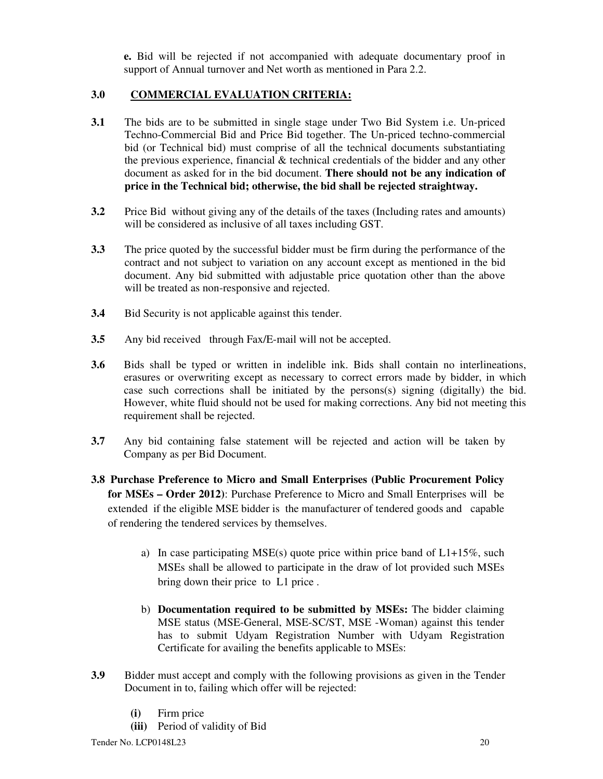**e.** Bid will be rejected if not accompanied with adequate documentary proof in support of Annual turnover and Net worth as mentioned in Para 2.2.

# **3.0 COMMERCIAL EVALUATION CRITERIA:**

- **3.1** The bids are to be submitted in single stage under Two Bid System i.e. Un-priced Techno-Commercial Bid and Price Bid together. The Un-priced techno-commercial bid (or Technical bid) must comprise of all the technical documents substantiating the previous experience, financial  $&$  technical credentials of the bidder and any other document as asked for in the bid document. **There should not be any indication of price in the Technical bid; otherwise, the bid shall be rejected straightway.**
- **3.2** Price Bid without giving any of the details of the taxes (Including rates and amounts) will be considered as inclusive of all taxes including GST.
- **3.3** The price quoted by the successful bidder must be firm during the performance of the contract and not subject to variation on any account except as mentioned in the bid document. Any bid submitted with adjustable price quotation other than the above will be treated as non-responsive and rejected.
- **3.4** Bid Security is not applicable against this tender.
- **3.5** Any bid received through Fax/E-mail will not be accepted.
- **3.6** Bids shall be typed or written in indelible ink. Bids shall contain no interlineations, erasures or overwriting except as necessary to correct errors made by bidder, in which case such corrections shall be initiated by the persons(s) signing (digitally) the bid. However, white fluid should not be used for making corrections. Any bid not meeting this requirement shall be rejected.
- **3.7** Any bid containing false statement will be rejected and action will be taken by Company as per Bid Document.
- **3.8 Purchase Preference to Micro and Small Enterprises (Public Procurement Policy for MSEs – Order 2012)**: Purchase Preference to Micro and Small Enterprises will be extended if the eligible MSE bidder is the manufacturer of tendered goods and capable of rendering the tendered services by themselves.
	- a) In case participating MSE(s) quote price within price band of  $L1+15\%$ , such MSEs shall be allowed to participate in the draw of lot provided such MSEs bring down their price to L1 price .
	- b) **Documentation required to be submitted by MSEs:** The bidder claiming MSE status (MSE-General, MSE-SC/ST, MSE -Woman) against this tender has to submit Udyam Registration Number with Udyam Registration Certificate for availing the benefits applicable to MSEs:
- **3.9** Bidder must accept and comply with the following provisions as given in the Tender Document in to, failing which offer will be rejected:
	- **(i)** Firm price
	- **(iii)** Period of validity of Bid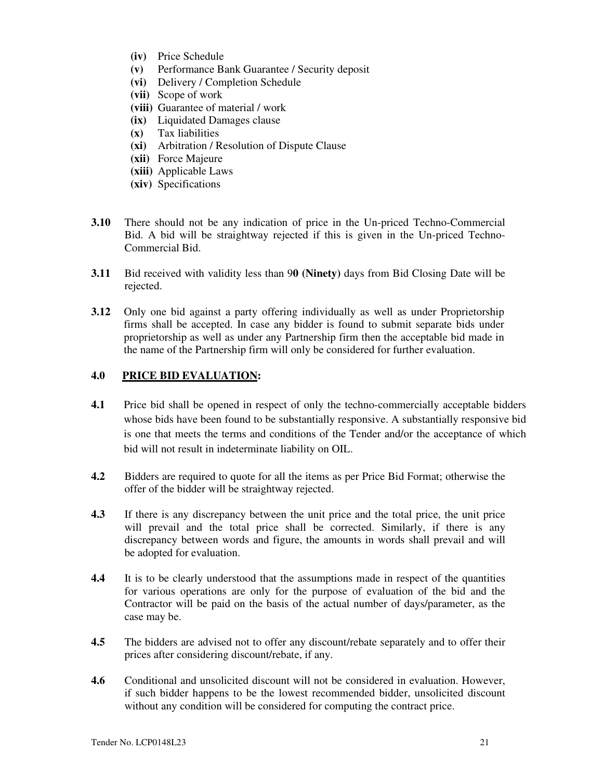- **(iv)** Price Schedule
- **(v)** Performance Bank Guarantee / Security deposit
- **(vi)** Delivery / Completion Schedule
- **(vii)** Scope of work
- **(viii)** Guarantee of material / work
- **(ix)** Liquidated Damages clause
- **(x)** Tax liabilities
- **(xi)** Arbitration / Resolution of Dispute Clause
- **(xii)** Force Majeure
- **(xiii)** Applicable Laws
- **(xiv)** Specifications
- **3.10** There should not be any indication of price in the Un-priced Techno-Commercial Bid. A bid will be straightway rejected if this is given in the Un-priced Techno-Commercial Bid.
- **3.11** Bid received with validity less than 9**0 (Ninety)** days from Bid Closing Date will be rejected.
- **3.12** Only one bid against a party offering individually as well as under Proprietorship firms shall be accepted. In case any bidder is found to submit separate bids under proprietorship as well as under any Partnership firm then the acceptable bid made in the name of the Partnership firm will only be considered for further evaluation.

# **4.0 PRICE BID EVALUATION:**

- **4.1** Price bid shall be opened in respect of only the techno-commercially acceptable bidders whose bids have been found to be substantially responsive. A substantially responsive bid is one that meets the terms and conditions of the Tender and/or the acceptance of which bid will not result in indeterminate liability on OIL.
- **4.2** Bidders are required to quote for all the items as per Price Bid Format; otherwise the offer of the bidder will be straightway rejected.
- **4.3** If there is any discrepancy between the unit price and the total price, the unit price will prevail and the total price shall be corrected. Similarly, if there is any discrepancy between words and figure, the amounts in words shall prevail and will be adopted for evaluation.
- **4.4** It is to be clearly understood that the assumptions made in respect of the quantities for various operations are only for the purpose of evaluation of the bid and the Contractor will be paid on the basis of the actual number of days/parameter, as the case may be.
- **4.5** The bidders are advised not to offer any discount/rebate separately and to offer their prices after considering discount/rebate, if any.
- **4.6** Conditional and unsolicited discount will not be considered in evaluation. However, if such bidder happens to be the lowest recommended bidder, unsolicited discount without any condition will be considered for computing the contract price.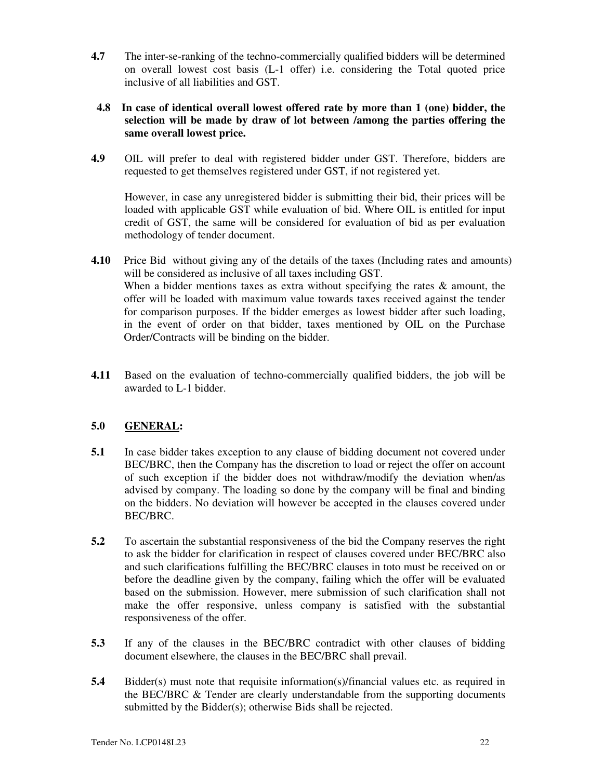**4.7** The inter-se-ranking of the techno-commercially qualified bidders will be determined on overall lowest cost basis (L-1 offer) i.e. considering the Total quoted price inclusive of all liabilities and GST.

# **4.8 In case of identical overall lowest offered rate by more than 1 (one) bidder, the selection will be made by draw of lot between /among the parties offering the same overall lowest price.**

**4.9** OIL will prefer to deal with registered bidder under GST. Therefore, bidders are requested to get themselves registered under GST, if not registered yet.

However, in case any unregistered bidder is submitting their bid, their prices will be loaded with applicable GST while evaluation of bid. Where OIL is entitled for input credit of GST, the same will be considered for evaluation of bid as per evaluation methodology of tender document.

- **4.10** Price Bid without giving any of the details of the taxes (Including rates and amounts) will be considered as inclusive of all taxes including GST. When a bidder mentions taxes as extra without specifying the rates  $\&$  amount, the offer will be loaded with maximum value towards taxes received against the tender for comparison purposes. If the bidder emerges as lowest bidder after such loading, in the event of order on that bidder, taxes mentioned by OIL on the Purchase Order/Contracts will be binding on the bidder.
- **4.11** Based on the evaluation of techno-commercially qualified bidders, the job will be awarded to L-1 bidder.

# **5.0 GENERAL:**

- **5.1** In case bidder takes exception to any clause of bidding document not covered under BEC/BRC, then the Company has the discretion to load or reject the offer on account of such exception if the bidder does not withdraw/modify the deviation when/as advised by company. The loading so done by the company will be final and binding on the bidders. No deviation will however be accepted in the clauses covered under BEC/BRC.
- **5.2** To ascertain the substantial responsiveness of the bid the Company reserves the right to ask the bidder for clarification in respect of clauses covered under BEC/BRC also and such clarifications fulfilling the BEC/BRC clauses in toto must be received on or before the deadline given by the company, failing which the offer will be evaluated based on the submission. However, mere submission of such clarification shall not make the offer responsive, unless company is satisfied with the substantial responsiveness of the offer.
- **5.3** If any of the clauses in the BEC/BRC contradict with other clauses of bidding document elsewhere, the clauses in the BEC/BRC shall prevail.
- **5.4** Bidder(s) must note that requisite information(s)/financial values etc. as required in the BEC/BRC & Tender are clearly understandable from the supporting documents submitted by the Bidder(s); otherwise Bids shall be rejected.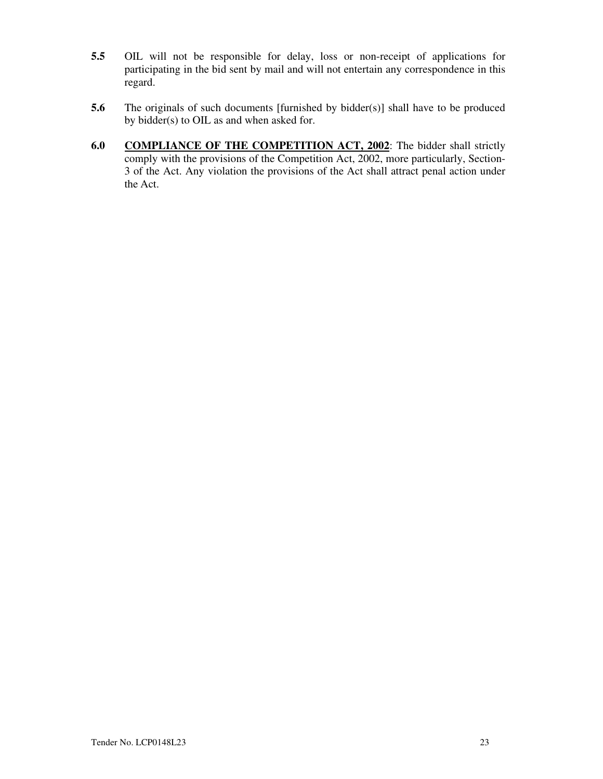- **5.5** OIL will not be responsible for delay, loss or non-receipt of applications for participating in the bid sent by mail and will not entertain any correspondence in this regard.
- **5.6** The originals of such documents [furnished by bidder(s)] shall have to be produced by bidder(s) to OIL as and when asked for.
- **6.0 COMPLIANCE OF THE COMPETITION ACT, 2002**: The bidder shall strictly comply with the provisions of the Competition Act, 2002, more particularly, Section-3 of the Act. Any violation the provisions of the Act shall attract penal action under the Act.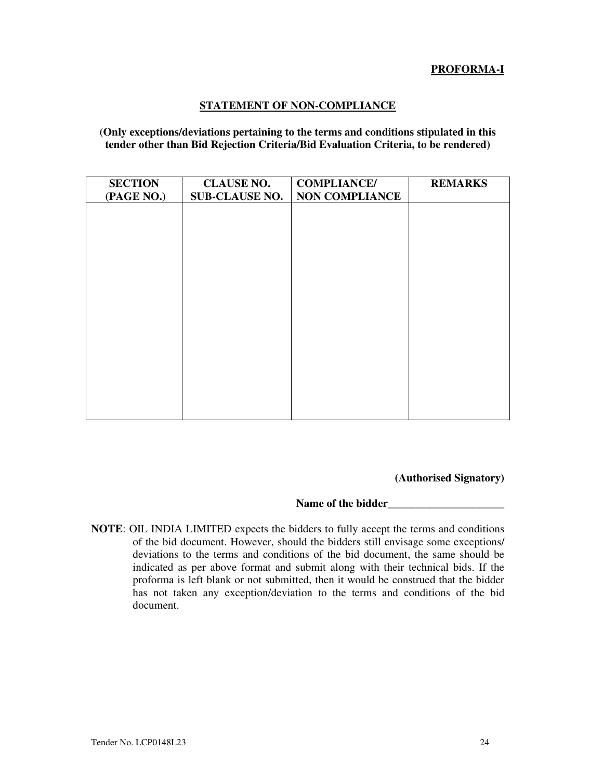# **PROFORMA-I**

# **STATEMENT OF NON-COMPLIANCE**

**(Only exceptions/deviations pertaining to the terms and conditions stipulated in this tender other than Bid Rejection Criteria/Bid Evaluation Criteria, to be rendered)** 

| <b>SECTION</b> | <b>CLAUSE NO.</b>     | <b>COMPLIANCE/</b>    | <b>REMARKS</b> |
|----------------|-----------------------|-----------------------|----------------|
| (PAGE NO.)     | <b>SUB-CLAUSE NO.</b> | <b>NON COMPLIANCE</b> |                |
|                |                       |                       |                |
|                |                       |                       |                |
|                |                       |                       |                |
|                |                       |                       |                |
|                |                       |                       |                |
|                |                       |                       |                |
|                |                       |                       |                |
|                |                       |                       |                |
|                |                       |                       |                |
|                |                       |                       |                |
|                |                       |                       |                |

**(Authorised Signatory)** 

**Name of the bidder\_\_\_\_\_\_\_\_\_\_\_\_\_\_\_\_\_\_\_\_\_** 

**NOTE**: OIL INDIA LIMITED expects the bidders to fully accept the terms and conditions of the bid document. However, should the bidders still envisage some exceptions/ deviations to the terms and conditions of the bid document, the same should be indicated as per above format and submit along with their technical bids. If the proforma is left blank or not submitted, then it would be construed that the bidder has not taken any exception/deviation to the terms and conditions of the bid document.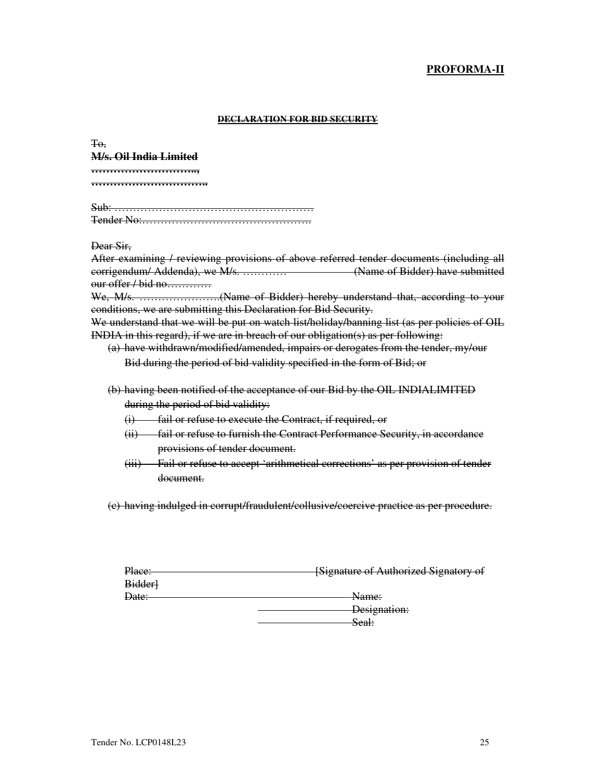# **PROFORMA-II**

#### **DECLARATION FOR BID SECURITY**

To, **M/s. Oil India Limited ……………………….., …………………………..** 

Sub: ……………………………………………… Tender No:……………………………………….

Dear Sir,

After examining / reviewing provisions of above referred tender documents (including all corrigendum/ Addenda), we M/s. ………… (Name of Bidder) have submitted our offer / bid no…………

We, M/s. ………………….(Name of Bidder) hereby understand that, according to your conditions, we are submitting this Declaration for Bid Security.

We understand that we will be put on watch list/holiday/banning list (as per policies of OIL INDIA in this regard), if we are in breach of our obligation(s) as per following:

(a) have withdrawn/modified/amended, impairs or derogates from the tender, my/our Bid during the period of bid validity specified in the form of Bid; or

- (b) having been notified of the acceptance of our Bid by the OIL INDIALIMITED during the period of bid validity:
	- (i) fail or refuse to execute the Contract, if required, or
	- (ii) fail or refuse to furnish the Contract Performance Security, in accordance provisions of tender document.
	- (iii) Fail or refuse to accept 'arithmetical corrections' as per provision of tender document.

(c) having indulged in corrupt/fraudulent/collusive/coercive practice as per procedure.

| Place: | <b>[Signature of Authorized Signatory of</b> |
|--------|----------------------------------------------|
|        |                                              |
| Bidder |                                              |
| Date:  | <del>Name:</del>                             |
|        |                                              |
|        | Designation:                                 |
|        | Seal:                                        |
|        |                                              |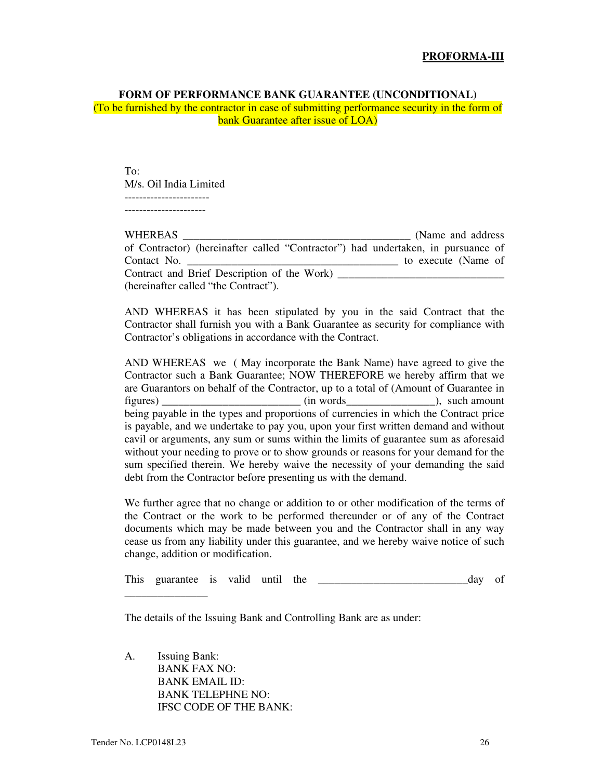#### **FORM OF PERFORMANCE BANK GUARANTEE (UNCONDITIONAL)**

(To be furnished by the contractor in case of submitting performance security in the form of bank Guarantee after issue of LOA)

To: M/s. Oil India Limited ----------------------- ----------------------

| WHEREAS                                                                          | (Name and address)  |
|----------------------------------------------------------------------------------|---------------------|
| of Contractor) (hereinafter called "Contractor") had undertaken, in pursuance of |                     |
| Contact No.                                                                      | to execute (Name of |
| Contract and Brief Description of the Work)                                      |                     |
| (hereinafter called "the Contract").                                             |                     |

AND WHEREAS it has been stipulated by you in the said Contract that the Contractor shall furnish you with a Bank Guarantee as security for compliance with Contractor's obligations in accordance with the Contract.

AND WHEREAS we ( May incorporate the Bank Name) have agreed to give the Contractor such a Bank Guarantee; NOW THEREFORE we hereby affirm that we are Guarantors on behalf of the Contractor, up to a total of (Amount of Guarantee in figures) \_\_\_\_\_\_\_\_\_\_\_\_\_\_\_\_\_\_\_\_\_\_\_\_\_ (in words\_\_\_\_\_\_\_\_\_\_\_\_\_\_\_\_), such amount being payable in the types and proportions of currencies in which the Contract price is payable, and we undertake to pay you, upon your first written demand and without cavil or arguments, any sum or sums within the limits of guarantee sum as aforesaid without your needing to prove or to show grounds or reasons for your demand for the sum specified therein. We hereby waive the necessity of your demanding the said debt from the Contractor before presenting us with the demand.

We further agree that no change or addition to or other modification of the terms of the Contract or the work to be performed thereunder or of any of the Contract documents which may be made between you and the Contractor shall in any way cease us from any liability under this guarantee, and we hereby waive notice of such change, addition or modification.

This guarantee is valid until the \_\_\_\_\_\_\_\_\_\_\_\_\_\_\_\_\_\_\_\_\_\_\_\_\_\_\_day of

The details of the Issuing Bank and Controlling Bank are as under:

A. Issuing Bank: BANK FAX NO: BANK EMAIL ID: BANK TELEPHNE NO: IFSC CODE OF THE BANK:

\_\_\_\_\_\_\_\_\_\_\_\_\_\_\_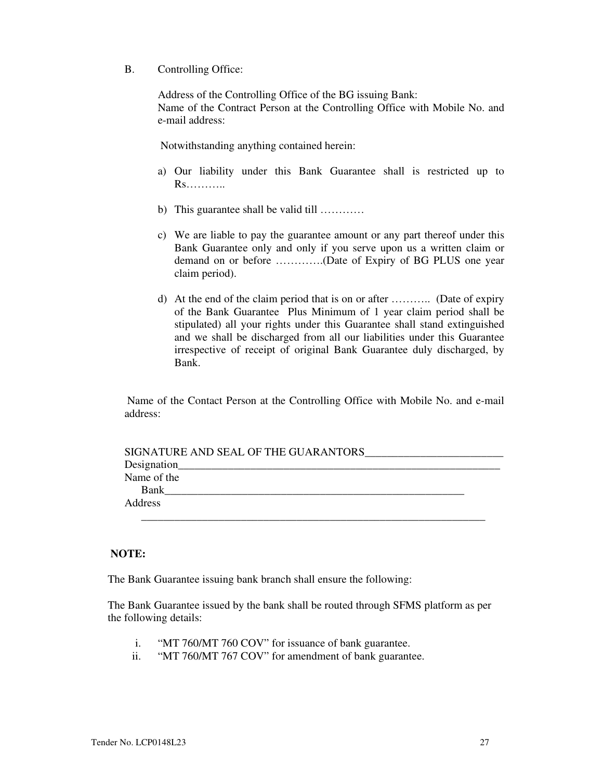B. Controlling Office:

Address of the Controlling Office of the BG issuing Bank: Name of the Contract Person at the Controlling Office with Mobile No. and e-mail address:

Notwithstanding anything contained herein:

- a) Our liability under this Bank Guarantee shall is restricted up to Rs………..
- b) This guarantee shall be valid till …………
- c) We are liable to pay the guarantee amount or any part thereof under this Bank Guarantee only and only if you serve upon us a written claim or demand on or before ………….(Date of Expiry of BG PLUS one year claim period).
- d) At the end of the claim period that is on or after ……….. (Date of expiry of the Bank Guarantee Plus Minimum of 1 year claim period shall be stipulated) all your rights under this Guarantee shall stand extinguished and we shall be discharged from all our liabilities under this Guarantee irrespective of receipt of original Bank Guarantee duly discharged, by Bank.

 Name of the Contact Person at the Controlling Office with Mobile No. and e-mail address:

| SIGNATURE AND SEAL OF THE GUARANTORS |  |
|--------------------------------------|--|
|                                      |  |
| Name of the                          |  |
| Bank                                 |  |
| Address                              |  |
|                                      |  |

# **NOTE:**

The Bank Guarantee issuing bank branch shall ensure the following:

The Bank Guarantee issued by the bank shall be routed through SFMS platform as per the following details:

- i. "MT 760/MT 760 COV" for issuance of bank guarantee.
- ii. "MT 760/MT 767 COV" for amendment of bank guarantee.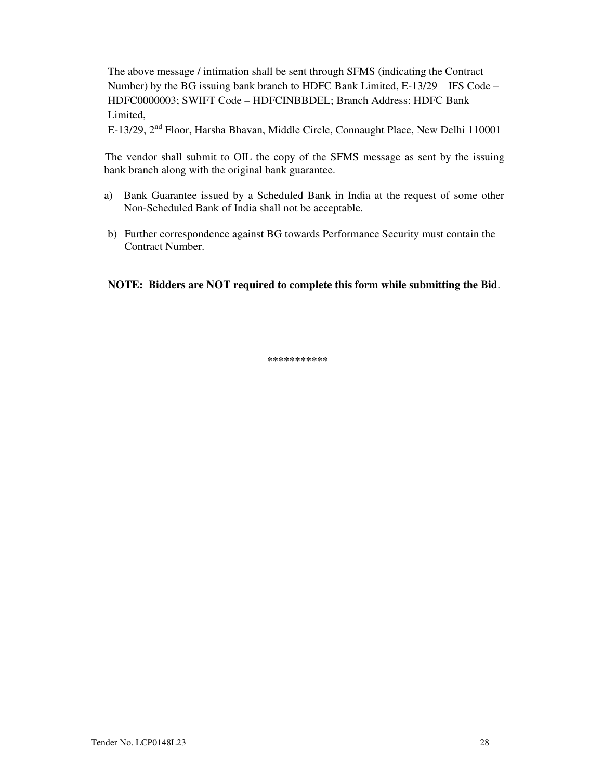The above message / intimation shall be sent through SFMS (indicating the Contract Number) by the BG issuing bank branch to HDFC Bank Limited, E-13/29 IFS Code – HDFC0000003; SWIFT Code – HDFCINBBDEL; Branch Address: HDFC Bank Limited,

E-13/29, 2nd Floor, Harsha Bhavan, Middle Circle, Connaught Place, New Delhi 110001

 The vendor shall submit to OIL the copy of the SFMS message as sent by the issuing bank branch along with the original bank guarantee.

- a) Bank Guarantee issued by a Scheduled Bank in India at the request of some other Non-Scheduled Bank of India shall not be acceptable.
- b) Further correspondence against BG towards Performance Security must contain the Contract Number.

**NOTE: Bidders are NOT required to complete this form while submitting the Bid**.

**\*\*\*\*\*\*\*\*\*\*\***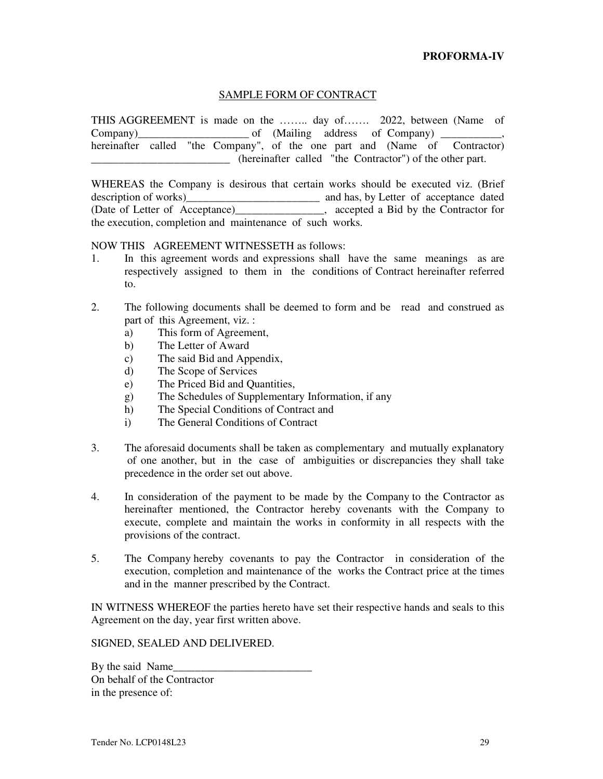# SAMPLE FORM OF CONTRACT

THIS AGGREEMENT is made on the …….. day of……. 2022, between (Name of Company)  $\qquad \qquad \qquad$  of (Mailing address of Company)  $\qquad \qquad$ , hereinafter called "the Company", of the one part and (Name of Contractor) \_\_\_\_\_\_\_\_\_\_\_\_\_\_\_\_\_\_\_\_\_\_\_\_\_ (hereinafter called "the Contractor") of the other part.

WHEREAS the Company is desirous that certain works should be executed viz. (Brief description of works)\_\_\_\_\_\_\_\_\_\_\_\_\_\_\_\_\_\_\_\_\_\_\_\_ and has, by Letter of acceptance dated (Date of Letter of Acceptance)\_\_\_\_\_\_\_\_\_\_\_\_\_\_\_\_, accepted a Bid by the Contractor for the execution, completion and maintenance of such works.

### NOW THIS AGREEMENT WITNESSETH as follows:

- 1. In this agreement words and expressions shall have the same meanings as are respectively assigned to them in the conditions of Contract hereinafter referred to.
- 2. The following documents shall be deemed to form and be read and construed as part of this Agreement, viz. :
	- a) This form of Agreement,
	- b) The Letter of Award
	- c) The said Bid and Appendix,
	- d) The Scope of Services
	- e) The Priced Bid and Quantities,
	- g) The Schedules of Supplementary Information, if any
	- h) The Special Conditions of Contract and
	- i) The General Conditions of Contract
- 3. The aforesaid documents shall be taken as complementary and mutually explanatory of one another, but in the case of ambiguities or discrepancies they shall take precedence in the order set out above.
- 4. In consideration of the payment to be made by the Company to the Contractor as hereinafter mentioned, the Contractor hereby covenants with the Company to execute, complete and maintain the works in conformity in all respects with the provisions of the contract.
- 5. The Company hereby covenants to pay the Contractor in consideration of the execution, completion and maintenance of the works the Contract price at the times and in the manner prescribed by the Contract.

IN WITNESS WHEREOF the parties hereto have set their respective hands and seals to this Agreement on the day, year first written above.

SIGNED, SEALED AND DELIVERED.

By the said Name On behalf of the Contractor in the presence of: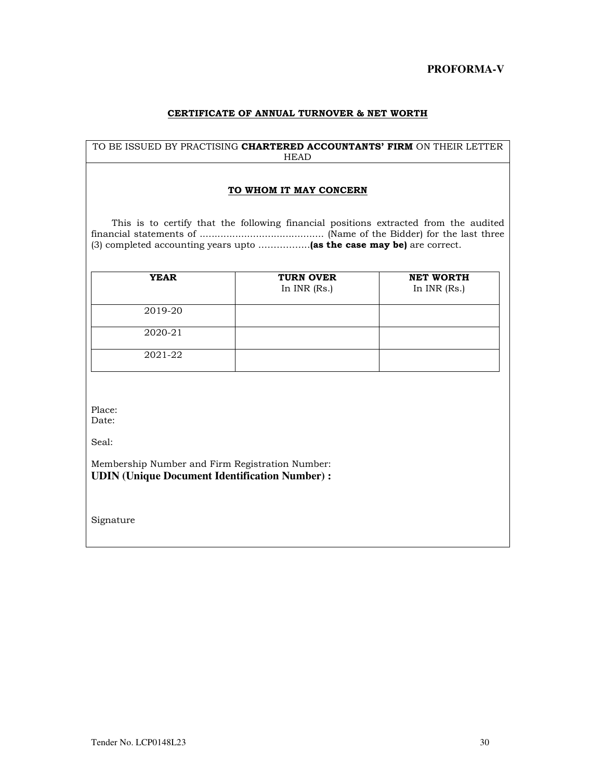**PROFORMA-V** 

#### **CERTIFICATE OF ANNUAL TURNOVER & NET WORTH**

#### TO BE ISSUED BY PRACTISING **CHARTERED ACCOUNTANTS' FIRM** ON THEIR LETTER HEAD

#### **TO WHOM IT MAY CONCERN**

 This is to certify that the following financial positions extracted from the audited financial statements of .......................................... (Name of the Bidder) for the last three (3) completed accounting years upto ……………..**(as the case may be)** are correct.

| <b>YEAR</b> | <b>TURN OVER</b><br>In $INR$ (Rs.) | <b>NET WORTH</b><br>In $INR$ (Rs.) |
|-------------|------------------------------------|------------------------------------|
| 2019-20     |                                    |                                    |
| 2020-21     |                                    |                                    |
| 2021-22     |                                    |                                    |

Place:

Date:

Seal:

Membership Number and Firm Registration Number: **UDIN (Unique Document Identification Number) :** 

Signature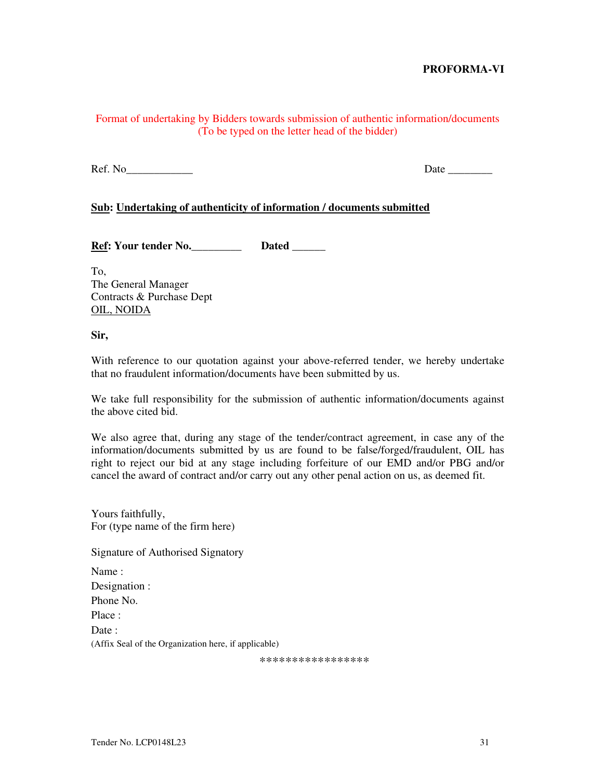# **PROFORMA-VI**

# Format of undertaking by Bidders towards submission of authentic information/documents (To be typed on the letter head of the bidder)

Ref. No\_\_\_\_\_\_\_\_\_\_\_\_ Date \_\_\_\_\_\_\_\_

### **Sub: Undertaking of authenticity of information / documents submitted**

**Ref: Your tender No.** Dated

To, The General Manager Contracts & Purchase Dept OIL, NOIDA

#### **Sir,**

With reference to our quotation against your above-referred tender, we hereby undertake that no fraudulent information/documents have been submitted by us.

We take full responsibility for the submission of authentic information/documents against the above cited bid.

We also agree that, during any stage of the tender/contract agreement, in case any of the information/documents submitted by us are found to be false/forged/fraudulent, OIL has right to reject our bid at any stage including forfeiture of our EMD and/or PBG and/or cancel the award of contract and/or carry out any other penal action on us, as deemed fit.

| Yours faithfully,                                    |  |  |
|------------------------------------------------------|--|--|
| For (type name of the firm here)                     |  |  |
| Signature of Authorised Signatory                    |  |  |
| Name:                                                |  |  |
| Designation :                                        |  |  |
| Phone No.                                            |  |  |
| Place:                                               |  |  |
| Date :                                               |  |  |
| (Affix Seal of the Organization here, if applicable) |  |  |

\*\*\*\*\*\*\*\*\*\*\*\*\*\*\*\*\*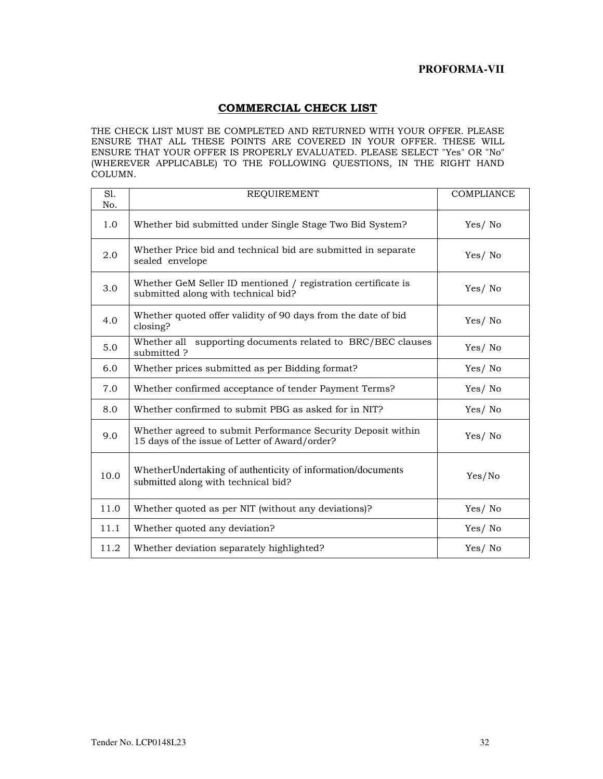# **PROFORMA-VII**

# **COMMERCIAL CHECK LIST**

THE CHECK LIST MUST BE COMPLETED AND RETURNED WITH YOUR OFFER. PLEASE ENSURE THAT ALL THESE POINTS ARE COVERED IN YOUR OFFER. THESE WILL ENSURE THAT YOUR OFFER IS PROPERLY EVALUATED. PLEASE SELECT "Yes" OR "No" (WHEREVER APPLICABLE) TO THE FOLLOWING QUESTIONS, IN THE RIGHT HAND COLUMN.

| S1.<br>No. | <b>REQUIREMENT</b>                                                                                             | <b>COMPLIANCE</b> |
|------------|----------------------------------------------------------------------------------------------------------------|-------------------|
| 1.0        | Whether bid submitted under Single Stage Two Bid System?                                                       | Yes/No            |
| 2.0        | Whether Price bid and technical bid are submitted in separate<br>sealed envelope                               | Yes/No            |
| 3.0        | Whether GeM Seller ID mentioned / registration certificate is<br>submitted along with technical bid?           | Yes/No            |
| 4.0        | Whether quoted offer validity of 90 days from the date of bid<br>closing?                                      | Yes/No            |
| 5.0        | supporting documents related to BRC/BEC clauses<br>Whether all<br>submitted ?                                  | Yes/No            |
| 6.0        | Whether prices submitted as per Bidding format?                                                                | Yes/No            |
| 7.0        | Whether confirmed acceptance of tender Payment Terms?                                                          | Yes/No            |
| 8.0        | Whether confirmed to submit PBG as asked for in NIT?                                                           | Yes/No            |
| 9.0        | Whether agreed to submit Performance Security Deposit within<br>15 days of the issue of Letter of Award/order? | Yes/No            |
| 10.0       | Whether Undertaking of authenticity of information/documents<br>submitted along with technical bid?            | Yes/No            |
| 11.0       | Whether quoted as per NIT (without any deviations)?                                                            | Yes/No            |
| 11.1       | Whether quoted any deviation?                                                                                  | Yes/No            |
| 11.2       | Whether deviation separately highlighted?                                                                      | Yes/No            |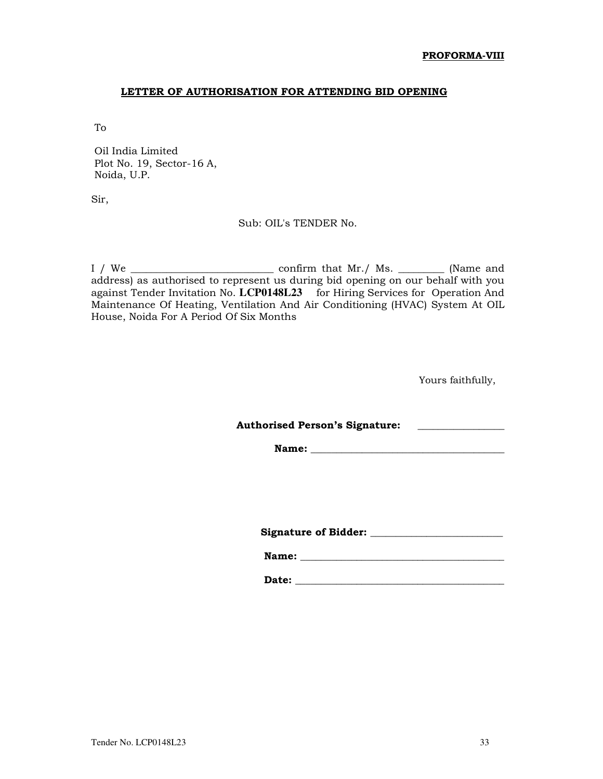### **LETTER OF AUTHORISATION FOR ATTENDING BID OPENING**

To

 Oil India Limited Plot No. 19, Sector-16 A, Noida, U.P.

Sir,

# Sub: OIL's TENDER No.

I / We \_\_\_\_\_\_\_\_\_\_\_\_\_\_\_\_\_\_\_\_\_\_\_\_\_\_\_\_ confirm that Mr./ Ms. \_\_\_\_\_\_\_\_\_ (Name and address) as authorised to represent us during bid opening on our behalf with you against Tender Invitation No. **LCP0148L23** for Hiring Services for Operation And Maintenance Of Heating, Ventilation And Air Conditioning (HVAC) System At OIL House, Noida For A Period Of Six Months

Yours faithfully,

Authorised Person's Signature: **with** *\_\_\_\_\_\_\_\_\_\_\_\_\_***\_\_\_\_\_** 

**Name:**  $\blacksquare$ 

 **Signature of Bidder: \_\_\_\_\_\_\_\_\_\_\_\_\_\_\_\_\_\_\_\_\_\_\_\_\_\_** 

 **Name: \_\_\_\_\_\_\_\_\_\_\_\_\_\_\_\_\_\_\_\_\_\_\_\_\_\_\_\_\_\_\_\_\_\_\_\_\_\_\_\_** 

 **Date: \_\_\_\_\_\_\_\_\_\_\_\_\_\_\_\_\_\_\_\_\_\_\_\_\_\_\_\_\_\_\_\_\_\_\_\_\_\_\_\_\_**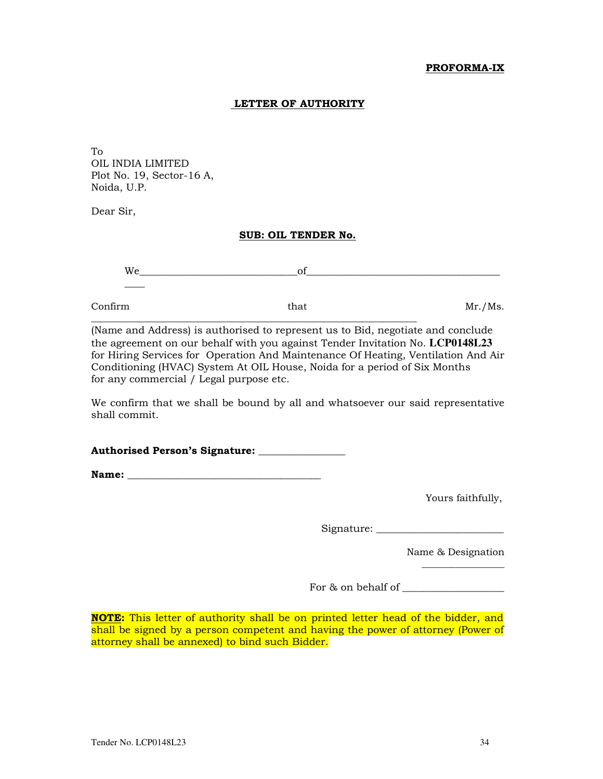# **PROFORMA-IX**

### **LETTER OF AUTHORITY**

To OIL INDIA LIMITED Plot No. 19, Sector-16 A, Noida, U.P.

Dear Sir,

#### **SUB: OIL TENDER No.**

| Confirm | that | Mr./Ms. |
|---------|------|---------|
|         |      |         |

(Name and Address) is authorised to represent us to Bid, negotiate and conclude the agreement on our behalf with you against Tender Invitation No. **LCP0148L23**  for Hiring Services for Operation And Maintenance Of Heating, Ventilation And Air Conditioning (HVAC) System At OIL House, Noida for a period of Six Months for any commercial / Legal purpose etc.

We confirm that we shall be bound by all and whatsoever our said representative shall commit.

**Authorised Person's Signature: \_\_\_\_\_\_\_\_\_\_\_\_\_\_\_\_\_** 

**Name:**  $\blacksquare$ 

Yours faithfully,

Signature: \_\_\_\_\_\_\_\_\_\_\_\_\_\_\_\_\_\_\_\_\_\_\_\_\_

Name & Designation

 $\overline{\phantom{a}}$  , where  $\overline{\phantom{a}}$ 

For & on behalf of \_\_\_\_\_\_\_\_\_\_\_\_\_\_\_\_\_\_\_\_

**NOTE:** This letter of authority shall be on printed letter head of the bidder, and shall be signed by a person competent and having the power of attorney (Power of attorney shall be annexed) to bind such Bidder.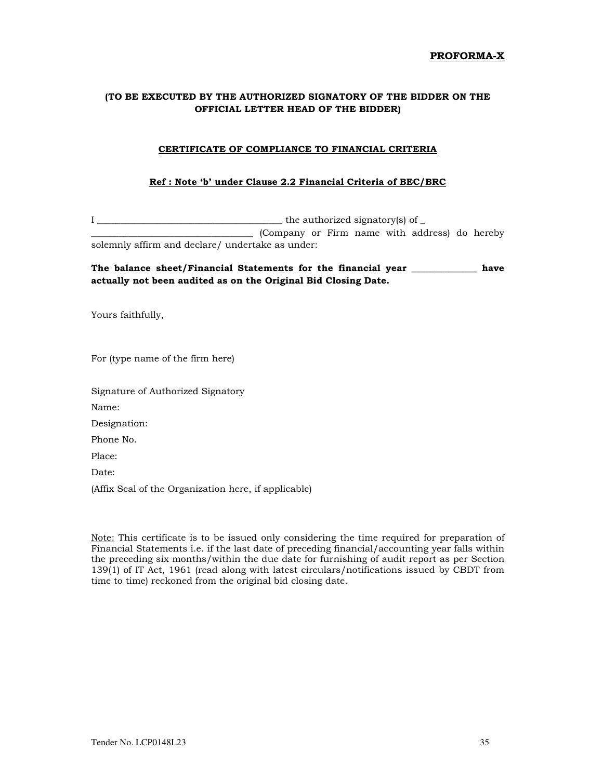#### **PROFORMA-X**

### **(TO BE EXECUTED BY THE AUTHORIZED SIGNATORY OF THE BIDDER ON THE OFFICIAL LETTER HEAD OF THE BIDDER)**

#### **CERTIFICATE OF COMPLIANCE TO FINANCIAL CRITERIA**

#### **Ref : Note 'b' under Clause 2.2 Financial Criteria of BEC/BRC**

I \_\_\_\_\_\_\_\_\_\_\_\_\_\_\_\_\_\_\_\_\_\_\_\_\_\_\_\_\_\_\_\_\_\_\_\_\_\_\_\_ the authorized signatory(s) of \_ \_\_\_\_\_\_\_\_\_\_\_\_\_\_\_\_\_\_\_\_\_\_\_\_\_\_\_\_\_\_\_\_\_\_\_ (Company or Firm name with address) do hereby solemnly affirm and declare/ undertake as under:

#### **The balance sheet/Financial Statements for the financial year \_\_\_\_\_\_\_\_\_\_\_\_\_\_ have actually not been audited as on the Original Bid Closing Date.**

Yours faithfully,

For (type name of the firm here)

Signature of Authorized Signatory

Name:

Designation:

Phone No.

Place:

Date:

(Affix Seal of the Organization here, if applicable)

Note: This certificate is to be issued only considering the time required for preparation of Financial Statements i.e. if the last date of preceding financial/accounting year falls within the preceding six months/within the due date for furnishing of audit report as per Section 139(1) of IT Act, 1961 (read along with latest circulars/notifications issued by CBDT from time to time) reckoned from the original bid closing date.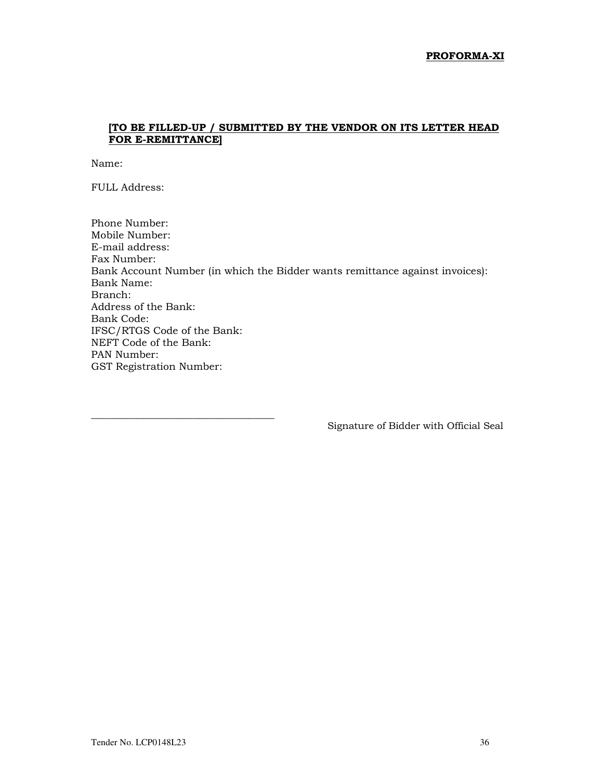# **[TO BE FILLED-UP / SUBMITTED BY THE VENDOR ON ITS LETTER HEAD FOR E-REMITTANCE]**

Name:

FULL Address:

\_\_\_\_\_\_\_\_\_\_\_\_\_\_\_\_\_\_\_\_\_\_\_\_\_\_\_\_\_\_\_\_\_\_\_\_

Phone Number: Mobile Number: E-mail address: Fax Number: Bank Account Number (in which the Bidder wants remittance against invoices): Bank Name: Branch: Address of the Bank: Bank Code: IFSC/RTGS Code of the Bank: NEFT Code of the Bank: PAN Number: GST Registration Number:

Signature of Bidder with Official Seal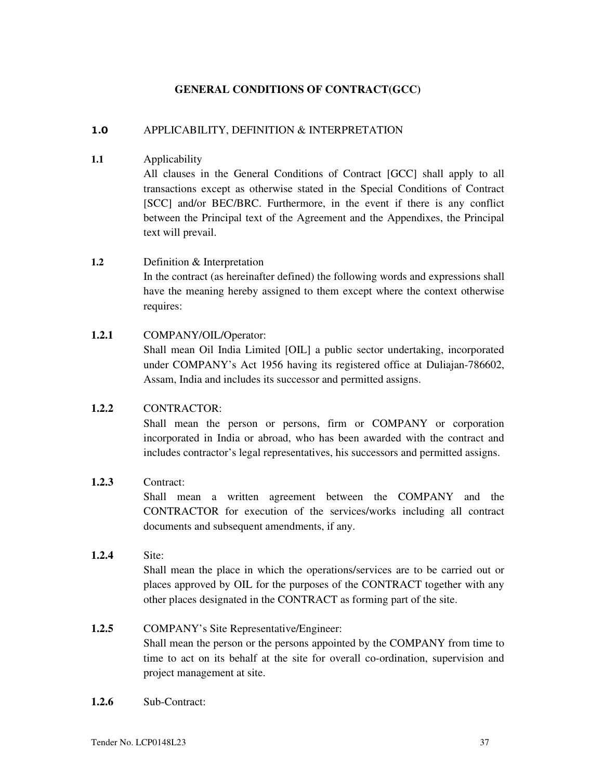### **GENERAL CONDITIONS OF CONTRACT(GCC)**

### **1.0** APPLICABILITY, DEFINITION & INTERPRETATION

**1.1** Applicability

All clauses in the General Conditions of Contract [GCC] shall apply to all transactions except as otherwise stated in the Special Conditions of Contract [SCC] and/or BEC/BRC. Furthermore, in the event if there is any conflict between the Principal text of the Agreement and the Appendixes, the Principal text will prevail.

#### **1.2** Definition & Interpretation

In the contract (as hereinafter defined) the following words and expressions shall have the meaning hereby assigned to them except where the context otherwise requires:

### **1.2.1** COMPANY/OIL/Operator:

Shall mean Oil India Limited [OIL] a public sector undertaking, incorporated under COMPANY's Act 1956 having its registered office at Duliajan-786602, Assam, India and includes its successor and permitted assigns.

#### **1.2.2** CONTRACTOR:

Shall mean the person or persons, firm or COMPANY or corporation incorporated in India or abroad, who has been awarded with the contract and includes contractor's legal representatives, his successors and permitted assigns.

### **1.2.3** Contract:

Shall mean a written agreement between the COMPANY and the CONTRACTOR for execution of the services/works including all contract documents and subsequent amendments, if any.

#### **1.2.4** Site:

Shall mean the place in which the operations/services are to be carried out or places approved by OIL for the purposes of the CONTRACT together with any other places designated in the CONTRACT as forming part of the site.

### **1.2.5** COMPANY's Site Representative/Engineer:

Shall mean the person or the persons appointed by the COMPANY from time to time to act on its behalf at the site for overall co-ordination, supervision and project management at site.

**1.2.6** Sub-Contract: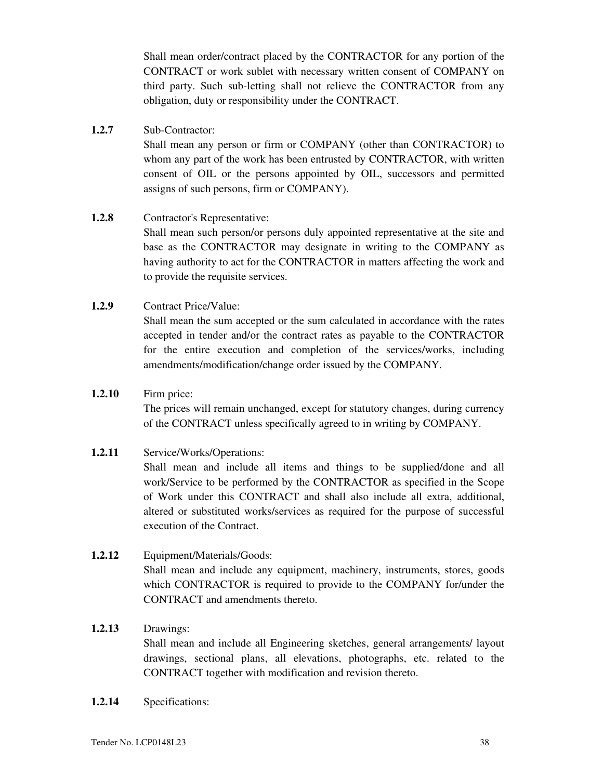Shall mean order/contract placed by the CONTRACTOR for any portion of the CONTRACT or work sublet with necessary written consent of COMPANY on third party. Such sub-letting shall not relieve the CONTRACTOR from any obligation, duty or responsibility under the CONTRACT.

# **1.2.7** Sub-Contractor:

Shall mean any person or firm or COMPANY (other than CONTRACTOR) to whom any part of the work has been entrusted by CONTRACTOR, with written consent of OIL or the persons appointed by OIL, successors and permitted assigns of such persons, firm or COMPANY).

### **1.2.8** Contractor's Representative:

Shall mean such person/or persons duly appointed representative at the site and base as the CONTRACTOR may designate in writing to the COMPANY as having authority to act for the CONTRACTOR in matters affecting the work and to provide the requisite services.

### **1.2.9** Contract Price/Value:

Shall mean the sum accepted or the sum calculated in accordance with the rates accepted in tender and/or the contract rates as payable to the CONTRACTOR for the entire execution and completion of the services/works, including amendments/modification/change order issued by the COMPANY.

#### **1.2.10** Firm price:

The prices will remain unchanged, except for statutory changes, during currency of the CONTRACT unless specifically agreed to in writing by COMPANY.

### **1.2.11** Service/Works/Operations:

Shall mean and include all items and things to be supplied/done and all work/Service to be performed by the CONTRACTOR as specified in the Scope of Work under this CONTRACT and shall also include all extra, additional, altered or substituted works/services as required for the purpose of successful execution of the Contract.

### **1.2.12** Equipment/Materials/Goods:

Shall mean and include any equipment, machinery, instruments, stores, goods which CONTRACTOR is required to provide to the COMPANY for/under the CONTRACT and amendments thereto.

### **1.2.13** Drawings:

Shall mean and include all Engineering sketches, general arrangements/ layout drawings, sectional plans, all elevations, photographs, etc. related to the CONTRACT together with modification and revision thereto.

**1.2.14** Specifications: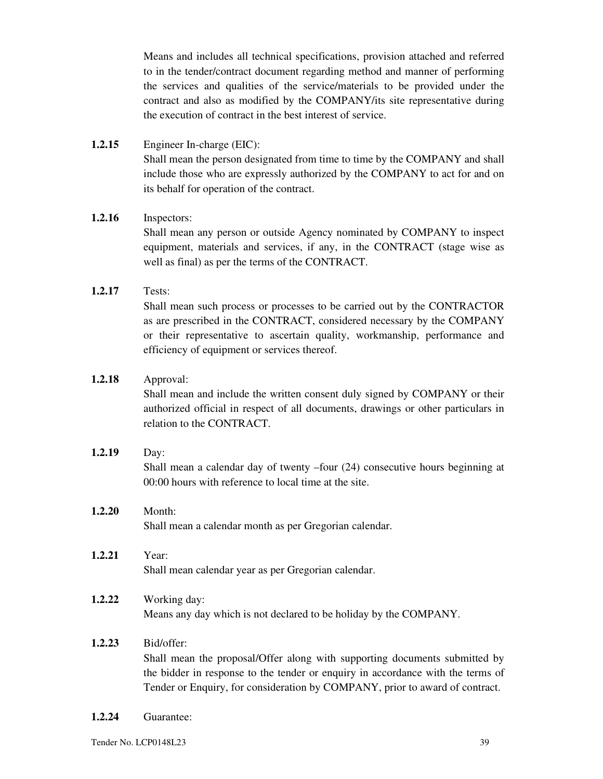Means and includes all technical specifications, provision attached and referred to in the tender/contract document regarding method and manner of performing the services and qualities of the service/materials to be provided under the contract and also as modified by the COMPANY/its site representative during the execution of contract in the best interest of service.

**1.2.15** Engineer In-charge (EIC): Shall mean the person designated from time to time by the COMPANY and shall include those who are expressly authorized by the COMPANY to act for and on its behalf for operation of the contract.

### **1.2.16** Inspectors:

Shall mean any person or outside Agency nominated by COMPANY to inspect equipment, materials and services, if any, in the CONTRACT (stage wise as well as final) as per the terms of the CONTRACT.

### **1.2.17** Tests:

Shall mean such process or processes to be carried out by the CONTRACTOR as are prescribed in the CONTRACT, considered necessary by the COMPANY or their representative to ascertain quality, workmanship, performance and efficiency of equipment or services thereof.

### **1.2.18** Approval:

Shall mean and include the written consent duly signed by COMPANY or their authorized official in respect of all documents, drawings or other particulars in relation to the CONTRACT.

- **1.2.19** Day: Shall mean a calendar day of twenty –four (24) consecutive hours beginning at 00:00 hours with reference to local time at the site.
- **1.2.20** Month: Shall mean a calendar month as per Gregorian calendar.
- **1.2.21** Year: Shall mean calendar year as per Gregorian calendar.
- **1.2.22** Working day: Means any day which is not declared to be holiday by the COMPANY.

### **1.2.23** Bid/offer:

Shall mean the proposal/Offer along with supporting documents submitted by the bidder in response to the tender or enquiry in accordance with the terms of Tender or Enquiry, for consideration by COMPANY, prior to award of contract.

**1.2.24** Guarantee: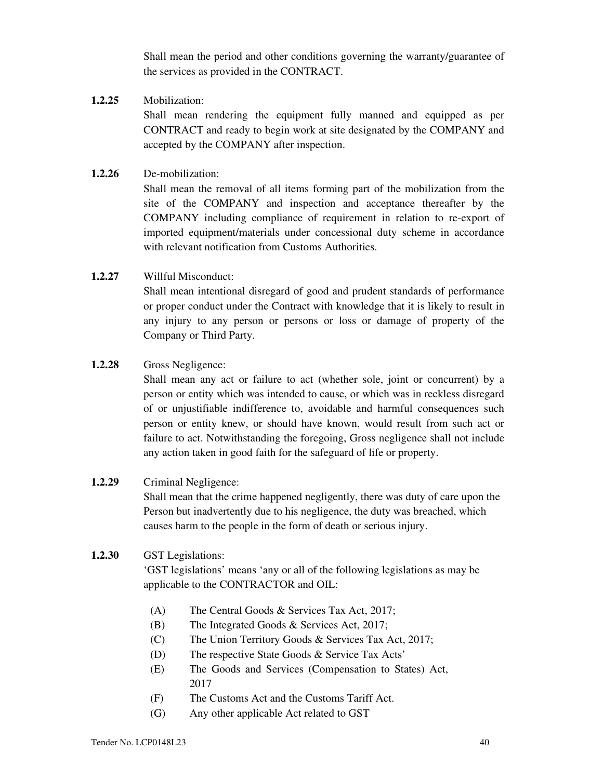Shall mean the period and other conditions governing the warranty/guarantee of the services as provided in the CONTRACT.

### **1.2.25** Mobilization:

Shall mean rendering the equipment fully manned and equipped as per CONTRACT and ready to begin work at site designated by the COMPANY and accepted by the COMPANY after inspection.

### **1.2.26** De-mobilization:

Shall mean the removal of all items forming part of the mobilization from the site of the COMPANY and inspection and acceptance thereafter by the COMPANY including compliance of requirement in relation to re-export of imported equipment/materials under concessional duty scheme in accordance with relevant notification from Customs Authorities.

### **1.2.27** Willful Misconduct:

Shall mean intentional disregard of good and prudent standards of performance or proper conduct under the Contract with knowledge that it is likely to result in any injury to any person or persons or loss or damage of property of the Company or Third Party.

### **1.2.28** Gross Negligence:

Shall mean any act or failure to act (whether sole, joint or concurrent) by a person or entity which was intended to cause, or which was in reckless disregard of or unjustifiable indifference to, avoidable and harmful consequences such person or entity knew, or should have known, would result from such act or failure to act. Notwithstanding the foregoing, Gross negligence shall not include any action taken in good faith for the safeguard of life or property.

### **1.2.29** Criminal Negligence:

Shall mean that the crime happened negligently, there was duty of care upon the Person but inadvertently due to his negligence, the duty was breached, which causes harm to the people in the form of death or serious injury.

### **1.2.30** GST Legislations:

'GST legislations' means 'any or all of the following legislations as may be applicable to the CONTRACTOR and OIL:

- (A) The Central Goods & Services Tax Act, 2017;
- (B) The Integrated Goods & Services Act, 2017;
- (C) The Union Territory Goods & Services Tax Act, 2017;
- (D) The respective State Goods & Service Tax Acts'
- (E) The Goods and Services (Compensation to States) Act, 2017
- (F) The Customs Act and the Customs Tariff Act.
- (G) Any other applicable Act related to GST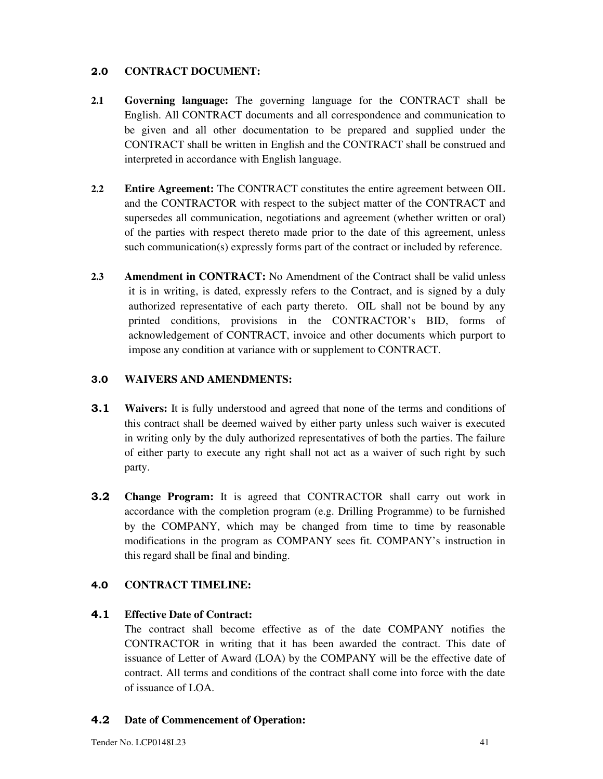# **2.0 CONTRACT DOCUMENT:**

- **2.1 Governing language:** The governing language for the CONTRACT shall be English. All CONTRACT documents and all correspondence and communication to be given and all other documentation to be prepared and supplied under the CONTRACT shall be written in English and the CONTRACT shall be construed and interpreted in accordance with English language.
- **2.2 Entire Agreement:** The CONTRACT constitutes the entire agreement between OIL and the CONTRACTOR with respect to the subject matter of the CONTRACT and supersedes all communication, negotiations and agreement (whether written or oral) of the parties with respect thereto made prior to the date of this agreement, unless such communication(s) expressly forms part of the contract or included by reference.
- **2.3 Amendment in CONTRACT:** No Amendment of the Contract shall be valid unless it is in writing, is dated, expressly refers to the Contract, and is signed by a duly authorized representative of each party thereto. OIL shall not be bound by any printed conditions, provisions in the CONTRACTOR's BID, forms of acknowledgement of CONTRACT, invoice and other documents which purport to impose any condition at variance with or supplement to CONTRACT.

# **3.0 WAIVERS AND AMENDMENTS:**

- **3.1 Waivers:** It is fully understood and agreed that none of the terms and conditions of this contract shall be deemed waived by either party unless such waiver is executed in writing only by the duly authorized representatives of both the parties. The failure of either party to execute any right shall not act as a waiver of such right by such party.
- **3.2 Change Program:** It is agreed that CONTRACTOR shall carry out work in accordance with the completion program (e.g. Drilling Programme) to be furnished by the COMPANY, which may be changed from time to time by reasonable modifications in the program as COMPANY sees fit. COMPANY's instruction in this regard shall be final and binding.

# **4.0 CONTRACT TIMELINE:**

### **4.1 Effective Date of Contract:**

The contract shall become effective as of the date COMPANY notifies the CONTRACTOR in writing that it has been awarded the contract. This date of issuance of Letter of Award (LOA) by the COMPANY will be the effective date of contract. All terms and conditions of the contract shall come into force with the date of issuance of LOA.

### **4.2 Date of Commencement of Operation:**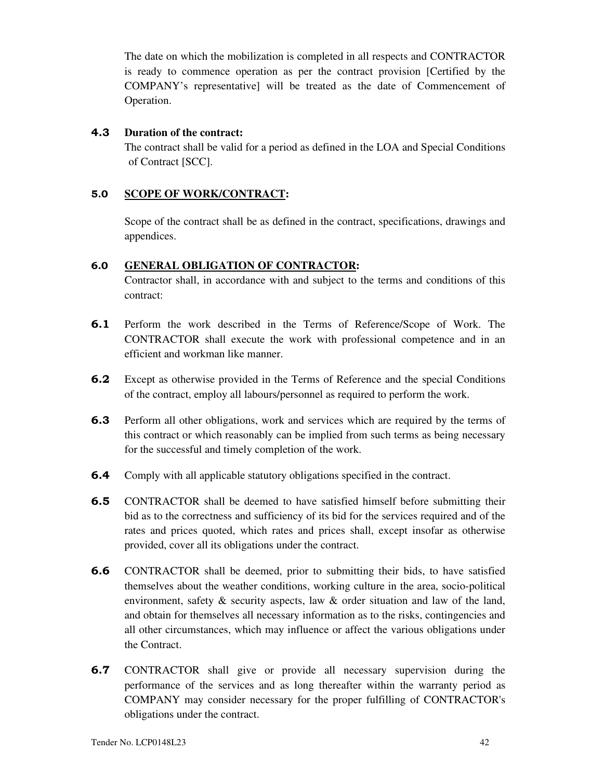The date on which the mobilization is completed in all respects and CONTRACTOR is ready to commence operation as per the contract provision [Certified by the COMPANY's representative] will be treated as the date of Commencement of Operation.

### **4.3 Duration of the contract:**

The contract shall be valid for a period as defined in the LOA and Special Conditions of Contract [SCC].

# **5.0 SCOPE OF WORK/CONTRACT:**

Scope of the contract shall be as defined in the contract, specifications, drawings and appendices.

### **6.0 GENERAL OBLIGATION OF CONTRACTOR:**

Contractor shall, in accordance with and subject to the terms and conditions of this contract:

- **6.1** Perform the work described in the Terms of Reference/Scope of Work. The CONTRACTOR shall execute the work with professional competence and in an efficient and workman like manner.
- **6.2** Except as otherwise provided in the Terms of Reference and the special Conditions of the contract, employ all labours/personnel as required to perform the work.
- **6.3** Perform all other obligations, work and services which are required by the terms of this contract or which reasonably can be implied from such terms as being necessary for the successful and timely completion of the work.
- **6.4** Comply with all applicable statutory obligations specified in the contract.
- **6.5** CONTRACTOR shall be deemed to have satisfied himself before submitting their bid as to the correctness and sufficiency of its bid for the services required and of the rates and prices quoted, which rates and prices shall, except insofar as otherwise provided, cover all its obligations under the contract.
- **6.6** CONTRACTOR shall be deemed, prior to submitting their bids, to have satisfied themselves about the weather conditions, working culture in the area, socio-political environment, safety & security aspects, law & order situation and law of the land, and obtain for themselves all necessary information as to the risks, contingencies and all other circumstances, which may influence or affect the various obligations under the Contract.
- **6.7** CONTRACTOR shall give or provide all necessary supervision during the performance of the services and as long thereafter within the warranty period as COMPANY may consider necessary for the proper fulfilling of CONTRACTOR's obligations under the contract.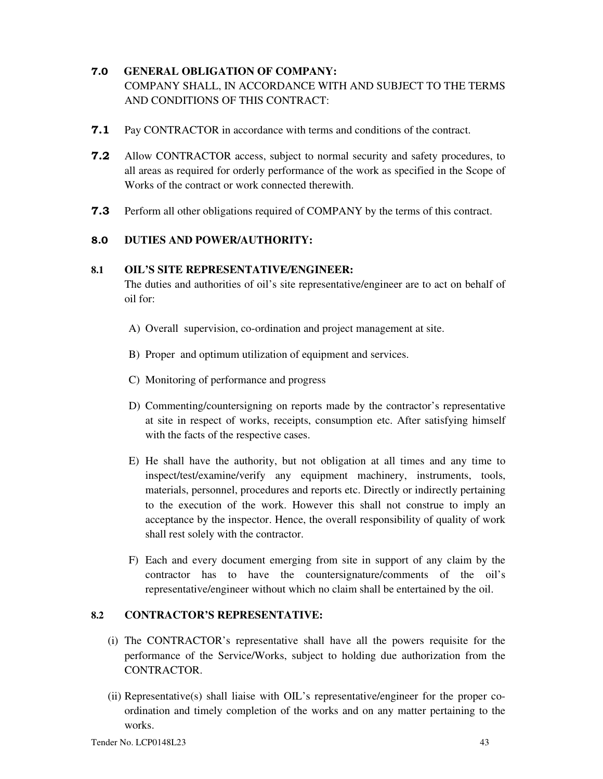# **7.0 GENERAL OBLIGATION OF COMPANY:** COMPANY SHALL, IN ACCORDANCE WITH AND SUBJECT TO THE TERMS AND CONDITIONS OF THIS CONTRACT:

- **7.1** Pay CONTRACTOR in accordance with terms and conditions of the contract.
- **7.2** Allow CONTRACTOR access, subject to normal security and safety procedures, to all areas as required for orderly performance of the work as specified in the Scope of Works of the contract or work connected therewith.
- **7.3** Perform all other obligations required of COMPANY by the terms of this contract.

### **8.0 DUTIES AND POWER/AUTHORITY:**

#### **8.1 OIL'S SITE REPRESENTATIVE/ENGINEER:**

The duties and authorities of oil's site representative/engineer are to act on behalf of oil for:

- A) Overall supervision, co-ordination and project management at site.
- B) Proper and optimum utilization of equipment and services.
- C) Monitoring of performance and progress
- D) Commenting/countersigning on reports made by the contractor's representative at site in respect of works, receipts, consumption etc. After satisfying himself with the facts of the respective cases.
- E) He shall have the authority, but not obligation at all times and any time to inspect/test/examine/verify any equipment machinery, instruments, tools, materials, personnel, procedures and reports etc. Directly or indirectly pertaining to the execution of the work. However this shall not construe to imply an acceptance by the inspector. Hence, the overall responsibility of quality of work shall rest solely with the contractor.
- F) Each and every document emerging from site in support of any claim by the contractor has to have the countersignature/comments of the oil's representative/engineer without which no claim shall be entertained by the oil.

### **8.2 CONTRACTOR'S REPRESENTATIVE:**

- (i) The CONTRACTOR's representative shall have all the powers requisite for the performance of the Service/Works, subject to holding due authorization from the CONTRACTOR.
- $(iii)$  Representative $(s)$  shall liaise with OIL's representative/engineer for the proper coordination and timely completion of the works and on any matter pertaining to the works.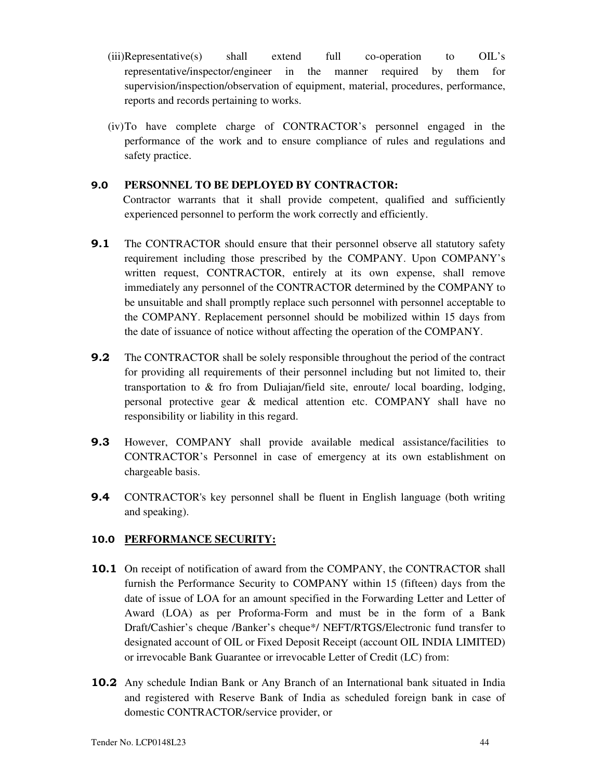- $(iii)$ Representative(s) shall extend full co-operation to OIL's representative/inspector/engineer in the manner required by them for supervision/inspection/observation of equipment, material, procedures, performance, reports and records pertaining to works.
- (iv)To have complete charge of CONTRACTOR's personnel engaged in the performance of the work and to ensure compliance of rules and regulations and safety practice.

### **9.0 PERSONNEL TO BE DEPLOYED BY CONTRACTOR:**

 Contractor warrants that it shall provide competent, qualified and sufficiently experienced personnel to perform the work correctly and efficiently.

- **9.1** The CONTRACTOR should ensure that their personnel observe all statutory safety requirement including those prescribed by the COMPANY. Upon COMPANY's written request, CONTRACTOR, entirely at its own expense, shall remove immediately any personnel of the CONTRACTOR determined by the COMPANY to be unsuitable and shall promptly replace such personnel with personnel acceptable to the COMPANY. Replacement personnel should be mobilized within 15 days from the date of issuance of notice without affecting the operation of the COMPANY.
- **9.2** The CONTRACTOR shall be solely responsible throughout the period of the contract for providing all requirements of their personnel including but not limited to, their transportation to & fro from Duliajan/field site, enroute/ local boarding, lodging, personal protective gear & medical attention etc. COMPANY shall have no responsibility or liability in this regard.
- **9.3** However, COMPANY shall provide available medical assistance/facilities to CONTRACTOR's Personnel in case of emergency at its own establishment on chargeable basis.
- **9.4** CONTRACTOR's key personnel shall be fluent in English language (both writing and speaking).

### **10.0 PERFORMANCE SECURITY:**

- **10.1** On receipt of notification of award from the COMPANY, the CONTRACTOR shall furnish the Performance Security to COMPANY within 15 (fifteen) days from the date of issue of LOA for an amount specified in the Forwarding Letter and Letter of Award (LOA) as per Proforma-Form and must be in the form of a Bank Draft/Cashier's cheque /Banker's cheque\*/ NEFT/RTGS/Electronic fund transfer to designated account of OIL or Fixed Deposit Receipt (account OIL INDIA LIMITED) or irrevocable Bank Guarantee or irrevocable Letter of Credit (LC) from:
- **10.2** Any schedule Indian Bank or Any Branch of an International bank situated in India and registered with Reserve Bank of India as scheduled foreign bank in case of domestic CONTRACTOR/service provider, or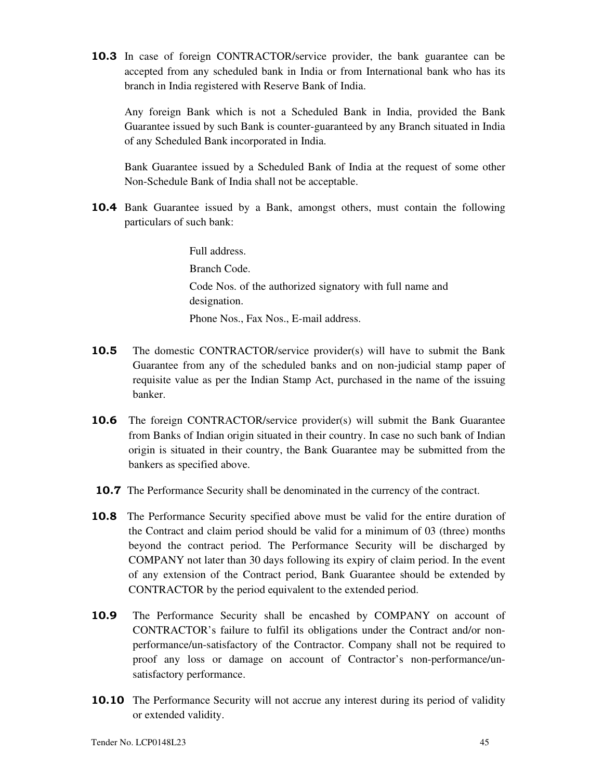**10.3** In case of foreign CONTRACTOR/service provider, the bank guarantee can be accepted from any scheduled bank in India or from International bank who has its branch in India registered with Reserve Bank of India.

 Any foreign Bank which is not a Scheduled Bank in India, provided the Bank Guarantee issued by such Bank is counter-guaranteed by any Branch situated in India of any Scheduled Bank incorporated in India.

 Bank Guarantee issued by a Scheduled Bank of India at the request of some other Non-Schedule Bank of India shall not be acceptable.

**10.4** Bank Guarantee issued by a Bank, amongst others, must contain the following particulars of such bank:

> Full address. Branch Code. Code Nos. of the authorized signatory with full name and designation. Phone Nos., Fax Nos., E-mail address.

- **10.5** The domestic CONTRACTOR/service provider(s) will have to submit the Bank Guarantee from any of the scheduled banks and on non-judicial stamp paper of requisite value as per the Indian Stamp Act, purchased in the name of the issuing banker.
- **10.6** The foreign CONTRACTOR/service provider(s) will submit the Bank Guarantee from Banks of Indian origin situated in their country. In case no such bank of Indian origin is situated in their country, the Bank Guarantee may be submitted from the bankers as specified above.
- **10.7** The Performance Security shall be denominated in the currency of the contract.
- **10.8** The Performance Security specified above must be valid for the entire duration of the Contract and claim period should be valid for a minimum of 03 (three) months beyond the contract period. The Performance Security will be discharged by COMPANY not later than 30 days following its expiry of claim period. In the event of any extension of the Contract period, Bank Guarantee should be extended by CONTRACTOR by the period equivalent to the extended period.
- **10.9** The Performance Security shall be encashed by COMPANY on account of CONTRACTOR's failure to fulfil its obligations under the Contract and/or nonperformance/un-satisfactory of the Contractor. Company shall not be required to proof any loss or damage on account of Contractor's non-performance/unsatisfactory performance.
- **10.10** The Performance Security will not accrue any interest during its period of validity or extended validity.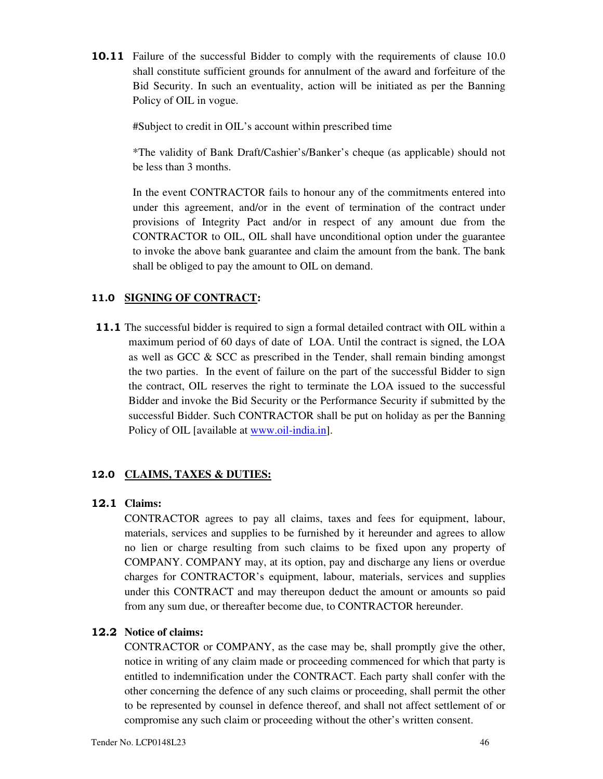**10.11** Failure of the successful Bidder to comply with the requirements of clause 10.0 shall constitute sufficient grounds for annulment of the award and forfeiture of the Bid Security. In such an eventuality, action will be initiated as per the Banning Policy of OIL in vogue.

#Subject to credit in OIL's account within prescribed time

\*The validity of Bank Draft/Cashier's/Banker's cheque (as applicable) should not be less than 3 months.

In the event CONTRACTOR fails to honour any of the commitments entered into under this agreement, and/or in the event of termination of the contract under provisions of Integrity Pact and/or in respect of any amount due from the CONTRACTOR to OIL, OIL shall have unconditional option under the guarantee to invoke the above bank guarantee and claim the amount from the bank. The bank shall be obliged to pay the amount to OIL on demand.

#### **11.0 SIGNING OF CONTRACT:**

**11.1** The successful bidder is required to sign a formal detailed contract with OIL within a maximum period of 60 days of date of LOA. Until the contract is signed, the LOA as well as GCC & SCC as prescribed in the Tender, shall remain binding amongst the two parties. In the event of failure on the part of the successful Bidder to sign the contract, OIL reserves the right to terminate the LOA issued to the successful Bidder and invoke the Bid Security or the Performance Security if submitted by the successful Bidder. Such CONTRACTOR shall be put on holiday as per the Banning Policy of OIL [available at www.oil-india.in].

#### **12.0 CLAIMS, TAXES & DUTIES:**

#### **12.1 Claims:**

CONTRACTOR agrees to pay all claims, taxes and fees for equipment, labour, materials, services and supplies to be furnished by it hereunder and agrees to allow no lien or charge resulting from such claims to be fixed upon any property of COMPANY. COMPANY may, at its option, pay and discharge any liens or overdue charges for CONTRACTOR's equipment, labour, materials, services and supplies under this CONTRACT and may thereupon deduct the amount or amounts so paid from any sum due, or thereafter become due, to CONTRACTOR hereunder.

#### **12.2 Notice of claims:**

CONTRACTOR or COMPANY, as the case may be, shall promptly give the other, notice in writing of any claim made or proceeding commenced for which that party is entitled to indemnification under the CONTRACT. Each party shall confer with the other concerning the defence of any such claims or proceeding, shall permit the other to be represented by counsel in defence thereof, and shall not affect settlement of or compromise any such claim or proceeding without the other's written consent.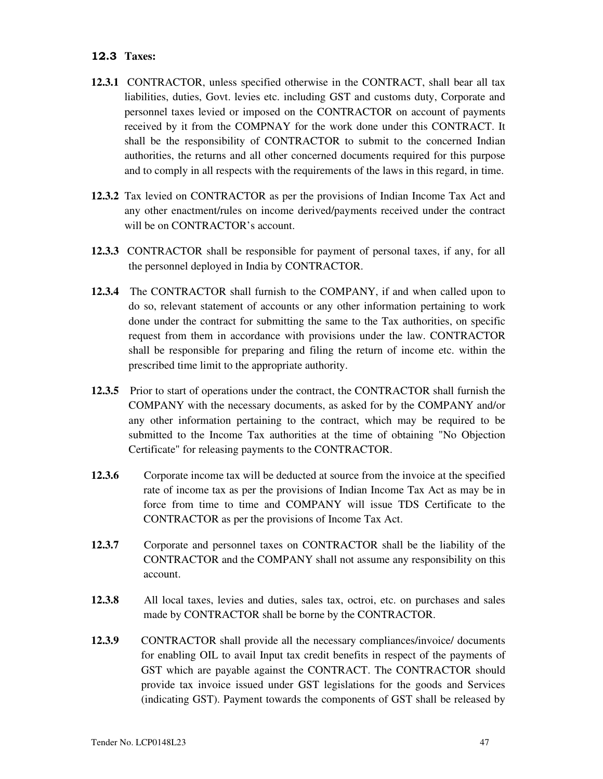### **12.3 Taxes:**

- **12.3.1** CONTRACTOR, unless specified otherwise in the CONTRACT, shall bear all tax liabilities, duties, Govt. levies etc. including GST and customs duty, Corporate and personnel taxes levied or imposed on the CONTRACTOR on account of payments received by it from the COMPNAY for the work done under this CONTRACT. It shall be the responsibility of CONTRACTOR to submit to the concerned Indian authorities, the returns and all other concerned documents required for this purpose and to comply in all respects with the requirements of the laws in this regard, in time.
- **12.3.2** Tax levied on CONTRACTOR as per the provisions of Indian Income Tax Act and any other enactment/rules on income derived/payments received under the contract will be on CONTRACTOR's account.
- **12.3.3** CONTRACTOR shall be responsible for payment of personal taxes, if any, for all the personnel deployed in India by CONTRACTOR.
- **12.3.4** The CONTRACTOR shall furnish to the COMPANY, if and when called upon to do so, relevant statement of accounts or any other information pertaining to work done under the contract for submitting the same to the Tax authorities, on specific request from them in accordance with provisions under the law. CONTRACTOR shall be responsible for preparing and filing the return of income etc. within the prescribed time limit to the appropriate authority.
- **12.3.5** Prior to start of operations under the contract, the CONTRACTOR shall furnish the COMPANY with the necessary documents, as asked for by the COMPANY and/or any other information pertaining to the contract, which may be required to be submitted to the Income Tax authorities at the time of obtaining "No Objection Certificate" for releasing payments to the CONTRACTOR.
- **12.3.6** Corporate income tax will be deducted at source from the invoice at the specified rate of income tax as per the provisions of Indian Income Tax Act as may be in force from time to time and COMPANY will issue TDS Certificate to the CONTRACTOR as per the provisions of Income Tax Act.
- **12.3.7** Corporate and personnel taxes on CONTRACTOR shall be the liability of the CONTRACTOR and the COMPANY shall not assume any responsibility on this account.
- **12.3.8** All local taxes, levies and duties, sales tax, octroi, etc. on purchases and sales made by CONTRACTOR shall be borne by the CONTRACTOR.
- **12.3.9** CONTRACTOR shall provide all the necessary compliances/invoice/ documents for enabling OIL to avail Input tax credit benefits in respect of the payments of GST which are payable against the CONTRACT. The CONTRACTOR should provide tax invoice issued under GST legislations for the goods and Services (indicating GST). Payment towards the components of GST shall be released by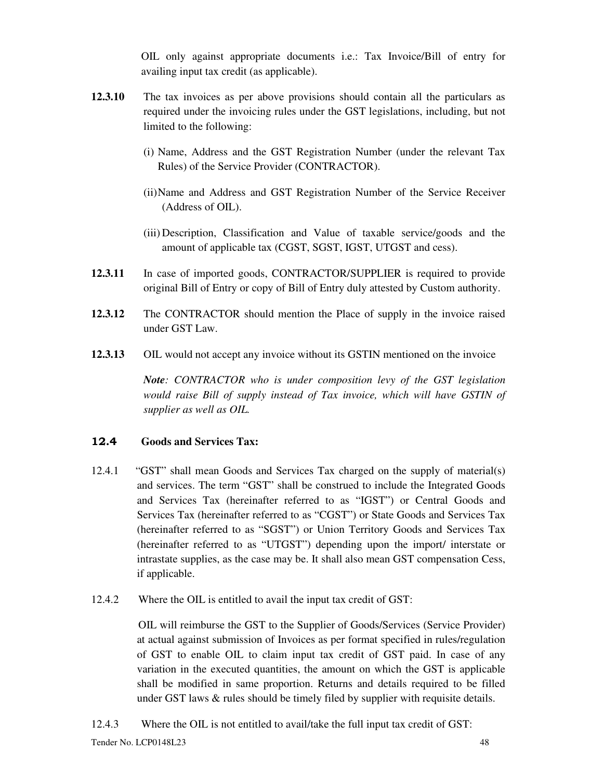OIL only against appropriate documents i.e.: Tax Invoice/Bill of entry for availing input tax credit (as applicable).

- **12.3.10** The tax invoices as per above provisions should contain all the particulars as required under the invoicing rules under the GST legislations, including, but not limited to the following:
	- (i) Name, Address and the GST Registration Number (under the relevant Tax Rules) of the Service Provider (CONTRACTOR).
	- (ii)Name and Address and GST Registration Number of the Service Receiver (Address of OIL).
	- (iii) Description, Classification and Value of taxable service/goods and the amount of applicable tax (CGST, SGST, IGST, UTGST and cess).
- **12.3.11** In case of imported goods, CONTRACTOR/SUPPLIER is required to provide original Bill of Entry or copy of Bill of Entry duly attested by Custom authority.
- **12.3.12** The CONTRACTOR should mention the Place of supply in the invoice raised under GST Law.
- **12.3.13** OIL would not accept any invoice without its GSTIN mentioned on the invoice

*Note: CONTRACTOR who is under composition levy of the GST legislation would raise Bill of supply instead of Tax invoice, which will have GSTIN of supplier as well as OIL.* 

### **12.4 Goods and Services Tax:**

- 12.4.1 "GST" shall mean Goods and Services Tax charged on the supply of material(s) and services. The term "GST" shall be construed to include the Integrated Goods and Services Tax (hereinafter referred to as "IGST") or Central Goods and Services Tax (hereinafter referred to as "CGST") or State Goods and Services Tax (hereinafter referred to as "SGST") or Union Territory Goods and Services Tax (hereinafter referred to as "UTGST") depending upon the import/ interstate or intrastate supplies, as the case may be. It shall also mean GST compensation Cess, if applicable.
- 12.4.2 Where the OIL is entitled to avail the input tax credit of GST:

 OIL will reimburse the GST to the Supplier of Goods/Services (Service Provider) at actual against submission of Invoices as per format specified in rules/regulation of GST to enable OIL to claim input tax credit of GST paid. In case of any variation in the executed quantities, the amount on which the GST is applicable shall be modified in same proportion. Returns and details required to be filled under GST laws  $\&$  rules should be timely filed by supplier with requisite details.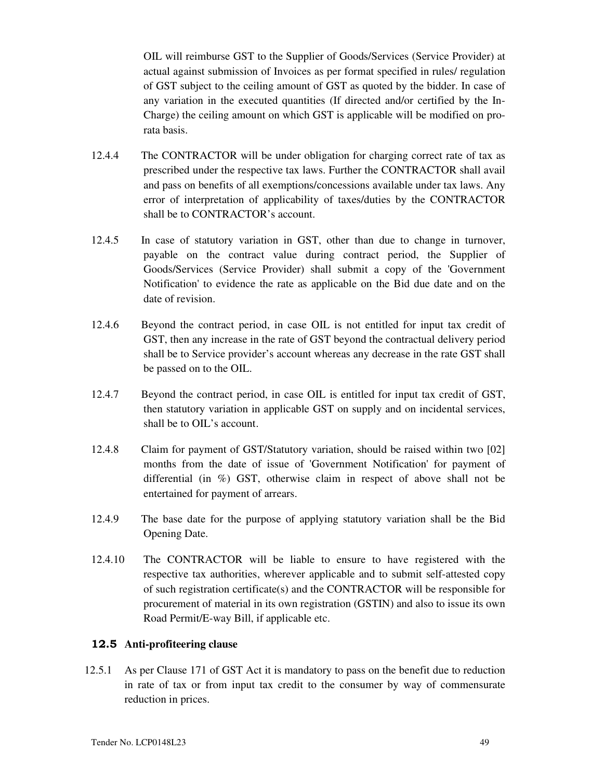OIL will reimburse GST to the Supplier of Goods/Services (Service Provider) at actual against submission of Invoices as per format specified in rules/ regulation of GST subject to the ceiling amount of GST as quoted by the bidder. In case of any variation in the executed quantities (If directed and/or certified by the In-Charge) the ceiling amount on which GST is applicable will be modified on prorata basis.

- 12.4.4 The CONTRACTOR will be under obligation for charging correct rate of tax as prescribed under the respective tax laws. Further the CONTRACTOR shall avail and pass on benefits of all exemptions/concessions available under tax laws. Any error of interpretation of applicability of taxes/duties by the CONTRACTOR shall be to CONTRACTOR's account.
- 12.4.5 In case of statutory variation in GST, other than due to change in turnover, payable on the contract value during contract period, the Supplier of Goods/Services (Service Provider) shall submit a copy of the 'Government Notification' to evidence the rate as applicable on the Bid due date and on the date of revision.
- 12.4.6 Beyond the contract period, in case OIL is not entitled for input tax credit of GST, then any increase in the rate of GST beyond the contractual delivery period shall be to Service provider's account whereas any decrease in the rate GST shall be passed on to the OIL.
- 12.4.7 Beyond the contract period, in case OIL is entitled for input tax credit of GST, then statutory variation in applicable GST on supply and on incidental services, shall be to OIL's account.
- 12.4.8 Claim for payment of GST/Statutory variation, should be raised within two [02] months from the date of issue of 'Government Notification' for payment of differential (in %) GST, otherwise claim in respect of above shall not be entertained for payment of arrears.
- 12.4.9 The base date for the purpose of applying statutory variation shall be the Bid Opening Date.
- 12.4.10 The CONTRACTOR will be liable to ensure to have registered with the respective tax authorities, wherever applicable and to submit self-attested copy of such registration certificate(s) and the CONTRACTOR will be responsible for procurement of material in its own registration (GSTIN) and also to issue its own Road Permit/E-way Bill, if applicable etc.

### **12.5 Anti-profiteering clause**

12.5.1 As per Clause 171 of GST Act it is mandatory to pass on the benefit due to reduction in rate of tax or from input tax credit to the consumer by way of commensurate reduction in prices.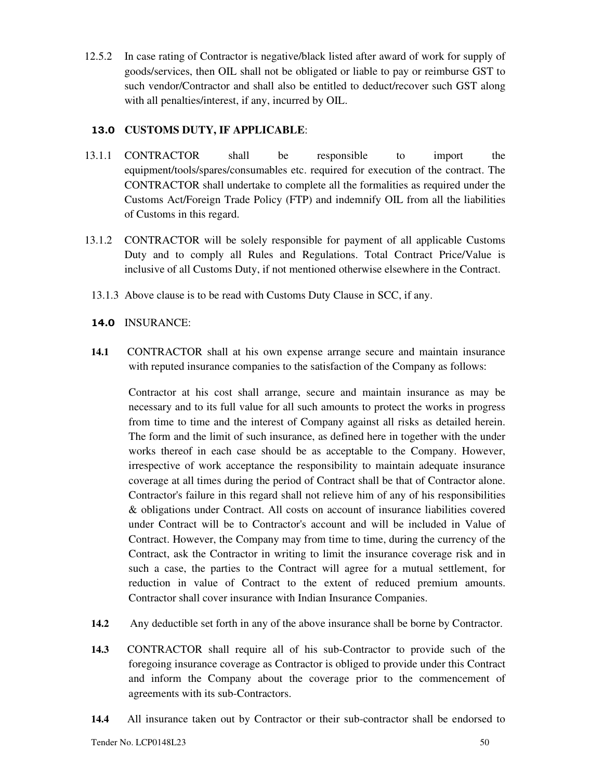12.5.2 In case rating of Contractor is negative/black listed after award of work for supply of goods/services, then OIL shall not be obligated or liable to pay or reimburse GST to such vendor/Contractor and shall also be entitled to deduct/recover such GST along with all penalties/interest, if any, incurred by OIL.

# **13.0 CUSTOMS DUTY, IF APPLICABLE**:

- 13.1.1 CONTRACTOR shall be responsible to import the equipment/tools/spares/consumables etc. required for execution of the contract. The CONTRACTOR shall undertake to complete all the formalities as required under the Customs Act/Foreign Trade Policy (FTP) and indemnify OIL from all the liabilities of Customs in this regard.
- 13.1.2 CONTRACTOR will be solely responsible for payment of all applicable Customs Duty and to comply all Rules and Regulations. Total Contract Price/Value is inclusive of all Customs Duty, if not mentioned otherwise elsewhere in the Contract.
- 13.1.3 Above clause is to be read with Customs Duty Clause in SCC, if any.

# **14.0** INSURANCE:

**14.1** CONTRACTOR shall at his own expense arrange secure and maintain insurance with reputed insurance companies to the satisfaction of the Company as follows:

Contractor at his cost shall arrange, secure and maintain insurance as may be necessary and to its full value for all such amounts to protect the works in progress from time to time and the interest of Company against all risks as detailed herein. The form and the limit of such insurance, as defined here in together with the under works thereof in each case should be as acceptable to the Company. However, irrespective of work acceptance the responsibility to maintain adequate insurance coverage at all times during the period of Contract shall be that of Contractor alone. Contractor's failure in this regard shall not relieve him of any of his responsibilities & obligations under Contract. All costs on account of insurance liabilities covered under Contract will be to Contractor's account and will be included in Value of Contract. However, the Company may from time to time, during the currency of the Contract, ask the Contractor in writing to limit the insurance coverage risk and in such a case, the parties to the Contract will agree for a mutual settlement, for reduction in value of Contract to the extent of reduced premium amounts. Contractor shall cover insurance with Indian Insurance Companies.

- **14.2** Any deductible set forth in any of the above insurance shall be borne by Contractor.
- **14.3** CONTRACTOR shall require all of his sub-Contractor to provide such of the foregoing insurance coverage as Contractor is obliged to provide under this Contract and inform the Company about the coverage prior to the commencement of agreements with its sub-Contractors.
- **14.4** All insurance taken out by Contractor or their sub-contractor shall be endorsed to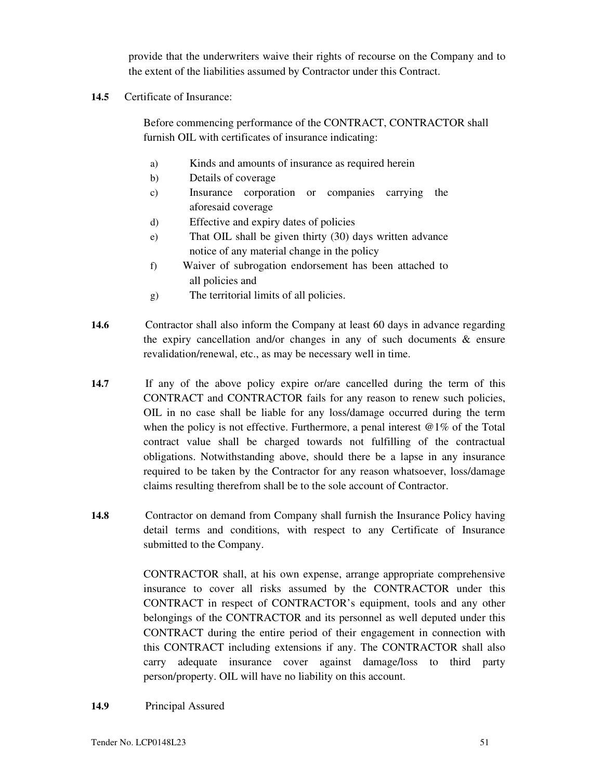provide that the underwriters waive their rights of recourse on the Company and to the extent of the liabilities assumed by Contractor under this Contract.

**14.5** Certificate of Insurance:

Before commencing performance of the CONTRACT, CONTRACTOR shall furnish OIL with certificates of insurance indicating:

- a) Kinds and amounts of insurance as required herein
- b) Details of coverage
- c) Insurance corporation or companies carrying the aforesaid coverage
- d) Effective and expiry dates of policies
- e) That OIL shall be given thirty (30) days written advance notice of any material change in the policy
- f) Waiver of subrogation endorsement has been attached to all policies and
- g) The territorial limits of all policies.
- **14.6** Contractor shall also inform the Company at least 60 days in advance regarding the expiry cancellation and/or changes in any of such documents  $\&$  ensure revalidation/renewal, etc., as may be necessary well in time.
- **14.7** If any of the above policy expire or/are cancelled during the term of this CONTRACT and CONTRACTOR fails for any reason to renew such policies, OIL in no case shall be liable for any loss/damage occurred during the term when the policy is not effective. Furthermore, a penal interest  $@1\%$  of the Total contract value shall be charged towards not fulfilling of the contractual obligations. Notwithstanding above, should there be a lapse in any insurance required to be taken by the Contractor for any reason whatsoever, loss/damage claims resulting therefrom shall be to the sole account of Contractor.
- **14.8** Contractor on demand from Company shall furnish the Insurance Policy having detail terms and conditions, with respect to any Certificate of Insurance submitted to the Company.

CONTRACTOR shall, at his own expense, arrange appropriate comprehensive insurance to cover all risks assumed by the CONTRACTOR under this CONTRACT in respect of CONTRACTOR's equipment, tools and any other belongings of the CONTRACTOR and its personnel as well deputed under this CONTRACT during the entire period of their engagement in connection with this CONTRACT including extensions if any. The CONTRACTOR shall also carry adequate insurance cover against damage/loss to third party person/property. OIL will have no liability on this account.

**14.9** Principal Assured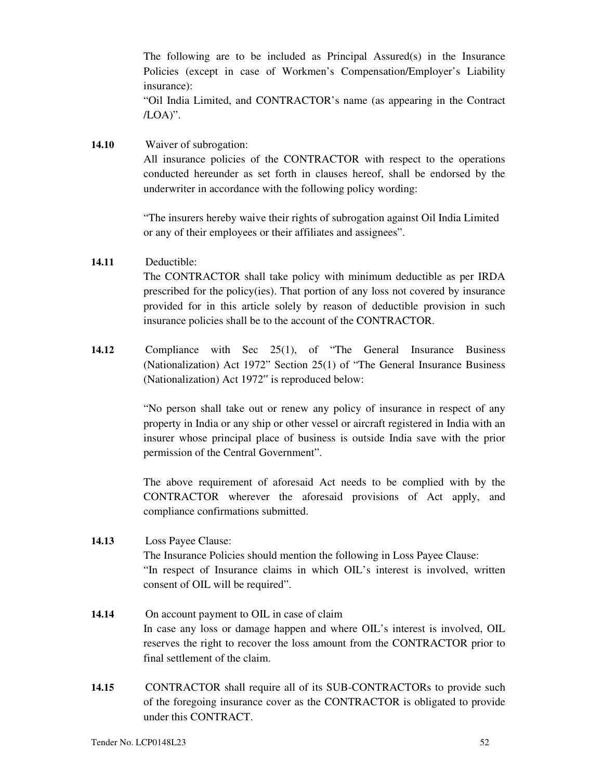The following are to be included as Principal Assured(s) in the Insurance Policies (except in case of Workmen's Compensation/Employer's Liability insurance):

"Oil India Limited, and CONTRACTOR's name (as appearing in the Contract /LOA)".

**14.10** Waiver of subrogation: All insurance policies of the CONTRACTOR with respect to the operations conducted hereunder as set forth in clauses hereof, shall be endorsed by the underwriter in accordance with the following policy wording:

> "The insurers hereby waive their rights of subrogation against Oil India Limited or any of their employees or their affiliates and assignees".

### **14.11** Deductible:

The CONTRACTOR shall take policy with minimum deductible as per IRDA prescribed for the policy(ies). That portion of any loss not covered by insurance provided for in this article solely by reason of deductible provision in such insurance policies shall be to the account of the CONTRACTOR.

**14.12** Compliance with Sec 25(1), of "The General Insurance Business (Nationalization) Act 1972" Section 25(1) of "The General Insurance Business (Nationalization) Act 1972" is reproduced below:

> "No person shall take out or renew any policy of insurance in respect of any property in India or any ship or other vessel or aircraft registered in India with an insurer whose principal place of business is outside India save with the prior permission of the Central Government".

> The above requirement of aforesaid Act needs to be complied with by the CONTRACTOR wherever the aforesaid provisions of Act apply, and compliance confirmations submitted.

- **14.13** Loss Payee Clause: The Insurance Policies should mention the following in Loss Payee Clause: "In respect of Insurance claims in which OIL's interest is involved, written consent of OIL will be required".
- **14.14** On account payment to OIL in case of claim In case any loss or damage happen and where OIL's interest is involved, OIL reserves the right to recover the loss amount from the CONTRACTOR prior to final settlement of the claim.
- **14.15** CONTRACTOR shall require all of its SUB-CONTRACTORs to provide such of the foregoing insurance cover as the CONTRACTOR is obligated to provide under this CONTRACT.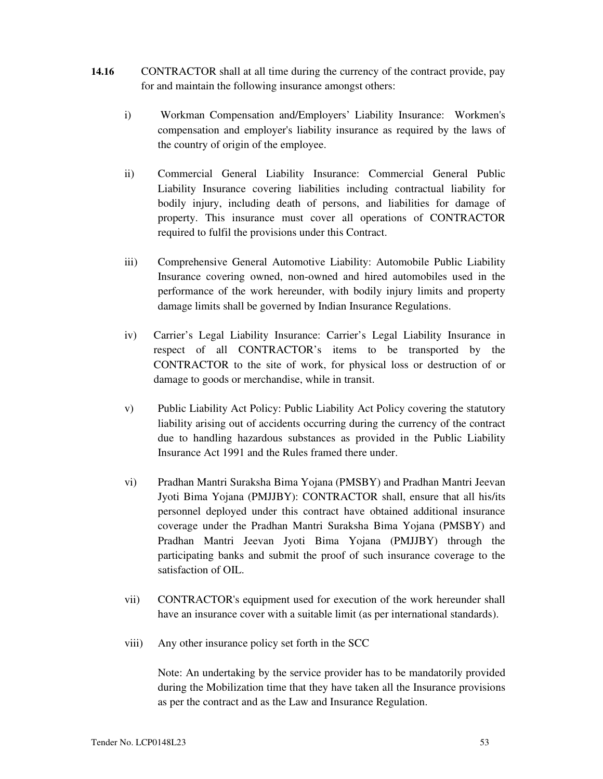- **14.16** CONTRACTOR shall at all time during the currency of the contract provide, pay for and maintain the following insurance amongst others:
	- i) Workman Compensation and/Employers' Liability Insurance: Workmen's compensation and employer's liability insurance as required by the laws of the country of origin of the employee.
	- ii) Commercial General Liability Insurance: Commercial General Public Liability Insurance covering liabilities including contractual liability for bodily injury, including death of persons, and liabilities for damage of property. This insurance must cover all operations of CONTRACTOR required to fulfil the provisions under this Contract.
	- iii) Comprehensive General Automotive Liability: Automobile Public Liability Insurance covering owned, non-owned and hired automobiles used in the performance of the work hereunder, with bodily injury limits and property damage limits shall be governed by Indian Insurance Regulations.
	- iv) Carrier's Legal Liability Insurance: Carrier's Legal Liability Insurance in respect of all CONTRACTOR's items to be transported by the CONTRACTOR to the site of work, for physical loss or destruction of or damage to goods or merchandise, while in transit.
	- v) Public Liability Act Policy: Public Liability Act Policy covering the statutory liability arising out of accidents occurring during the currency of the contract due to handling hazardous substances as provided in the Public Liability Insurance Act 1991 and the Rules framed there under.
	- vi) Pradhan Mantri Suraksha Bima Yojana (PMSBY) and Pradhan Mantri Jeevan Jyoti Bima Yojana (PMJJBY): CONTRACTOR shall, ensure that all his/its personnel deployed under this contract have obtained additional insurance coverage under the Pradhan Mantri Suraksha Bima Yojana (PMSBY) and Pradhan Mantri Jeevan Jyoti Bima Yojana (PMJJBY) through the participating banks and submit the proof of such insurance coverage to the satisfaction of OIL.
	- vii) CONTRACTOR's equipment used for execution of the work hereunder shall have an insurance cover with a suitable limit (as per international standards).
	- viii) Any other insurance policy set forth in the SCC

Note: An undertaking by the service provider has to be mandatorily provided during the Mobilization time that they have taken all the Insurance provisions as per the contract and as the Law and Insurance Regulation.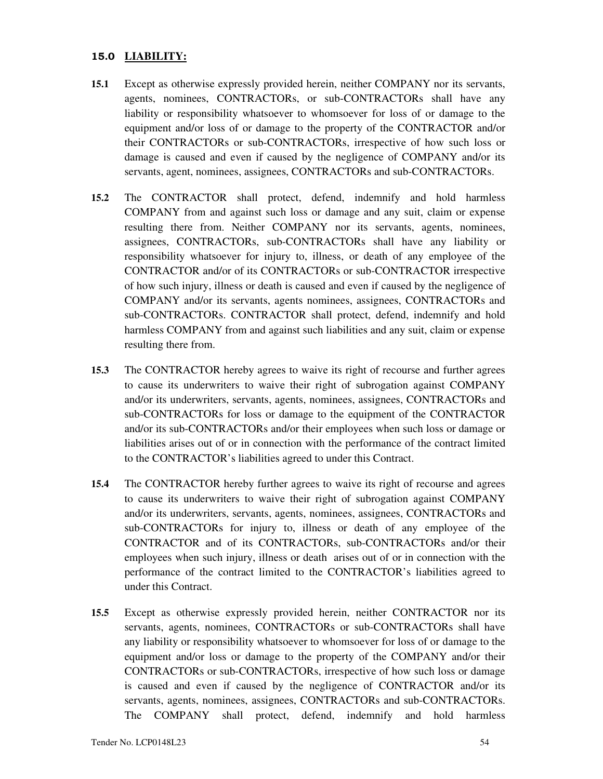### **15.0 LIABILITY:**

- **15.1** Except as otherwise expressly provided herein, neither COMPANY nor its servants, agents, nominees, CONTRACTORs, or sub-CONTRACTORs shall have any liability or responsibility whatsoever to whomsoever for loss of or damage to the equipment and/or loss of or damage to the property of the CONTRACTOR and/or their CONTRACTORs or sub-CONTRACTORs, irrespective of how such loss or damage is caused and even if caused by the negligence of COMPANY and/or its servants, agent, nominees, assignees, CONTRACTORs and sub-CONTRACTORs.
- **15.2** The CONTRACTOR shall protect, defend, indemnify and hold harmless COMPANY from and against such loss or damage and any suit, claim or expense resulting there from. Neither COMPANY nor its servants, agents, nominees, assignees, CONTRACTORs, sub-CONTRACTORs shall have any liability or responsibility whatsoever for injury to, illness, or death of any employee of the CONTRACTOR and/or of its CONTRACTORs or sub-CONTRACTOR irrespective of how such injury, illness or death is caused and even if caused by the negligence of COMPANY and/or its servants, agents nominees, assignees, CONTRACTORs and sub-CONTRACTORs. CONTRACTOR shall protect, defend, indemnify and hold harmless COMPANY from and against such liabilities and any suit, claim or expense resulting there from.
- **15.3** The CONTRACTOR hereby agrees to waive its right of recourse and further agrees to cause its underwriters to waive their right of subrogation against COMPANY and/or its underwriters, servants, agents, nominees, assignees, CONTRACTORs and sub-CONTRACTORs for loss or damage to the equipment of the CONTRACTOR and/or its sub-CONTRACTORs and/or their employees when such loss or damage or liabilities arises out of or in connection with the performance of the contract limited to the CONTRACTOR's liabilities agreed to under this Contract.
- **15.4** The CONTRACTOR hereby further agrees to waive its right of recourse and agrees to cause its underwriters to waive their right of subrogation against COMPANY and/or its underwriters, servants, agents, nominees, assignees, CONTRACTORs and sub-CONTRACTORs for injury to, illness or death of any employee of the CONTRACTOR and of its CONTRACTORs, sub-CONTRACTORs and/or their employees when such injury, illness or death arises out of or in connection with the performance of the contract limited to the CONTRACTOR's liabilities agreed to under this Contract.
- **15.5** Except as otherwise expressly provided herein, neither CONTRACTOR nor its servants, agents, nominees, CONTRACTORs or sub-CONTRACTORs shall have any liability or responsibility whatsoever to whomsoever for loss of or damage to the equipment and/or loss or damage to the property of the COMPANY and/or their CONTRACTORs or sub-CONTRACTORs, irrespective of how such loss or damage is caused and even if caused by the negligence of CONTRACTOR and/or its servants, agents, nominees, assignees, CONTRACTORs and sub-CONTRACTORs. The COMPANY shall protect, defend, indemnify and hold harmless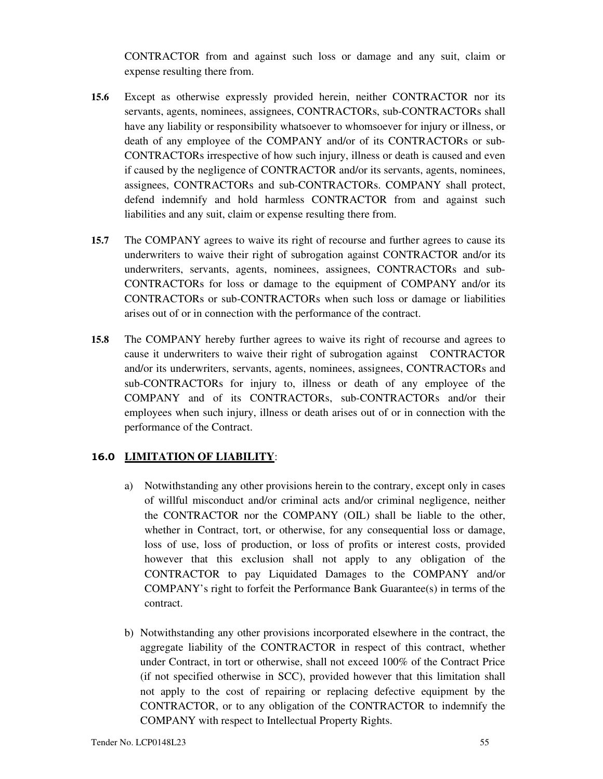CONTRACTOR from and against such loss or damage and any suit, claim or expense resulting there from.

- **15.6** Except as otherwise expressly provided herein, neither CONTRACTOR nor its servants, agents, nominees, assignees, CONTRACTORs, sub-CONTRACTORs shall have any liability or responsibility whatsoever to whomsoever for injury or illness, or death of any employee of the COMPANY and/or of its CONTRACTORs or sub-CONTRACTORs irrespective of how such injury, illness or death is caused and even if caused by the negligence of CONTRACTOR and/or its servants, agents, nominees, assignees, CONTRACTORs and sub-CONTRACTORs. COMPANY shall protect, defend indemnify and hold harmless CONTRACTOR from and against such liabilities and any suit, claim or expense resulting there from.
- **15.7** The COMPANY agrees to waive its right of recourse and further agrees to cause its underwriters to waive their right of subrogation against CONTRACTOR and/or its underwriters, servants, agents, nominees, assignees, CONTRACTORs and sub-CONTRACTORs for loss or damage to the equipment of COMPANY and/or its CONTRACTORs or sub-CONTRACTORs when such loss or damage or liabilities arises out of or in connection with the performance of the contract.
- **15.8** The COMPANY hereby further agrees to waive its right of recourse and agrees to cause it underwriters to waive their right of subrogation against CONTRACTOR and/or its underwriters, servants, agents, nominees, assignees, CONTRACTORs and sub-CONTRACTORs for injury to, illness or death of any employee of the COMPANY and of its CONTRACTORs, sub-CONTRACTORs and/or their employees when such injury, illness or death arises out of or in connection with the performance of the Contract.

### **16.0 LIMITATION OF LIABILITY**:

- a) Notwithstanding any other provisions herein to the contrary, except only in cases of willful misconduct and/or criminal acts and/or criminal negligence, neither the CONTRACTOR nor the COMPANY (OIL) shall be liable to the other, whether in Contract, tort, or otherwise, for any consequential loss or damage, loss of use, loss of production, or loss of profits or interest costs, provided however that this exclusion shall not apply to any obligation of the CONTRACTOR to pay Liquidated Damages to the COMPANY and/or COMPANY's right to forfeit the Performance Bank Guarantee(s) in terms of the contract.
- b) Notwithstanding any other provisions incorporated elsewhere in the contract, the aggregate liability of the CONTRACTOR in respect of this contract, whether under Contract, in tort or otherwise, shall not exceed 100% of the Contract Price (if not specified otherwise in SCC), provided however that this limitation shall not apply to the cost of repairing or replacing defective equipment by the CONTRACTOR, or to any obligation of the CONTRACTOR to indemnify the COMPANY with respect to Intellectual Property Rights.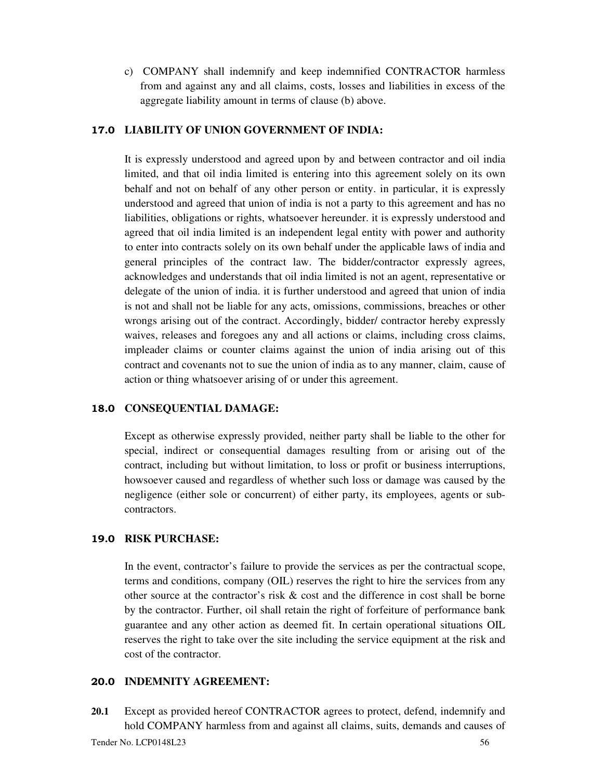c) COMPANY shall indemnify and keep indemnified CONTRACTOR harmless from and against any and all claims, costs, losses and liabilities in excess of the aggregate liability amount in terms of clause (b) above.

### **17.0 LIABILITY OF UNION GOVERNMENT OF INDIA:**

It is expressly understood and agreed upon by and between contractor and oil india limited, and that oil india limited is entering into this agreement solely on its own behalf and not on behalf of any other person or entity. in particular, it is expressly understood and agreed that union of india is not a party to this agreement and has no liabilities, obligations or rights, whatsoever hereunder. it is expressly understood and agreed that oil india limited is an independent legal entity with power and authority to enter into contracts solely on its own behalf under the applicable laws of india and general principles of the contract law. The bidder/contractor expressly agrees, acknowledges and understands that oil india limited is not an agent, representative or delegate of the union of india. it is further understood and agreed that union of india is not and shall not be liable for any acts, omissions, commissions, breaches or other wrongs arising out of the contract. Accordingly, bidder/ contractor hereby expressly waives, releases and foregoes any and all actions or claims, including cross claims, impleader claims or counter claims against the union of india arising out of this contract and covenants not to sue the union of india as to any manner, claim, cause of action or thing whatsoever arising of or under this agreement.

#### **18.0 CONSEQUENTIAL DAMAGE:**

Except as otherwise expressly provided, neither party shall be liable to the other for special, indirect or consequential damages resulting from or arising out of the contract, including but without limitation, to loss or profit or business interruptions, howsoever caused and regardless of whether such loss or damage was caused by the negligence (either sole or concurrent) of either party, its employees, agents or subcontractors.

# **19.0 RISK PURCHASE:**

In the event, contractor's failure to provide the services as per the contractual scope, terms and conditions, company (OIL) reserves the right to hire the services from any other source at the contractor's risk & cost and the difference in cost shall be borne by the contractor. Further, oil shall retain the right of forfeiture of performance bank guarantee and any other action as deemed fit. In certain operational situations OIL reserves the right to take over the site including the service equipment at the risk and cost of the contractor.

#### **20.0 INDEMNITY AGREEMENT:**

Tender No. LCP0148L23 56 **20.1** Except as provided hereof CONTRACTOR agrees to protect, defend, indemnify and hold COMPANY harmless from and against all claims, suits, demands and causes of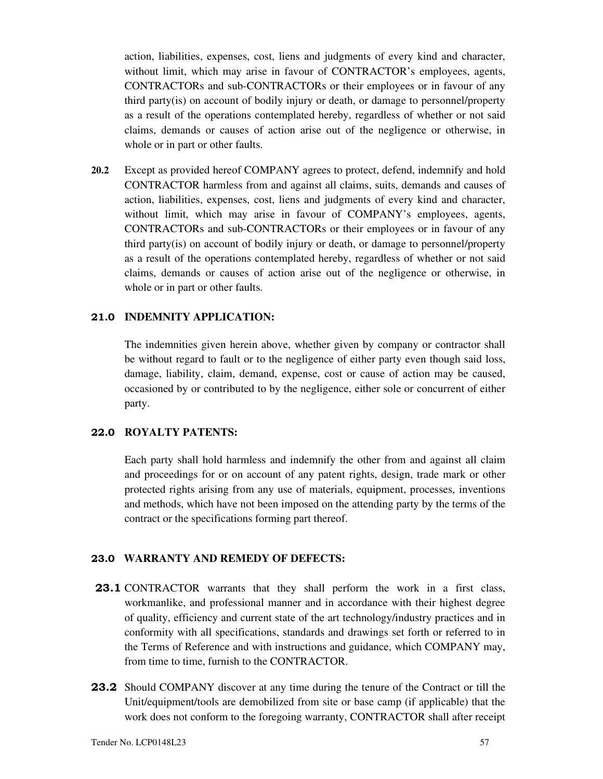action, liabilities, expenses, cost, liens and judgments of every kind and character, without limit, which may arise in favour of CONTRACTOR's employees, agents, CONTRACTORs and sub-CONTRACTORs or their employees or in favour of any third party(is) on account of bodily injury or death, or damage to personnel/property as a result of the operations contemplated hereby, regardless of whether or not said claims, demands or causes of action arise out of the negligence or otherwise, in whole or in part or other faults.

**20.2** Except as provided hereof COMPANY agrees to protect, defend, indemnify and hold CONTRACTOR harmless from and against all claims, suits, demands and causes of action, liabilities, expenses, cost, liens and judgments of every kind and character, without limit, which may arise in favour of COMPANY's employees, agents, CONTRACTORs and sub-CONTRACTORs or their employees or in favour of any third party(is) on account of bodily injury or death, or damage to personnel/property as a result of the operations contemplated hereby, regardless of whether or not said claims, demands or causes of action arise out of the negligence or otherwise, in whole or in part or other faults.

#### **21.0 INDEMNITY APPLICATION:**

The indemnities given herein above, whether given by company or contractor shall be without regard to fault or to the negligence of either party even though said loss, damage, liability, claim, demand, expense, cost or cause of action may be caused, occasioned by or contributed to by the negligence, either sole or concurrent of either party.

### **22.0 ROYALTY PATENTS:**

Each party shall hold harmless and indemnify the other from and against all claim and proceedings for or on account of any patent rights, design, trade mark or other protected rights arising from any use of materials, equipment, processes, inventions and methods, which have not been imposed on the attending party by the terms of the contract or the specifications forming part thereof.

#### **23.0 WARRANTY AND REMEDY OF DEFECTS:**

- **23.1** CONTRACTOR warrants that they shall perform the work in a first class, workmanlike, and professional manner and in accordance with their highest degree of quality, efficiency and current state of the art technology/industry practices and in conformity with all specifications, standards and drawings set forth or referred to in the Terms of Reference and with instructions and guidance, which COMPANY may, from time to time, furnish to the CONTRACTOR.
- **23.2** Should COMPANY discover at any time during the tenure of the Contract or till the Unit/equipment/tools are demobilized from site or base camp (if applicable) that the work does not conform to the foregoing warranty, CONTRACTOR shall after receipt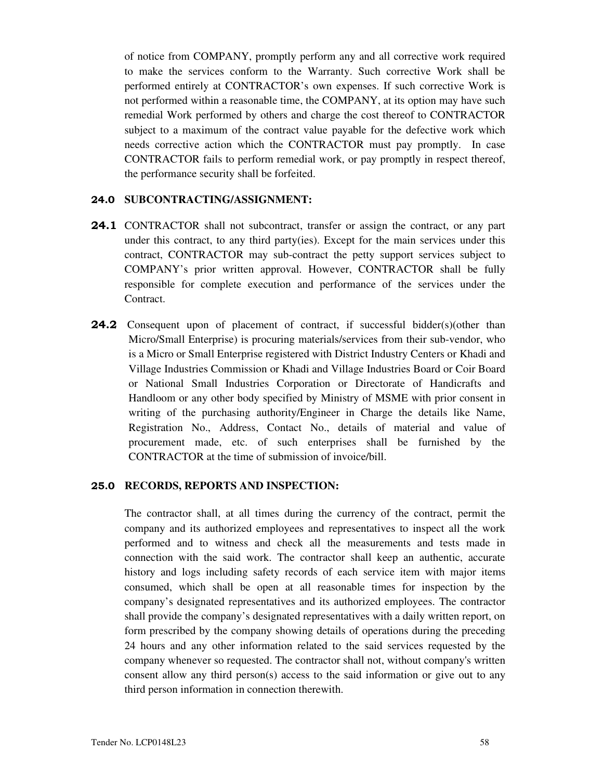of notice from COMPANY, promptly perform any and all corrective work required to make the services conform to the Warranty. Such corrective Work shall be performed entirely at CONTRACTOR's own expenses. If such corrective Work is not performed within a reasonable time, the COMPANY, at its option may have such remedial Work performed by others and charge the cost thereof to CONTRACTOR subject to a maximum of the contract value payable for the defective work which needs corrective action which the CONTRACTOR must pay promptly. In case CONTRACTOR fails to perform remedial work, or pay promptly in respect thereof, the performance security shall be forfeited.

#### **24.0 SUBCONTRACTING/ASSIGNMENT:**

- **24.1** CONTRACTOR shall not subcontract, transfer or assign the contract, or any part under this contract, to any third party(ies). Except for the main services under this contract, CONTRACTOR may sub-contract the petty support services subject to COMPANY's prior written approval. However, CONTRACTOR shall be fully responsible for complete execution and performance of the services under the Contract.
- **24.2** Consequent upon of placement of contract, if successful bidder(s)(other than Micro/Small Enterprise) is procuring materials/services from their sub-vendor, who is a Micro or Small Enterprise registered with District Industry Centers or Khadi and Village Industries Commission or Khadi and Village Industries Board or Coir Board or National Small Industries Corporation or Directorate of Handicrafts and Handloom or any other body specified by Ministry of MSME with prior consent in writing of the purchasing authority/Engineer in Charge the details like Name, Registration No., Address, Contact No., details of material and value of procurement made, etc. of such enterprises shall be furnished by the CONTRACTOR at the time of submission of invoice/bill.

#### **25.0 RECORDS, REPORTS AND INSPECTION:**

The contractor shall, at all times during the currency of the contract, permit the company and its authorized employees and representatives to inspect all the work performed and to witness and check all the measurements and tests made in connection with the said work. The contractor shall keep an authentic, accurate history and logs including safety records of each service item with major items consumed, which shall be open at all reasonable times for inspection by the company's designated representatives and its authorized employees. The contractor shall provide the company's designated representatives with a daily written report, on form prescribed by the company showing details of operations during the preceding 24 hours and any other information related to the said services requested by the company whenever so requested. The contractor shall not, without company's written consent allow any third person(s) access to the said information or give out to any third person information in connection therewith.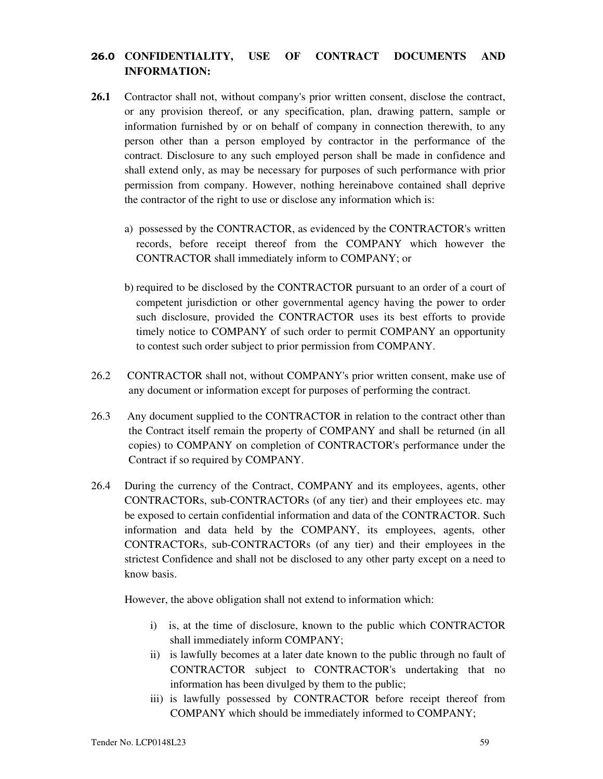# **26.0 CONFIDENTIALITY, USE OF CONTRACT DOCUMENTS AND INFORMATION:**

- **26.1** Contractor shall not, without company's prior written consent, disclose the contract, or any provision thereof, or any specification, plan, drawing pattern, sample or information furnished by or on behalf of company in connection therewith, to any person other than a person employed by contractor in the performance of the contract. Disclosure to any such employed person shall be made in confidence and shall extend only, as may be necessary for purposes of such performance with prior permission from company. However, nothing hereinabove contained shall deprive the contractor of the right to use or disclose any information which is:
	- a) possessed by the CONTRACTOR, as evidenced by the CONTRACTOR's written records, before receipt thereof from the COMPANY which however the CONTRACTOR shall immediately inform to COMPANY; or
	- b) required to be disclosed by the CONTRACTOR pursuant to an order of a court of competent jurisdiction or other governmental agency having the power to order such disclosure, provided the CONTRACTOR uses its best efforts to provide timely notice to COMPANY of such order to permit COMPANY an opportunity to contest such order subject to prior permission from COMPANY.
- 26.2 CONTRACTOR shall not, without COMPANY's prior written consent, make use of any document or information except for purposes of performing the contract.
- 26.3 Any document supplied to the CONTRACTOR in relation to the contract other than the Contract itself remain the property of COMPANY and shall be returned (in all copies) to COMPANY on completion of CONTRACTOR's performance under the Contract if so required by COMPANY.
- 26.4 During the currency of the Contract, COMPANY and its employees, agents, other CONTRACTORs, sub-CONTRACTORs (of any tier) and their employees etc. may be exposed to certain confidential information and data of the CONTRACTOR. Such information and data held by the COMPANY, its employees, agents, other CONTRACTORs, sub-CONTRACTORs (of any tier) and their employees in the strictest Confidence and shall not be disclosed to any other party except on a need to know basis.

However, the above obligation shall not extend to information which:

- i) is, at the time of disclosure, known to the public which CONTRACTOR shall immediately inform COMPANY;
- ii) is lawfully becomes at a later date known to the public through no fault of CONTRACTOR subject to CONTRACTOR's undertaking that no information has been divulged by them to the public;
- iii) is lawfully possessed by CONTRACTOR before receipt thereof from COMPANY which should be immediately informed to COMPANY;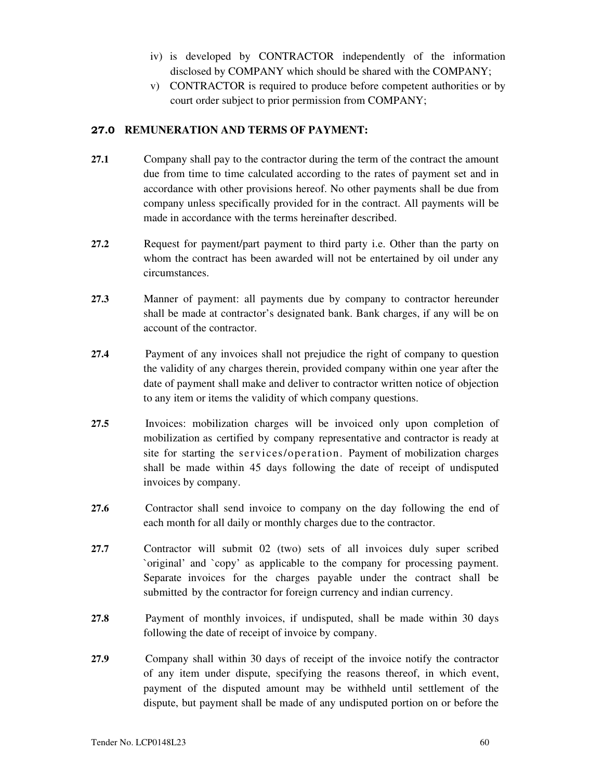- iv) is developed by CONTRACTOR independently of the information disclosed by COMPANY which should be shared with the COMPANY;
- v) CONTRACTOR is required to produce before competent authorities or by court order subject to prior permission from COMPANY;

### **27.0 REMUNERATION AND TERMS OF PAYMENT:**

- **27.1** Company shall pay to the contractor during the term of the contract the amount due from time to time calculated according to the rates of payment set and in accordance with other provisions hereof. No other payments shall be due from company unless specifically provided for in the contract. All payments will be made in accordance with the terms hereinafter described.
- **27.2** Request for payment/part payment to third party i.e. Other than the party on whom the contract has been awarded will not be entertained by oil under any circumstances.
- **27.3** Manner of payment: all payments due by company to contractor hereunder shall be made at contractor's designated bank. Bank charges, if any will be on account of the contractor.
- **27.4** Payment of any invoices shall not prejudice the right of company to question the validity of any charges therein, provided company within one year after the date of payment shall make and deliver to contractor written notice of objection to any item or items the validity of which company questions.
- **27.5** Invoices: mobilization charges will be invoiced only upon completion of mobilization as certified by company representative and contractor is ready at site for starting the services/operation. Payment of mobilization charges shall be made within 45 days following the date of receipt of undisputed invoices by company.
- **27.6** Contractor shall send invoice to company on the day following the end of each month for all daily or monthly charges due to the contractor.
- **27.7** Contractor will submit 02 (two) sets of all invoices duly super scribed `original' and `copy' as applicable to the company for processing payment. Separate invoices for the charges payable under the contract shall be submitted by the contractor for foreign currency and indian currency.
- **27.8** Payment of monthly invoices, if undisputed, shall be made within 30 days following the date of receipt of invoice by company.
- **27.9** Company shall within 30 days of receipt of the invoice notify the contractor of any item under dispute, specifying the reasons thereof, in which event, payment of the disputed amount may be withheld until settlement of the dispute, but payment shall be made of any undisputed portion on or before the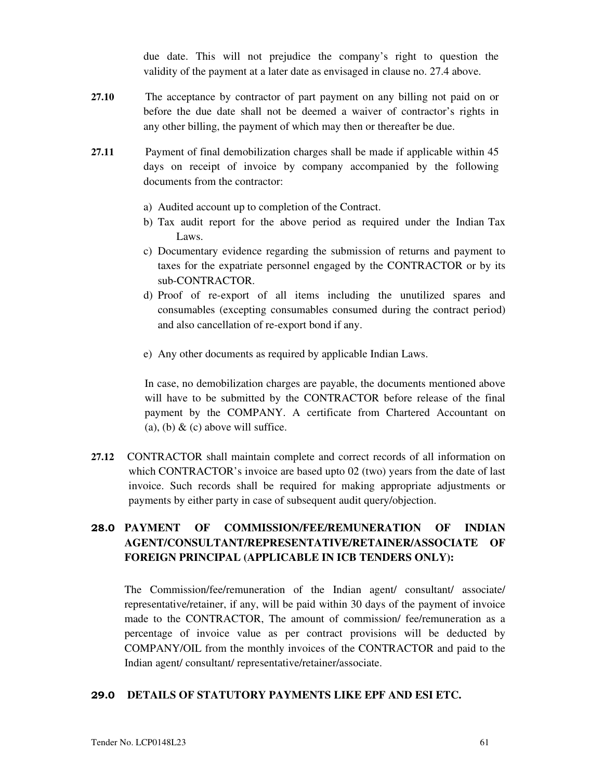due date. This will not prejudice the company's right to question the validity of the payment at a later date as envisaged in clause no. 27.4 above.

- **27.10** The acceptance by contractor of part payment on any billing not paid on or before the due date shall not be deemed a waiver of contractor's rights in any other billing, the payment of which may then or thereafter be due.
- **27.11** Payment of final demobilization charges shall be made if applicable within 45 days on receipt of invoice by company accompanied by the following documents from the contractor:
	- a) Audited account up to completion of the Contract.
	- b) Tax audit report for the above period as required under the Indian Tax Laws.
	- c) Documentary evidence regarding the submission of returns and payment to taxes for the expatriate personnel engaged by the CONTRACTOR or by its sub-CONTRACTOR.
	- d) Proof of re-export of all items including the unutilized spares and consumables (excepting consumables consumed during the contract period) and also cancellation of re-export bond if any.
	- e) Any other documents as required by applicable Indian Laws.

In case, no demobilization charges are payable, the documents mentioned above will have to be submitted by the CONTRACTOR before release of the final payment by the COMPANY. A certificate from Chartered Accountant on (a), (b)  $\&$  (c) above will suffice.

**27.12** CONTRACTOR shall maintain complete and correct records of all information on which CONTRACTOR's invoice are based upto 02 (two) years from the date of last invoice. Such records shall be required for making appropriate adjustments or payments by either party in case of subsequent audit query/objection.

# **28.0 PAYMENT OF COMMISSION/FEE/REMUNERATION OF INDIAN AGENT/CONSULTANT/REPRESENTATIVE/RETAINER/ASSOCIATE OF FOREIGN PRINCIPAL (APPLICABLE IN ICB TENDERS ONLY):**

The Commission/fee/remuneration of the Indian agent/ consultant/ associate/ representative/retainer, if any, will be paid within 30 days of the payment of invoice made to the CONTRACTOR, The amount of commission/ fee/remuneration as a percentage of invoice value as per contract provisions will be deducted by COMPANY/OIL from the monthly invoices of the CONTRACTOR and paid to the Indian agent/ consultant/ representative/retainer/associate.

# **29.0 DETAILS OF STATUTORY PAYMENTS LIKE EPF AND ESI ETC.**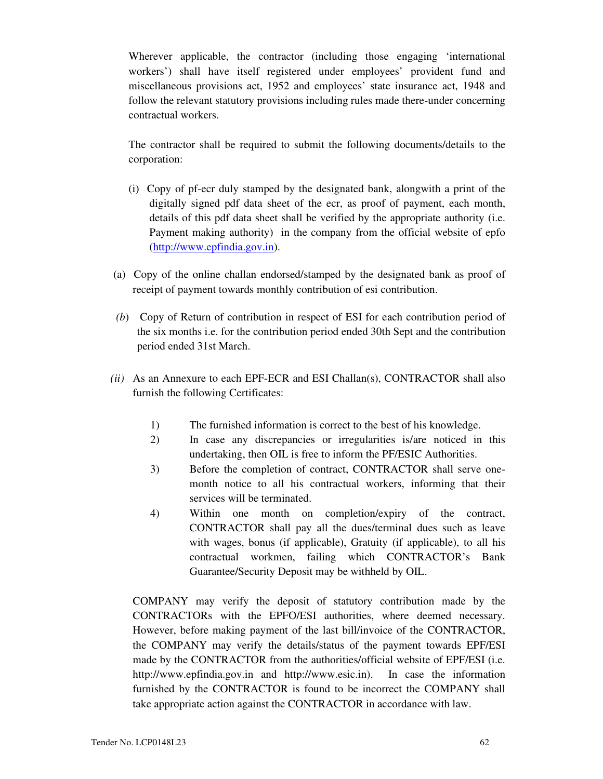Wherever applicable, the contractor (including those engaging 'international workers') shall have itself registered under employees' provident fund and miscellaneous provisions act, 1952 and employees' state insurance act, 1948 and follow the relevant statutory provisions including rules made there-under concerning contractual workers.

The contractor shall be required to submit the following documents/details to the corporation:

- (i) Copy of pf-ecr duly stamped by the designated bank, alongwith a print of the digitally signed pdf data sheet of the ecr, as proof of payment, each month, details of this pdf data sheet shall be verified by the appropriate authority (i.e. Payment making authority) in the company from the official website of epfo (http://www.epfindia.gov.in).
- (a) Copy of the online challan endorsed/stamped by the designated bank as proof of receipt of payment towards monthly contribution of esi contribution.
- *(b*) Copy of Return of contribution in respect of ESI for each contribution period of the six months i.e. for the contribution period ended 30th Sept and the contribution period ended 31st March.
- *(ii)* As an Annexure to each EPF-ECR and ESI Challan(s), CONTRACTOR shall also furnish the following Certificates:
	- 1) The furnished information is correct to the best of his knowledge.
	- 2) In case any discrepancies or irregularities is/are noticed in this undertaking, then OIL is free to inform the PF/ESIC Authorities.
	- 3) Before the completion of contract, CONTRACTOR shall serve onemonth notice to all his contractual workers, informing that their services will be terminated.
	- 4) Within one month on completion/expiry of the contract, CONTRACTOR shall pay all the dues/terminal dues such as leave with wages, bonus (if applicable), Gratuity (if applicable), to all his contractual workmen, failing which CONTRACTOR's Bank Guarantee/Security Deposit may be withheld by OIL.

COMPANY may verify the deposit of statutory contribution made by the CONTRACTORs with the EPFO/ESI authorities, where deemed necessary. However, before making payment of the last bill/invoice of the CONTRACTOR, the COMPANY may verify the details/status of the payment towards EPF/ESI made by the CONTRACTOR from the authorities/official website of EPF/ESI (i.e. http://www.epfindia.gov.in and http://www.esic.in). In case the information furnished by the CONTRACTOR is found to be incorrect the COMPANY shall take appropriate action against the CONTRACTOR in accordance with law.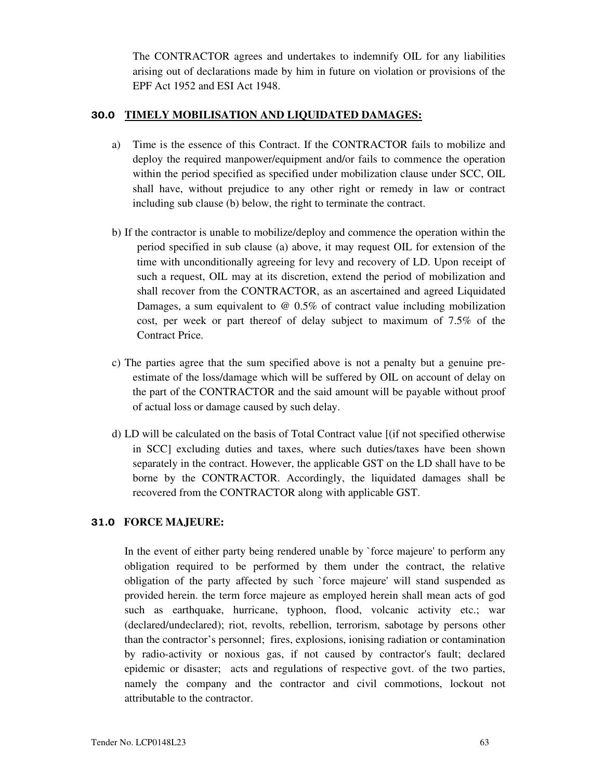The CONTRACTOR agrees and undertakes to indemnify OIL for any liabilities arising out of declarations made by him in future on violation or provisions of the EPF Act 1952 and ESI Act 1948.

#### **30.0 TIMELY MOBILISATION AND LIQUIDATED DAMAGES:**

- a) Time is the essence of this Contract. If the CONTRACTOR fails to mobilize and deploy the required manpower/equipment and/or fails to commence the operation within the period specified as specified under mobilization clause under SCC, OIL shall have, without prejudice to any other right or remedy in law or contract including sub clause (b) below, the right to terminate the contract.
- b) If the contractor is unable to mobilize/deploy and commence the operation within the period specified in sub clause (a) above, it may request OIL for extension of the time with unconditionally agreeing for levy and recovery of LD. Upon receipt of such a request, OIL may at its discretion, extend the period of mobilization and shall recover from the CONTRACTOR, as an ascertained and agreed Liquidated Damages, a sum equivalent to @ 0.5% of contract value including mobilization cost, per week or part thereof of delay subject to maximum of 7.5% of the Contract Price.
- c) The parties agree that the sum specified above is not a penalty but a genuine preestimate of the loss/damage which will be suffered by OIL on account of delay on the part of the CONTRACTOR and the said amount will be payable without proof of actual loss or damage caused by such delay.
- d) LD will be calculated on the basis of Total Contract value [(if not specified otherwise in SCC] excluding duties and taxes, where such duties/taxes have been shown separately in the contract. However, the applicable GST on the LD shall have to be borne by the CONTRACTOR. Accordingly, the liquidated damages shall be recovered from the CONTRACTOR along with applicable GST.

# **31.0 FORCE MAJEURE:**

In the event of either party being rendered unable by `force majeure' to perform any obligation required to be performed by them under the contract, the relative obligation of the party affected by such `force majeure' will stand suspended as provided herein. the term force majeure as employed herein shall mean acts of god such as earthquake, hurricane, typhoon, flood, volcanic activity etc.; war (declared/undeclared); riot, revolts, rebellion, terrorism, sabotage by persons other than the contractor's personnel; fires, explosions, ionising radiation or contamination by radio-activity or noxious gas, if not caused by contractor's fault; declared epidemic or disaster; acts and regulations of respective govt. of the two parties, namely the company and the contractor and civil commotions, lockout not attributable to the contractor.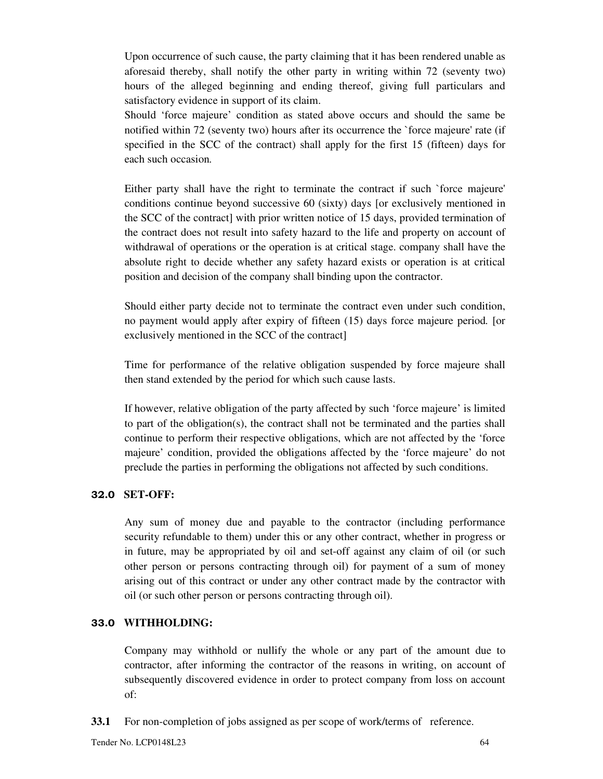Upon occurrence of such cause, the party claiming that it has been rendered unable as aforesaid thereby, shall notify the other party in writing within 72 (seventy two) hours of the alleged beginning and ending thereof, giving full particulars and satisfactory evidence in support of its claim.

Should 'force majeure' condition as stated above occurs and should the same be notified within 72 (seventy two) hours after its occurrence the `force majeure' rate (if specified in the SCC of the contract) shall apply for the first 15 (fifteen) days for each such occasion*.* 

Either party shall have the right to terminate the contract if such `force majeure' conditions continue beyond successive 60 (sixty) days [or exclusively mentioned in the SCC of the contract] with prior written notice of 15 days, provided termination of the contract does not result into safety hazard to the life and property on account of withdrawal of operations or the operation is at critical stage. company shall have the absolute right to decide whether any safety hazard exists or operation is at critical position and decision of the company shall binding upon the contractor.

Should either party decide not to terminate the contract even under such condition, no payment would apply after expiry of fifteen (15) days force majeure period*.* [or exclusively mentioned in the SCC of the contract]

Time for performance of the relative obligation suspended by force majeure shall then stand extended by the period for which such cause lasts.

If however, relative obligation of the party affected by such 'force majeure' is limited to part of the obligation(s), the contract shall not be terminated and the parties shall continue to perform their respective obligations, which are not affected by the 'force majeure' condition, provided the obligations affected by the 'force majeure' do not preclude the parties in performing the obligations not affected by such conditions.

#### **32.0 SET-OFF:**

Any sum of money due and payable to the contractor (including performance security refundable to them) under this or any other contract, whether in progress or in future, may be appropriated by oil and set-off against any claim of oil (or such other person or persons contracting through oil) for payment of a sum of money arising out of this contract or under any other contract made by the contractor with oil (or such other person or persons contracting through oil).

#### **33.0 WITHHOLDING:**

Company may withhold or nullify the whole or any part of the amount due to contractor, after informing the contractor of the reasons in writing, on account of subsequently discovered evidence in order to protect company from loss on account of:

**33.1** For non-completion of jobs assigned as per scope of work/terms of reference.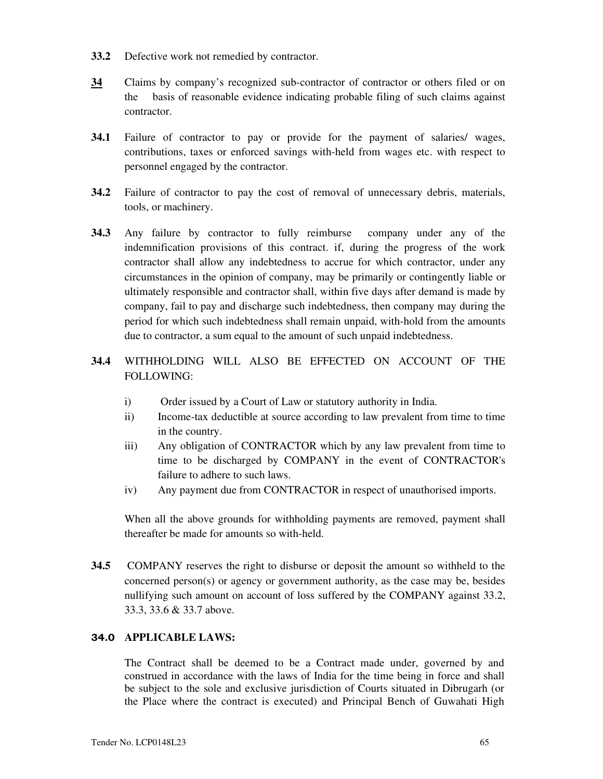- **33.2** Defective work not remedied by contractor.
- **34** Claims by company's recognized sub-contractor of contractor or others filed or on the basis of reasonable evidence indicating probable filing of such claims against contractor.
- **34.1** Failure of contractor to pay or provide for the payment of salaries/ wages, contributions, taxes or enforced savings with-held from wages etc. with respect to personnel engaged by the contractor.
- **34.2** Failure of contractor to pay the cost of removal of unnecessary debris, materials, tools, or machinery.
- **34.3** Any failure by contractor to fully reimburse company under any of the indemnification provisions of this contract. if, during the progress of the work contractor shall allow any indebtedness to accrue for which contractor, under any circumstances in the opinion of company, may be primarily or contingently liable or ultimately responsible and contractor shall, within five days after demand is made by company, fail to pay and discharge such indebtedness, then company may during the period for which such indebtedness shall remain unpaid, with-hold from the amounts due to contractor, a sum equal to the amount of such unpaid indebtedness.
- **34.4** WITHHOLDING WILL ALSO BE EFFECTED ON ACCOUNT OF THE FOLLOWING:
	- i) Order issued by a Court of Law or statutory authority in India.
	- ii) Income-tax deductible at source according to law prevalent from time to time in the country.
	- iii) Any obligation of CONTRACTOR which by any law prevalent from time to time to be discharged by COMPANY in the event of CONTRACTOR's failure to adhere to such laws.
	- iv) Any payment due from CONTRACTOR in respect of unauthorised imports.

When all the above grounds for withholding payments are removed, payment shall thereafter be made for amounts so with-held.

**34.5** COMPANY reserves the right to disburse or deposit the amount so withheld to the concerned person(s) or agency or government authority, as the case may be, besides nullifying such amount on account of loss suffered by the COMPANY against 33.2, 33.3, 33.6 & 33.7 above.

#### **34.0 APPLICABLE LAWS:**

The Contract shall be deemed to be a Contract made under, governed by and construed in accordance with the laws of India for the time being in force and shall be subject to the sole and exclusive jurisdiction of Courts situated in Dibrugarh (or the Place where the contract is executed) and Principal Bench of Guwahati High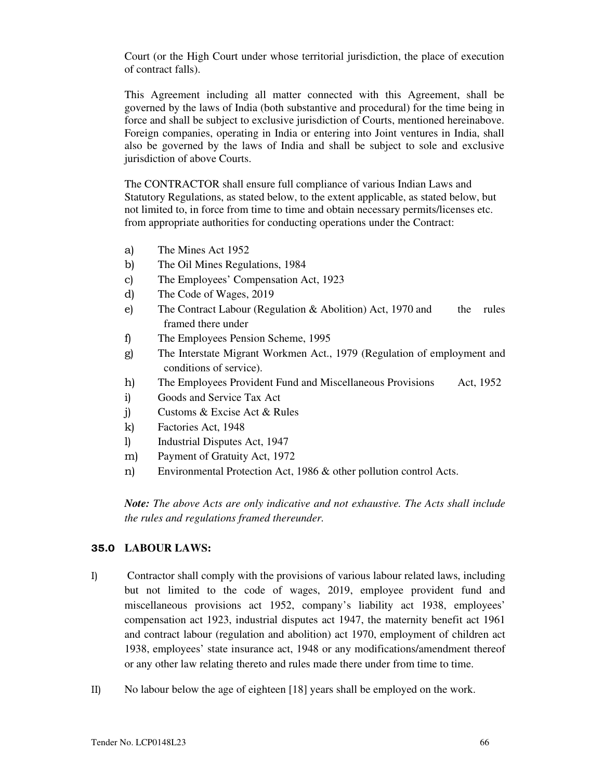Court (or the High Court under whose territorial jurisdiction, the place of execution of contract falls).

This Agreement including all matter connected with this Agreement, shall be governed by the laws of India (both substantive and procedural) for the time being in force and shall be subject to exclusive jurisdiction of Courts, mentioned hereinabove. Foreign companies, operating in India or entering into Joint ventures in India, shall also be governed by the laws of India and shall be subject to sole and exclusive jurisdiction of above Courts.

The CONTRACTOR shall ensure full compliance of various Indian Laws and Statutory Regulations, as stated below, to the extent applicable, as stated below, but not limited to, in force from time to time and obtain necessary permits/licenses etc. from appropriate authorities for conducting operations under the Contract:

- a) The Mines Act 1952
- b) The Oil Mines Regulations, 1984
- c) The Employees' Compensation Act, 1923
- d) The Code of Wages, 2019
- e) The Contract Labour (Regulation & Abolition) Act, 1970 and the rules framed there under
- f) The Employees Pension Scheme, 1995
- g) The Interstate Migrant Workmen Act., 1979 (Regulation of employment and conditions of service).
- h) The Employees Provident Fund and Miscellaneous Provisions Act, 1952
- i) Goods and Service Tax Act
- j) Customs & Excise Act & Rules
- k) Factories Act, 1948
- l) Industrial Disputes Act, 1947
- m) Payment of Gratuity Act, 1972
- n) Environmental Protection Act, 1986 & other pollution control Acts.

*Note: The above Acts are only indicative and not exhaustive. The Acts shall include the rules and regulations framed thereunder.* 

#### **35.0 LABOUR LAWS:**

- I) Contractor shall comply with the provisions of various labour related laws, including but not limited to the code of wages, 2019, employee provident fund and miscellaneous provisions act 1952, company's liability act 1938, employees' compensation act 1923, industrial disputes act 1947, the maternity benefit act 1961 and contract labour (regulation and abolition) act 1970, employment of children act 1938, employees' state insurance act, 1948 or any modifications/amendment thereof or any other law relating thereto and rules made there under from time to time.
- II) No labour below the age of eighteen [18] years shall be employed on the work.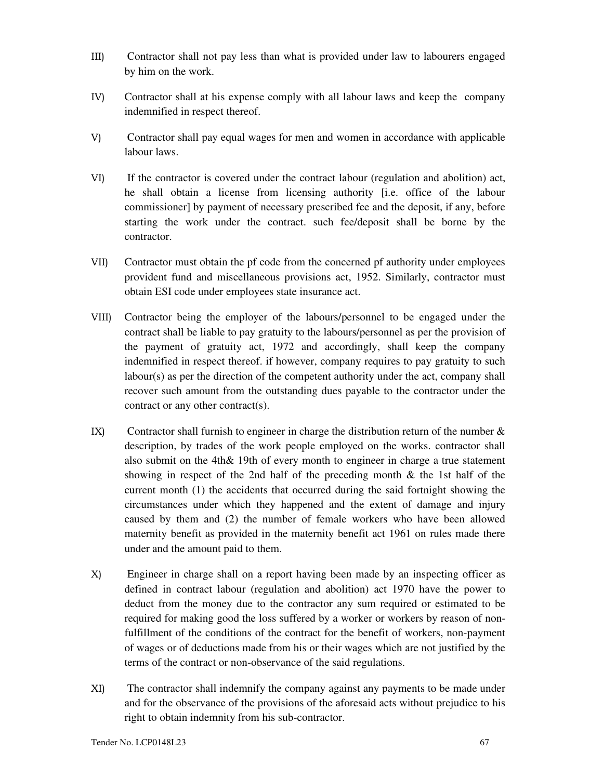- III) Contractor shall not pay less than what is provided under law to labourers engaged by him on the work.
- IV) Contractor shall at his expense comply with all labour laws and keep the company indemnified in respect thereof.
- V) Contractor shall pay equal wages for men and women in accordance with applicable labour laws.
- VI) If the contractor is covered under the contract labour (regulation and abolition) act, he shall obtain a license from licensing authority [i.e. office of the labour commissioner] by payment of necessary prescribed fee and the deposit, if any, before starting the work under the contract. such fee/deposit shall be borne by the contractor.
- VII) Contractor must obtain the pf code from the concerned pf authority under employees provident fund and miscellaneous provisions act, 1952. Similarly, contractor must obtain ESI code under employees state insurance act.
- VIII) Contractor being the employer of the labours/personnel to be engaged under the contract shall be liable to pay gratuity to the labours/personnel as per the provision of the payment of gratuity act, 1972 and accordingly, shall keep the company indemnified in respect thereof. if however, company requires to pay gratuity to such labour(s) as per the direction of the competent authority under the act, company shall recover such amount from the outstanding dues payable to the contractor under the contract or any other contract(s).
- IX) Contractor shall furnish to engineer in charge the distribution return of the number  $\&$ description, by trades of the work people employed on the works. contractor shall also submit on the 4th& 19th of every month to engineer in charge a true statement showing in respect of the 2nd half of the preceding month & the 1st half of the current month (1) the accidents that occurred during the said fortnight showing the circumstances under which they happened and the extent of damage and injury caused by them and (2) the number of female workers who have been allowed maternity benefit as provided in the maternity benefit act 1961 on rules made there under and the amount paid to them.
- X) Engineer in charge shall on a report having been made by an inspecting officer as defined in contract labour (regulation and abolition) act 1970 have the power to deduct from the money due to the contractor any sum required or estimated to be required for making good the loss suffered by a worker or workers by reason of nonfulfillment of the conditions of the contract for the benefit of workers, non-payment of wages or of deductions made from his or their wages which are not justified by the terms of the contract or non-observance of the said regulations.
- XI) The contractor shall indemnify the company against any payments to be made under and for the observance of the provisions of the aforesaid acts without prejudice to his right to obtain indemnity from his sub-contractor.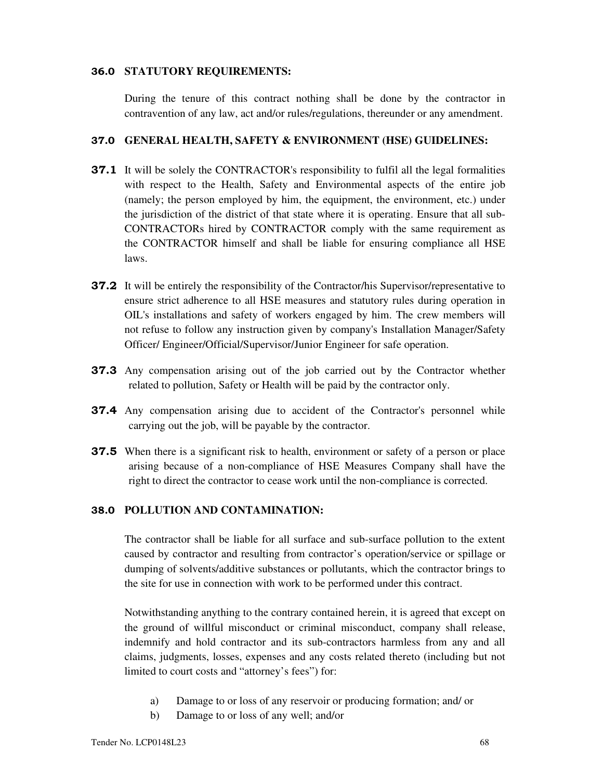#### **36.0 STATUTORY REQUIREMENTS:**

During the tenure of this contract nothing shall be done by the contractor in contravention of any law, act and/or rules/regulations, thereunder or any amendment.

#### **37.0 GENERAL HEALTH, SAFETY & ENVIRONMENT (HSE) GUIDELINES:**

- **37.1** It will be solely the CONTRACTOR's responsibility to fulfil all the legal formalities with respect to the Health, Safety and Environmental aspects of the entire job (namely; the person employed by him, the equipment, the environment, etc.) under the jurisdiction of the district of that state where it is operating. Ensure that all sub-CONTRACTORs hired by CONTRACTOR comply with the same requirement as the CONTRACTOR himself and shall be liable for ensuring compliance all HSE laws.
- **37.2** It will be entirely the responsibility of the Contractor/his Supervisor/representative to ensure strict adherence to all HSE measures and statutory rules during operation in OIL's installations and safety of workers engaged by him. The crew members will not refuse to follow any instruction given by company's Installation Manager/Safety Officer/ Engineer/Official/Supervisor/Junior Engineer for safe operation.
- **37.3** Any compensation arising out of the job carried out by the Contractor whether related to pollution, Safety or Health will be paid by the contractor only.
- **37.4** Any compensation arising due to accident of the Contractor's personnel while carrying out the job, will be payable by the contractor.
- **37.5** When there is a significant risk to health, environment or safety of a person or place arising because of a non-compliance of HSE Measures Company shall have the right to direct the contractor to cease work until the non-compliance is corrected.

#### **38.0 POLLUTION AND CONTAMINATION:**

The contractor shall be liable for all surface and sub-surface pollution to the extent caused by contractor and resulting from contractor's operation/service or spillage or dumping of solvents/additive substances or pollutants, which the contractor brings to the site for use in connection with work to be performed under this contract.

Notwithstanding anything to the contrary contained herein, it is agreed that except on the ground of willful misconduct or criminal misconduct, company shall release, indemnify and hold contractor and its sub-contractors harmless from any and all claims, judgments, losses, expenses and any costs related thereto (including but not limited to court costs and "attorney's fees") for:

- a) Damage to or loss of any reservoir or producing formation; and/ or
- b) Damage to or loss of any well; and/or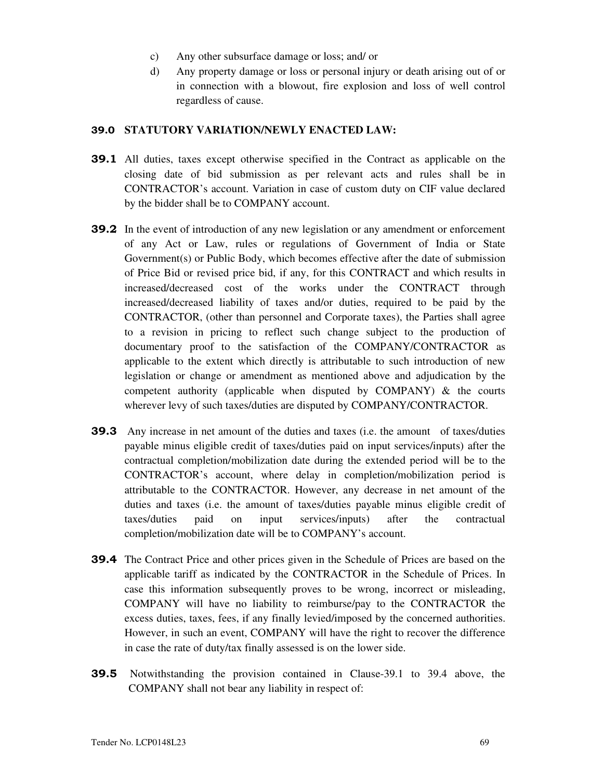- c) Any other subsurface damage or loss; and/ or
- d) Any property damage or loss or personal injury or death arising out of or in connection with a blowout, fire explosion and loss of well control regardless of cause.

#### **39.0 STATUTORY VARIATION/NEWLY ENACTED LAW:**

- **39.1** All duties, taxes except otherwise specified in the Contract as applicable on the closing date of bid submission as per relevant acts and rules shall be in CONTRACTOR's account. Variation in case of custom duty on CIF value declared by the bidder shall be to COMPANY account.
- **39.2** In the event of introduction of any new legislation or any amendment or enforcement of any Act or Law, rules or regulations of Government of India or State Government(s) or Public Body, which becomes effective after the date of submission of Price Bid or revised price bid, if any, for this CONTRACT and which results in increased/decreased cost of the works under the CONTRACT through increased/decreased liability of taxes and/or duties, required to be paid by the CONTRACTOR, (other than personnel and Corporate taxes), the Parties shall agree to a revision in pricing to reflect such change subject to the production of documentary proof to the satisfaction of the COMPANY/CONTRACTOR as applicable to the extent which directly is attributable to such introduction of new legislation or change or amendment as mentioned above and adjudication by the competent authority (applicable when disputed by  $COMPANY$ ) & the courts wherever levy of such taxes/duties are disputed by COMPANY/CONTRACTOR.
- **39.3** Any increase in net amount of the duties and taxes (i.e. the amount of taxes/duties payable minus eligible credit of taxes/duties paid on input services/inputs) after the contractual completion/mobilization date during the extended period will be to the CONTRACTOR's account, where delay in completion/mobilization period is attributable to the CONTRACTOR. However, any decrease in net amount of the duties and taxes (i.e. the amount of taxes/duties payable minus eligible credit of taxes/duties paid on input services/inputs) after the contractual completion/mobilization date will be to COMPANY's account.
- **39.4** The Contract Price and other prices given in the Schedule of Prices are based on the applicable tariff as indicated by the CONTRACTOR in the Schedule of Prices. In case this information subsequently proves to be wrong, incorrect or misleading, COMPANY will have no liability to reimburse/pay to the CONTRACTOR the excess duties, taxes, fees, if any finally levied/imposed by the concerned authorities. However, in such an event, COMPANY will have the right to recover the difference in case the rate of duty/tax finally assessed is on the lower side.
- **39.5** Notwithstanding the provision contained in Clause-39.1 to 39.4 above, the COMPANY shall not bear any liability in respect of: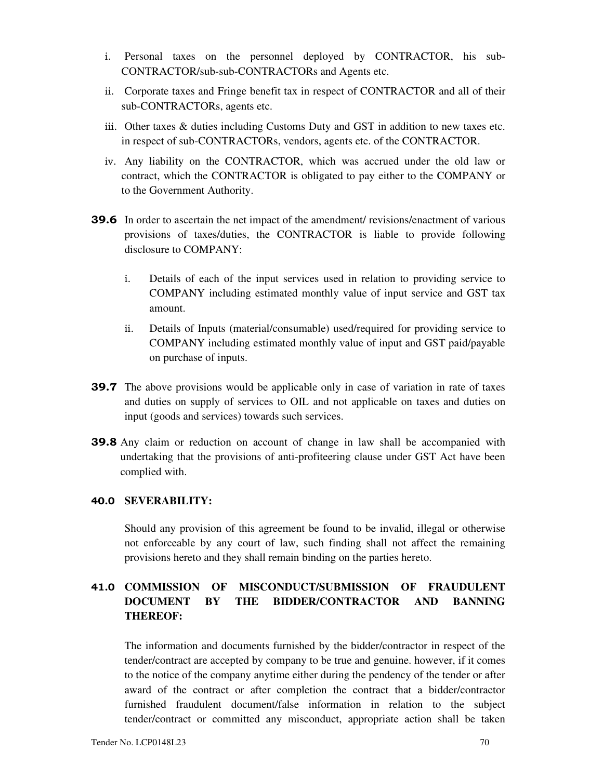- i. Personal taxes on the personnel deployed by CONTRACTOR, his sub-CONTRACTOR/sub-sub-CONTRACTORs and Agents etc.
- ii. Corporate taxes and Fringe benefit tax in respect of CONTRACTOR and all of their sub-CONTRACTORs, agents etc.
- iii. Other taxes & duties including Customs Duty and GST in addition to new taxes etc. in respect of sub-CONTRACTORs, vendors, agents etc. of the CONTRACTOR.
- iv. Any liability on the CONTRACTOR, which was accrued under the old law or contract, which the CONTRACTOR is obligated to pay either to the COMPANY or to the Government Authority.
- **39.6** In order to ascertain the net impact of the amendment/ revisions/enactment of various provisions of taxes/duties, the CONTRACTOR is liable to provide following disclosure to COMPANY:
	- i. Details of each of the input services used in relation to providing service to COMPANY including estimated monthly value of input service and GST tax amount.
	- ii. Details of Inputs (material/consumable) used/required for providing service to COMPANY including estimated monthly value of input and GST paid/payable on purchase of inputs.
- **39.7** The above provisions would be applicable only in case of variation in rate of taxes and duties on supply of services to OIL and not applicable on taxes and duties on input (goods and services) towards such services.
- **39.8** Any claim or reduction on account of change in law shall be accompanied with undertaking that the provisions of anti-profiteering clause under GST Act have been complied with.

#### **40.0 SEVERABILITY:**

Should any provision of this agreement be found to be invalid, illegal or otherwise not enforceable by any court of law, such finding shall not affect the remaining provisions hereto and they shall remain binding on the parties hereto.

# **41.0 COMMISSION OF MISCONDUCT/SUBMISSION OF FRAUDULENT DOCUMENT BY THE BIDDER/CONTRACTOR AND BANNING THEREOF:**

The information and documents furnished by the bidder/contractor in respect of the tender/contract are accepted by company to be true and genuine. however, if it comes to the notice of the company anytime either during the pendency of the tender or after award of the contract or after completion the contract that a bidder/contractor furnished fraudulent document/false information in relation to the subject tender/contract or committed any misconduct, appropriate action shall be taken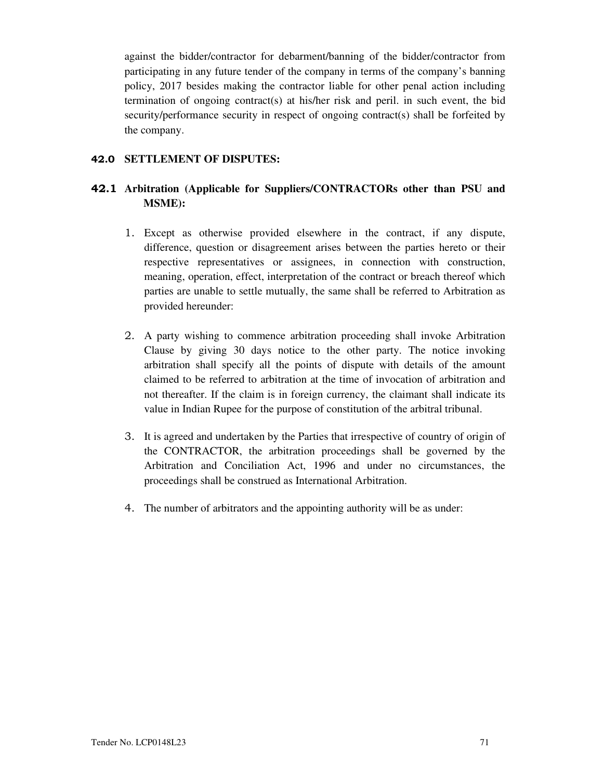against the bidder/contractor for debarment/banning of the bidder/contractor from participating in any future tender of the company in terms of the company's banning policy, 2017 besides making the contractor liable for other penal action including termination of ongoing contract(s) at his/her risk and peril. in such event, the bid security/performance security in respect of ongoing contract(s) shall be forfeited by the company.

### **42.0 SETTLEMENT OF DISPUTES:**

# **42.1 Arbitration (Applicable for Suppliers/CONTRACTORs other than PSU and MSME):**

- 1. Except as otherwise provided elsewhere in the contract, if any dispute, difference, question or disagreement arises between the parties hereto or their respective representatives or assignees, in connection with construction, meaning, operation, effect, interpretation of the contract or breach thereof which parties are unable to settle mutually, the same shall be referred to Arbitration as provided hereunder:
- 2. A party wishing to commence arbitration proceeding shall invoke Arbitration Clause by giving 30 days notice to the other party. The notice invoking arbitration shall specify all the points of dispute with details of the amount claimed to be referred to arbitration at the time of invocation of arbitration and not thereafter. If the claim is in foreign currency, the claimant shall indicate its value in Indian Rupee for the purpose of constitution of the arbitral tribunal.
- 3. It is agreed and undertaken by the Parties that irrespective of country of origin of the CONTRACTOR, the arbitration proceedings shall be governed by the Arbitration and Conciliation Act, 1996 and under no circumstances, the proceedings shall be construed as International Arbitration.
- 4. The number of arbitrators and the appointing authority will be as under: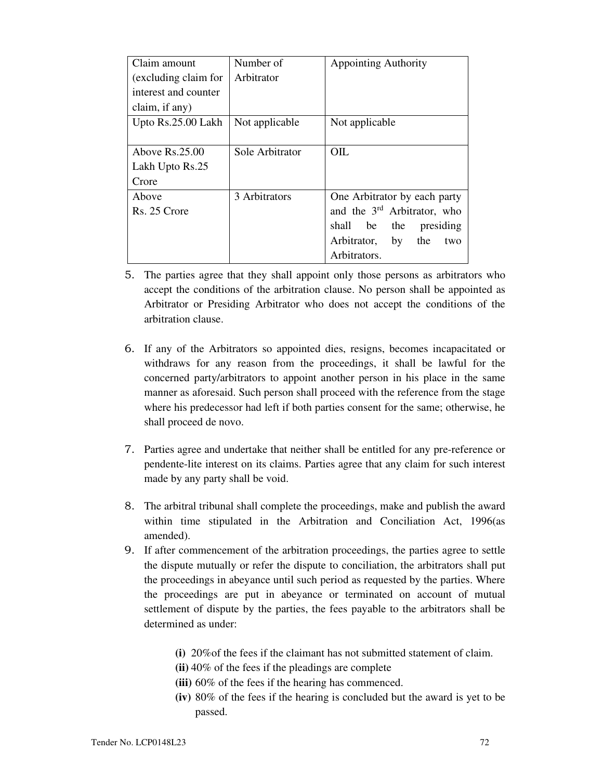| Claim amount         | Number of       | <b>Appointing Authority</b>             |
|----------------------|-----------------|-----------------------------------------|
| (excluding claim for | Arbitrator      |                                         |
| interest and counter |                 |                                         |
| claim, if any)       |                 |                                         |
| Upto Rs.25.00 Lakh   | Not applicable  | Not applicable                          |
|                      |                 |                                         |
| Above $Rs.25.00$     | Sole Arbitrator | OIL.                                    |
| Lakh Upto Rs.25      |                 |                                         |
| Crore                |                 |                                         |
| Above                | 3 Arbitrators   | One Arbitrator by each party            |
| Rs. 25 Crore         |                 | and the 3 <sup>rd</sup> Arbitrator, who |
|                      |                 | shall<br>the<br>presiding<br>be         |
|                      |                 | Arbitrator,<br>by<br>the<br>two         |
|                      |                 | Arbitrators.                            |

- 5. The parties agree that they shall appoint only those persons as arbitrators who accept the conditions of the arbitration clause. No person shall be appointed as Arbitrator or Presiding Arbitrator who does not accept the conditions of the arbitration clause.
- 6. If any of the Arbitrators so appointed dies, resigns, becomes incapacitated or withdraws for any reason from the proceedings, it shall be lawful for the concerned party/arbitrators to appoint another person in his place in the same manner as aforesaid. Such person shall proceed with the reference from the stage where his predecessor had left if both parties consent for the same; otherwise, he shall proceed de novo.
- 7. Parties agree and undertake that neither shall be entitled for any pre-reference or pendente-lite interest on its claims. Parties agree that any claim for such interest made by any party shall be void.
- 8. The arbitral tribunal shall complete the proceedings, make and publish the award within time stipulated in the Arbitration and Conciliation Act, 1996(as amended).
- 9. If after commencement of the arbitration proceedings, the parties agree to settle the dispute mutually or refer the dispute to conciliation, the arbitrators shall put the proceedings in abeyance until such period as requested by the parties. Where the proceedings are put in abeyance or terminated on account of mutual settlement of dispute by the parties, the fees payable to the arbitrators shall be determined as under:
	- **(i)** 20%of the fees if the claimant has not submitted statement of claim.
	- **(ii)** 40% of the fees if the pleadings are complete
	- **(iii)** 60% of the fees if the hearing has commenced.
	- **(iv)** 80% of the fees if the hearing is concluded but the award is yet to be passed.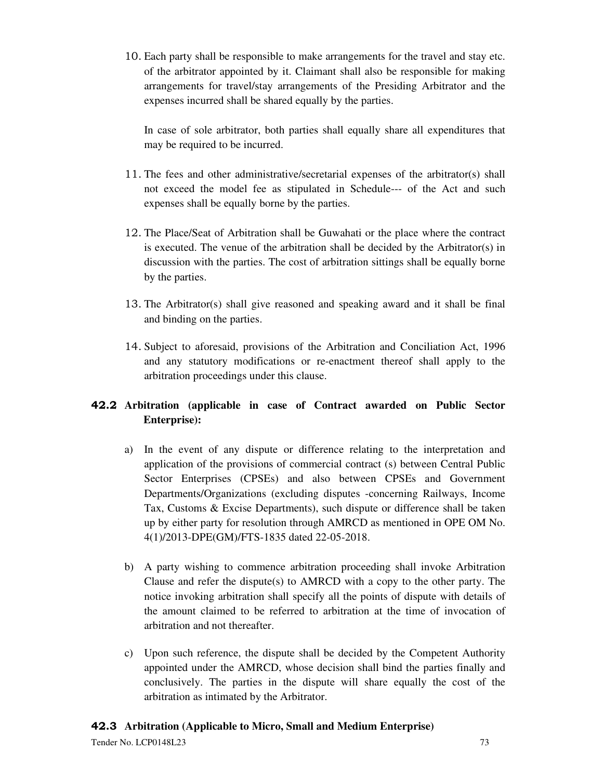10. Each party shall be responsible to make arrangements for the travel and stay etc. of the arbitrator appointed by it. Claimant shall also be responsible for making arrangements for travel/stay arrangements of the Presiding Arbitrator and the expenses incurred shall be shared equally by the parties.

In case of sole arbitrator, both parties shall equally share all expenditures that may be required to be incurred.

- 11. The fees and other administrative/secretarial expenses of the arbitrator(s) shall not exceed the model fee as stipulated in Schedule--- of the Act and such expenses shall be equally borne by the parties.
- 12. The Place/Seat of Arbitration shall be Guwahati or the place where the contract is executed. The venue of the arbitration shall be decided by the Arbitrator(s) in discussion with the parties. The cost of arbitration sittings shall be equally borne by the parties.
- 13. The Arbitrator(s) shall give reasoned and speaking award and it shall be final and binding on the parties.
- 14. Subject to aforesaid, provisions of the Arbitration and Conciliation Act, 1996 and any statutory modifications or re-enactment thereof shall apply to the arbitration proceedings under this clause.

# **42.2 Arbitration (applicable in case of Contract awarded on Public Sector Enterprise):**

- a) In the event of any dispute or difference relating to the interpretation and application of the provisions of commercial contract (s) between Central Public Sector Enterprises (CPSEs) and also between CPSEs and Government Departments/Organizations (excluding disputes -concerning Railways, Income Tax, Customs & Excise Departments), such dispute or difference shall be taken up by either party for resolution through AMRCD as mentioned in OPE OM No. 4(1)/2013-DPE(GM)/FTS-1835 dated 22-05-2018.
- b) A party wishing to commence arbitration proceeding shall invoke Arbitration Clause and refer the dispute(s) to AMRCD with a copy to the other party. The notice invoking arbitration shall specify all the points of dispute with details of the amount claimed to be referred to arbitration at the time of invocation of arbitration and not thereafter.
- c) Upon such reference, the dispute shall be decided by the Competent Authority appointed under the AMRCD, whose decision shall bind the parties finally and conclusively. The parties in the dispute will share equally the cost of the arbitration as intimated by the Arbitrator.

# **42.3 Arbitration (Applicable to Micro, Small and Medium Enterprise)**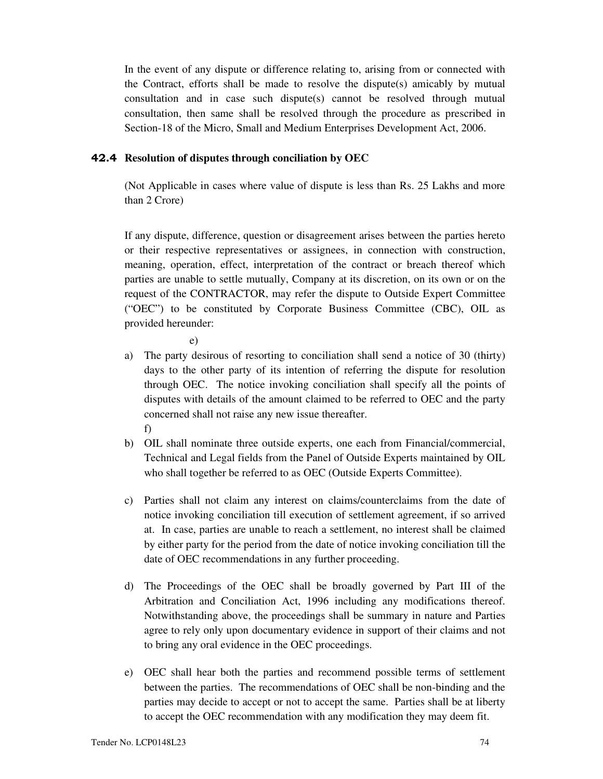In the event of any dispute or difference relating to, arising from or connected with the Contract, efforts shall be made to resolve the dispute(s) amicably by mutual consultation and in case such dispute(s) cannot be resolved through mutual consultation, then same shall be resolved through the procedure as prescribed in Section-18 of the Micro, Small and Medium Enterprises Development Act, 2006.

### **42.4 Resolution of disputes through conciliation by OEC**

(Not Applicable in cases where value of dispute is less than Rs. 25 Lakhs and more than 2 Crore)

If any dispute, difference, question or disagreement arises between the parties hereto or their respective representatives or assignees, in connection with construction, meaning, operation, effect, interpretation of the contract or breach thereof which parties are unable to settle mutually, Company at its discretion, on its own or on the request of the CONTRACTOR, may refer the dispute to Outside Expert Committee ("OEC") to be constituted by Corporate Business Committee (CBC), OIL as provided hereunder:

e)

- a) The party desirous of resorting to conciliation shall send a notice of 30 (thirty) days to the other party of its intention of referring the dispute for resolution through OEC. The notice invoking conciliation shall specify all the points of disputes with details of the amount claimed to be referred to OEC and the party concerned shall not raise any new issue thereafter. f)
- b) OIL shall nominate three outside experts, one each from Financial/commercial, Technical and Legal fields from the Panel of Outside Experts maintained by OIL who shall together be referred to as OEC (Outside Experts Committee).
- c) Parties shall not claim any interest on claims/counterclaims from the date of notice invoking conciliation till execution of settlement agreement, if so arrived at. In case, parties are unable to reach a settlement, no interest shall be claimed by either party for the period from the date of notice invoking conciliation till the date of OEC recommendations in any further proceeding.
- d) The Proceedings of the OEC shall be broadly governed by Part III of the Arbitration and Conciliation Act, 1996 including any modifications thereof. Notwithstanding above, the proceedings shall be summary in nature and Parties agree to rely only upon documentary evidence in support of their claims and not to bring any oral evidence in the OEC proceedings.
- e) OEC shall hear both the parties and recommend possible terms of settlement between the parties. The recommendations of OEC shall be non-binding and the parties may decide to accept or not to accept the same. Parties shall be at liberty to accept the OEC recommendation with any modification they may deem fit.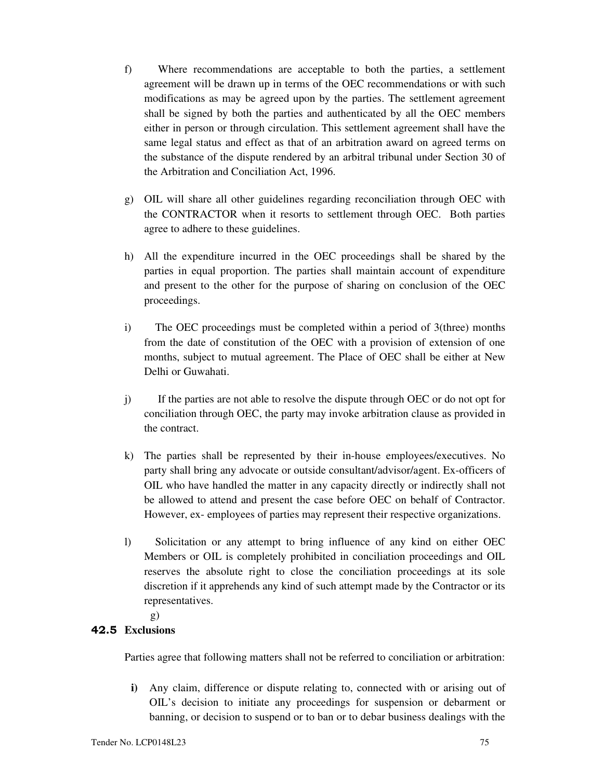- f) Where recommendations are acceptable to both the parties, a settlement agreement will be drawn up in terms of the OEC recommendations or with such modifications as may be agreed upon by the parties. The settlement agreement shall be signed by both the parties and authenticated by all the OEC members either in person or through circulation. This settlement agreement shall have the same legal status and effect as that of an arbitration award on agreed terms on the substance of the dispute rendered by an arbitral tribunal under Section 30 of the Arbitration and Conciliation Act, 1996.
- g) OIL will share all other guidelines regarding reconciliation through OEC with the CONTRACTOR when it resorts to settlement through OEC. Both parties agree to adhere to these guidelines.
- h) All the expenditure incurred in the OEC proceedings shall be shared by the parties in equal proportion. The parties shall maintain account of expenditure and present to the other for the purpose of sharing on conclusion of the OEC proceedings.
- i) The OEC proceedings must be completed within a period of 3(three) months from the date of constitution of the OEC with a provision of extension of one months, subject to mutual agreement. The Place of OEC shall be either at New Delhi or Guwahati.
- j) If the parties are not able to resolve the dispute through OEC or do not opt for conciliation through OEC, the party may invoke arbitration clause as provided in the contract.
- k) The parties shall be represented by their in-house employees/executives. No party shall bring any advocate or outside consultant/advisor/agent. Ex-officers of OIL who have handled the matter in any capacity directly or indirectly shall not be allowed to attend and present the case before OEC on behalf of Contractor. However, ex- employees of parties may represent their respective organizations.
- l) Solicitation or any attempt to bring influence of any kind on either OEC Members or OIL is completely prohibited in conciliation proceedings and OIL reserves the absolute right to close the conciliation proceedings at its sole discretion if it apprehends any kind of such attempt made by the Contractor or its representatives.

g)

# **42.5 Exclusions**

Parties agree that following matters shall not be referred to conciliation or arbitration:

**i)** Any claim, difference or dispute relating to, connected with or arising out of OIL's decision to initiate any proceedings for suspension or debarment or banning, or decision to suspend or to ban or to debar business dealings with the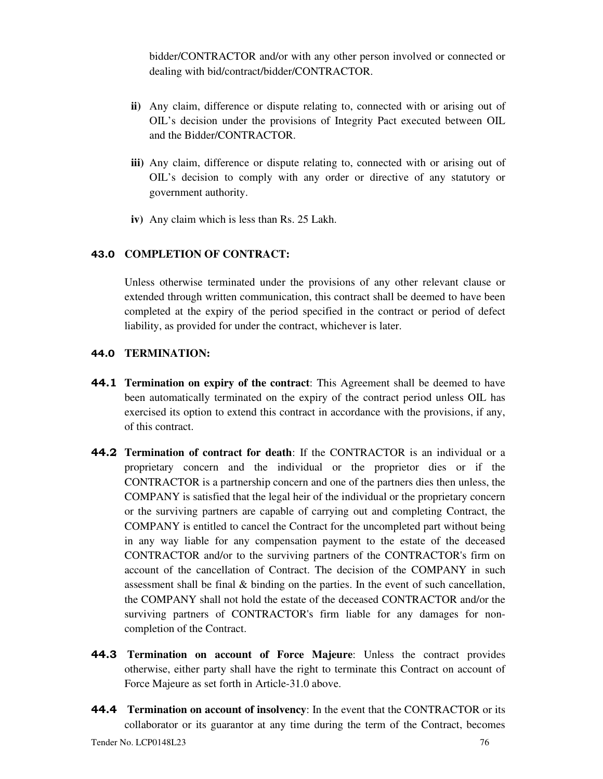bidder/CONTRACTOR and/or with any other person involved or connected or dealing with bid/contract/bidder/CONTRACTOR.

- **ii)** Any claim, difference or dispute relating to, connected with or arising out of OIL's decision under the provisions of Integrity Pact executed between OIL and the Bidder/CONTRACTOR.
- **iii)** Any claim, difference or dispute relating to, connected with or arising out of OIL's decision to comply with any order or directive of any statutory or government authority.
- **iv)** Any claim which is less than Rs. 25 Lakh.

### **43.0 COMPLETION OF CONTRACT:**

Unless otherwise terminated under the provisions of any other relevant clause or extended through written communication, this contract shall be deemed to have been completed at the expiry of the period specified in the contract or period of defect liability, as provided for under the contract, whichever is later.

### **44.0 TERMINATION:**

- **44.1 Termination on expiry of the contract:** This Agreement shall be deemed to have been automatically terminated on the expiry of the contract period unless OIL has exercised its option to extend this contract in accordance with the provisions, if any, of this contract.
- **44.2 Termination of contract for death**: If the CONTRACTOR is an individual or a proprietary concern and the individual or the proprietor dies or if the CONTRACTOR is a partnership concern and one of the partners dies then unless, the COMPANY is satisfied that the legal heir of the individual or the proprietary concern or the surviving partners are capable of carrying out and completing Contract, the COMPANY is entitled to cancel the Contract for the uncompleted part without being in any way liable for any compensation payment to the estate of the deceased CONTRACTOR and/or to the surviving partners of the CONTRACTOR's firm on account of the cancellation of Contract. The decision of the COMPANY in such assessment shall be final & binding on the parties. In the event of such cancellation, the COMPANY shall not hold the estate of the deceased CONTRACTOR and/or the surviving partners of CONTRACTOR's firm liable for any damages for noncompletion of the Contract.
- **44.3 Termination on account of Force Majeure**: Unless the contract provides otherwise, either party shall have the right to terminate this Contract on account of Force Majeure as set forth in Article-31.0 above.
- **44.4 Termination on account of insolvency**: In the event that the CONTRACTOR or its collaborator or its guarantor at any time during the term of the Contract, becomes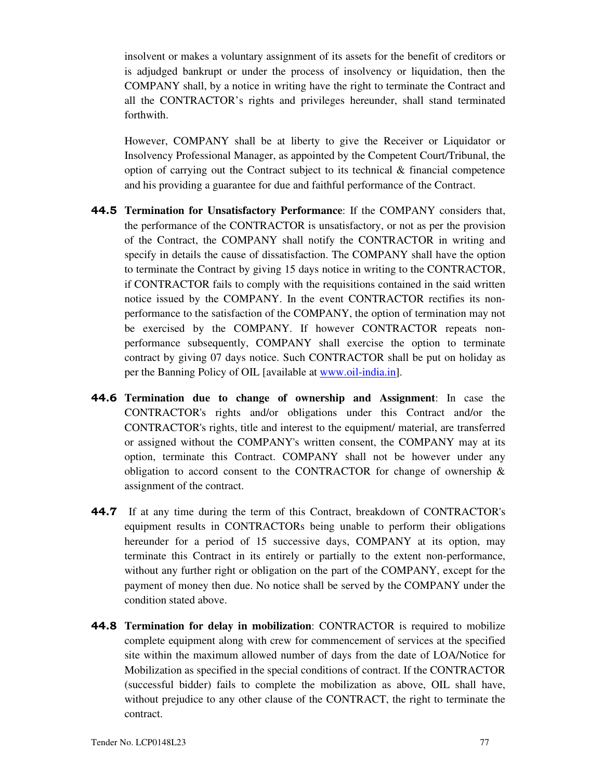insolvent or makes a voluntary assignment of its assets for the benefit of creditors or is adjudged bankrupt or under the process of insolvency or liquidation, then the COMPANY shall, by a notice in writing have the right to terminate the Contract and all the CONTRACTOR's rights and privileges hereunder, shall stand terminated forthwith.

 However, COMPANY shall be at liberty to give the Receiver or Liquidator or Insolvency Professional Manager, as appointed by the Competent Court/Tribunal, the option of carrying out the Contract subject to its technical  $\&$  financial competence and his providing a guarantee for due and faithful performance of the Contract.

- **44.5 Termination for Unsatisfactory Performance**: If the COMPANY considers that, the performance of the CONTRACTOR is unsatisfactory, or not as per the provision of the Contract, the COMPANY shall notify the CONTRACTOR in writing and specify in details the cause of dissatisfaction. The COMPANY shall have the option to terminate the Contract by giving 15 days notice in writing to the CONTRACTOR, if CONTRACTOR fails to comply with the requisitions contained in the said written notice issued by the COMPANY. In the event CONTRACTOR rectifies its nonperformance to the satisfaction of the COMPANY, the option of termination may not be exercised by the COMPANY. If however CONTRACTOR repeats nonperformance subsequently, COMPANY shall exercise the option to terminate contract by giving 07 days notice. Such CONTRACTOR shall be put on holiday as per the Banning Policy of OIL [available at www.oil-india.in].
- **44.6 Termination due to change of ownership and Assignment**: In case the CONTRACTOR's rights and/or obligations under this Contract and/or the CONTRACTOR's rights, title and interest to the equipment/ material, are transferred or assigned without the COMPANY's written consent, the COMPANY may at its option, terminate this Contract. COMPANY shall not be however under any obligation to accord consent to the CONTRACTOR for change of ownership  $\&$ assignment of the contract.
- **44.7** If at any time during the term of this Contract, breakdown of CONTRACTOR's equipment results in CONTRACTORs being unable to perform their obligations hereunder for a period of 15 successive days, COMPANY at its option, may terminate this Contract in its entirely or partially to the extent non-performance, without any further right or obligation on the part of the COMPANY, except for the payment of money then due. No notice shall be served by the COMPANY under the condition stated above.
- **44.8 Termination for delay in mobilization**: CONTRACTOR is required to mobilize complete equipment along with crew for commencement of services at the specified site within the maximum allowed number of days from the date of LOA/Notice for Mobilization as specified in the special conditions of contract. If the CONTRACTOR (successful bidder) fails to complete the mobilization as above, OIL shall have, without prejudice to any other clause of the CONTRACT, the right to terminate the contract.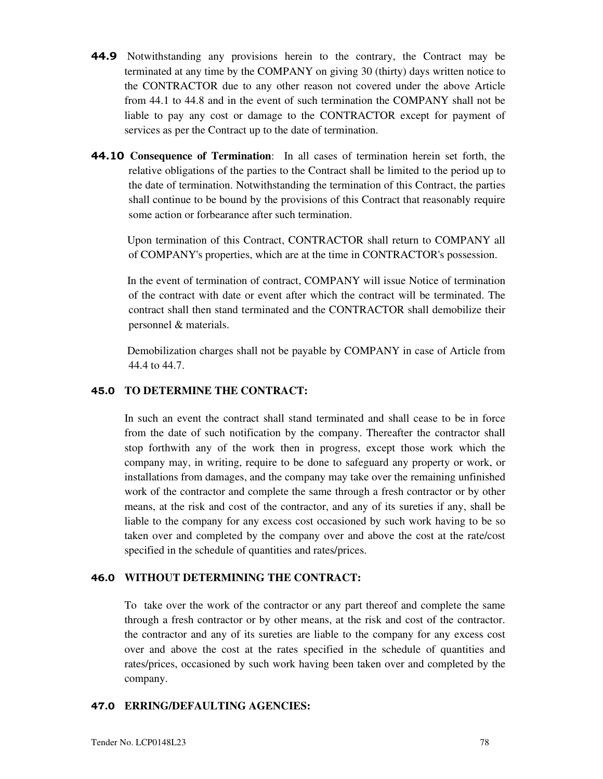- **44.9** Notwithstanding any provisions herein to the contrary, the Contract may be terminated at any time by the COMPANY on giving 30 (thirty) days written notice to the CONTRACTOR due to any other reason not covered under the above Article from 44.1 to 44.8 and in the event of such termination the COMPANY shall not be liable to pay any cost or damage to the CONTRACTOR except for payment of services as per the Contract up to the date of termination.
- **44.10 Consequence of Termination**: In all cases of termination herein set forth, the relative obligations of the parties to the Contract shall be limited to the period up to the date of termination. Notwithstanding the termination of this Contract, the parties shall continue to be bound by the provisions of this Contract that reasonably require some action or forbearance after such termination.

 Upon termination of this Contract, CONTRACTOR shall return to COMPANY all of COMPANY's properties, which are at the time in CONTRACTOR's possession.

 In the event of termination of contract, COMPANY will issue Notice of termination of the contract with date or event after which the contract will be terminated. The contract shall then stand terminated and the CONTRACTOR shall demobilize their personnel & materials.

 Demobilization charges shall not be payable by COMPANY in case of Article from 44.4 to 44.7.

### **45.0 TO DETERMINE THE CONTRACT:**

In such an event the contract shall stand terminated and shall cease to be in force from the date of such notification by the company. Thereafter the contractor shall stop forthwith any of the work then in progress, except those work which the company may, in writing, require to be done to safeguard any property or work, or installations from damages, and the company may take over the remaining unfinished work of the contractor and complete the same through a fresh contractor or by other means, at the risk and cost of the contractor, and any of its sureties if any, shall be liable to the company for any excess cost occasioned by such work having to be so taken over and completed by the company over and above the cost at the rate/cost specified in the schedule of quantities and rates/prices.

#### **46.0 WITHOUT DETERMINING THE CONTRACT:**

To take over the work of the contractor or any part thereof and complete the same through a fresh contractor or by other means, at the risk and cost of the contractor. the contractor and any of its sureties are liable to the company for any excess cost over and above the cost at the rates specified in the schedule of quantities and rates/prices, occasioned by such work having been taken over and completed by the company.

#### **47.0 ERRING/DEFAULTING AGENCIES:**